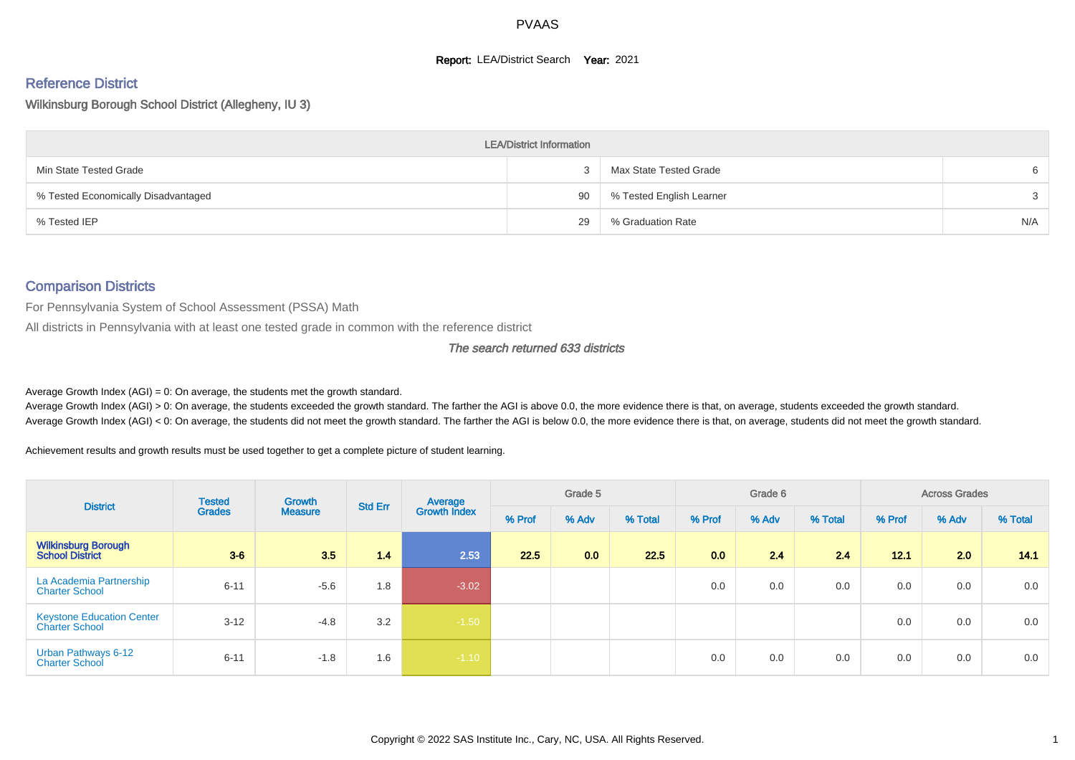#### **Report: LEA/District Search Year: 2021**

#### Reference District

#### Wilkinsburg Borough School District (Allegheny, IU 3)

|                                     | <b>LEA/District Information</b> |                          |     |
|-------------------------------------|---------------------------------|--------------------------|-----|
| Min State Tested Grade              | $\mathbf{r}$                    | Max State Tested Grade   | 6   |
| % Tested Economically Disadvantaged | 90                              | % Tested English Learner | 3   |
| % Tested IEP                        | 29                              | % Graduation Rate        | N/A |

#### Comparison Districts

For Pennsylvania System of School Assessment (PSSA) Math

All districts in Pennsylvania with at least one tested grade in common with the reference district

#### The search returned 633 districts

Average Growth Index  $(AGI) = 0$ : On average, the students met the growth standard.

Average Growth Index (AGI) > 0: On average, the students exceeded the growth standard. The farther the AGI is above 0.0, the more evidence there is that, on average, students exceeded the growth standard. Average Growth Index (AGI) < 0: On average, the students did not meet the growth standard. The farther the AGI is below 0.0, the more evidence there is that, on average, students did not meet the growth standard.

Achievement results and growth results must be used together to get a complete picture of student learning.

| <b>District</b>                                           | <b>Tested</b> | Growth         | <b>Std Err</b> | Average             |        | Grade 5 |         |        | Grade 6 |         |        | <b>Across Grades</b> |         |
|-----------------------------------------------------------|---------------|----------------|----------------|---------------------|--------|---------|---------|--------|---------|---------|--------|----------------------|---------|
|                                                           | <b>Grades</b> | <b>Measure</b> |                | <b>Growth Index</b> | % Prof | % Adv   | % Total | % Prof | % Adv   | % Total | % Prof | % Adv                | % Total |
| <b>Wilkinsburg Borough</b><br><b>School District</b>      | $3-6$         | 3.5            | 1.4            | 2.53                | 22.5   | 0.0     | 22.5    | 0.0    | 2.4     | 2.4     | 12.1   | 2.0                  | 14.1    |
| La Academia Partnership<br><b>Charter School</b>          | $6 - 11$      | $-5.6$         | 1.8            | $-3.02$             |        |         |         | 0.0    | 0.0     | 0.0     | 0.0    | 0.0                  | 0.0     |
| <b>Keystone Education Center</b><br><b>Charter School</b> | $3 - 12$      | $-4.8$         | 3.2            | $-1.50$             |        |         |         |        |         |         | 0.0    | 0.0                  | 0.0     |
| Urban Pathways 6-12<br><b>Charter School</b>              | $6 - 11$      | $-1.8$         | 1.6            | $-1.10$             |        |         |         | 0.0    | 0.0     | 0.0     | 0.0    | 0.0                  | 0.0     |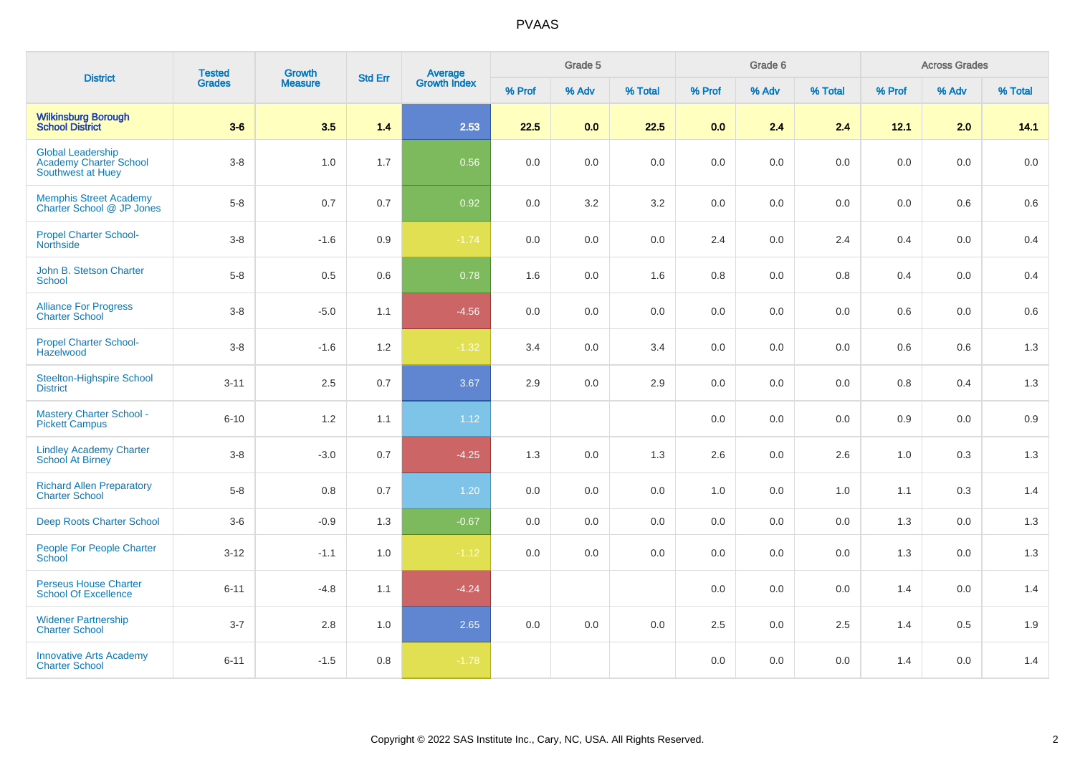| <b>District</b>                                                         | <b>Tested</b> | <b>Growth</b>  | <b>Std Err</b> | <b>Average</b><br>Growth Index |        | Grade 5 |         |         | Grade 6 |         |         | <b>Across Grades</b> |         |
|-------------------------------------------------------------------------|---------------|----------------|----------------|--------------------------------|--------|---------|---------|---------|---------|---------|---------|----------------------|---------|
|                                                                         | <b>Grades</b> | <b>Measure</b> |                |                                | % Prof | % Adv   | % Total | % Prof  | % Adv   | % Total | % Prof  | % Adv                | % Total |
| <b>Wilkinsburg Borough</b><br><b>School District</b>                    | $3-6$         | 3.5            | $1.4$          | 2.53                           | 22.5   | 0.0     | 22.5    | 0.0     | 2.4     | 2.4     | 12.1    | 2.0                  | 14.1    |
| <b>Global Leadership</b><br>Academy Charter School<br>Southwest at Huey | $3 - 8$       | 1.0            | 1.7            | 0.56                           | 0.0    | 0.0     | 0.0     | 0.0     | 0.0     | 0.0     | 0.0     | 0.0                  | 0.0     |
| Memphis Street Academy<br>Charter School @ JP Jones                     | $5-8$         | 0.7            | 0.7            | 0.92                           | 0.0    | 3.2     | 3.2     | 0.0     | 0.0     | 0.0     | 0.0     | 0.6                  | 0.6     |
| <b>Propel Charter School-</b><br><b>Northside</b>                       | $3-8$         | $-1.6$         | 0.9            | $-1.74$                        | 0.0    | 0.0     | $0.0\,$ | 2.4     | 0.0     | 2.4     | 0.4     | 0.0                  | 0.4     |
| John B. Stetson Charter<br><b>School</b>                                | $5 - 8$       | 0.5            | 0.6            | 0.78                           | 1.6    | 0.0     | 1.6     | $0.8\,$ | 0.0     | 0.8     | 0.4     | $0.0\,$              | 0.4     |
| <b>Alliance For Progress</b><br><b>Charter School</b>                   | $3 - 8$       | $-5.0$         | 1.1            | $-4.56$                        | 0.0    | 0.0     | 0.0     | 0.0     | 0.0     | 0.0     | 0.6     | 0.0                  | 0.6     |
| <b>Propel Charter School-</b><br>Hazelwood                              | $3 - 8$       | $-1.6$         | 1.2            | $-1.32$                        | 3.4    | 0.0     | 3.4     | 0.0     | 0.0     | 0.0     | 0.6     | 0.6                  | 1.3     |
| <b>Steelton-Highspire School</b><br><b>District</b>                     | $3 - 11$      | 2.5            | 0.7            | 3.67                           | 2.9    | 0.0     | 2.9     | 0.0     | 0.0     | 0.0     | $0.8\,$ | 0.4                  | 1.3     |
| <b>Mastery Charter School -</b><br><b>Pickett Campus</b>                | $6 - 10$      | 1.2            | 1.1            | 1.12                           |        |         |         | 0.0     | 0.0     | 0.0     | 0.9     | 0.0                  | $0.9\,$ |
| <b>Lindley Academy Charter</b><br>School At Birney                      | $3-8$         | $-3.0$         | 0.7            | $-4.25$                        | 1.3    | 0.0     | 1.3     | 2.6     | 0.0     | 2.6     | 1.0     | 0.3                  | 1.3     |
| <b>Richard Allen Preparatory</b><br><b>Charter School</b>               | $5-8$         | 0.8            | 0.7            | 1.20                           | 0.0    | 0.0     | 0.0     | 1.0     | 0.0     | 1.0     | 1.1     | 0.3                  | 1.4     |
| Deep Roots Charter School                                               | $3-6$         | $-0.9$         | 1.3            | $-0.67$                        | 0.0    | 0.0     | $0.0\,$ | 0.0     | 0.0     | 0.0     | 1.3     | 0.0                  | 1.3     |
| People For People Charter<br>School                                     | $3 - 12$      | $-1.1$         | 1.0            | $-1.12$                        | 0.0    | 0.0     | 0.0     | 0.0     | 0.0     | 0.0     | 1.3     | 0.0                  | 1.3     |
| <b>Perseus House Charter</b><br><b>School Of Excellence</b>             | $6 - 11$      | $-4.8$         | 1.1            | $-4.24$                        |        |         |         | 0.0     | 0.0     | 0.0     | 1.4     | 0.0                  | 1.4     |
| <b>Widener Partnership</b><br><b>Charter School</b>                     | $3 - 7$       | 2.8            | 1.0            | 2.65                           | 0.0    | 0.0     | 0.0     | 2.5     | 0.0     | 2.5     | 1.4     | 0.5                  | 1.9     |
| <b>Innovative Arts Academy</b><br><b>Charter School</b>                 | $6 - 11$      | $-1.5$         | 0.8            | $-1.78$                        |        |         |         | 0.0     | 0.0     | 0.0     | 1.4     | 0.0                  | 1.4     |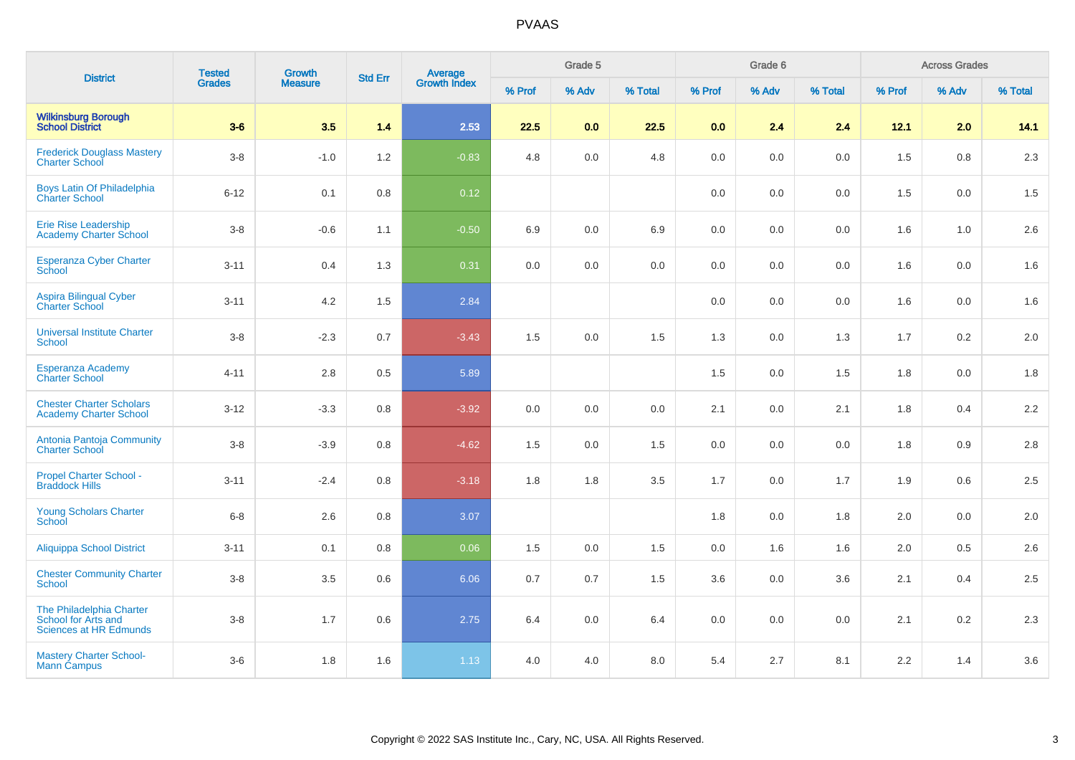| <b>District</b>                                                                  | <b>Tested</b> | <b>Growth</b>  | <b>Std Err</b> |                         |        | Grade 5 |         |         | Grade 6 |         |        | <b>Across Grades</b> |         |
|----------------------------------------------------------------------------------|---------------|----------------|----------------|-------------------------|--------|---------|---------|---------|---------|---------|--------|----------------------|---------|
|                                                                                  | <b>Grades</b> | <b>Measure</b> |                | Average<br>Growth Index | % Prof | % Adv   | % Total | % Prof  | % Adv   | % Total | % Prof | % Adv                | % Total |
| <b>Wilkinsburg Borough</b><br><b>School District</b>                             | $3-6$         | 3.5            | 1.4            | 2.53                    | 22.5   | 0.0     | 22.5    | 0.0     | 2.4     | 2.4     | 12.1   | 2.0                  | 14.1    |
| <b>Frederick Douglass Mastery</b><br><b>Charter School</b>                       | $3 - 8$       | $-1.0$         | 1.2            | $-0.83$                 | 4.8    | 0.0     | 4.8     | $0.0\,$ | 0.0     | 0.0     | 1.5    | 0.8                  | 2.3     |
| Boys Latin Of Philadelphia<br><b>Charter School</b>                              | $6 - 12$      | 0.1            | 0.8            | 0.12                    |        |         |         | 0.0     | 0.0     | 0.0     | 1.5    | 0.0                  | 1.5     |
| <b>Erie Rise Leadership</b><br><b>Academy Charter School</b>                     | $3 - 8$       | $-0.6$         | 1.1            | $-0.50$                 | 6.9    | 0.0     | 6.9     | 0.0     | 0.0     | 0.0     | 1.6    | 1.0                  | 2.6     |
| <b>Esperanza Cyber Charter</b><br>School                                         | $3 - 11$      | 0.4            | 1.3            | 0.31                    | 0.0    | 0.0     | 0.0     | 0.0     | 0.0     | 0.0     | 1.6    | 0.0                  | 1.6     |
| Aspira Bilingual Cyber<br>Charter School                                         | $3 - 11$      | 4.2            | 1.5            | 2.84                    |        |         |         | 0.0     | 0.0     | 0.0     | 1.6    | 0.0                  | 1.6     |
| <b>Universal Institute Charter</b><br><b>School</b>                              | $3-8$         | $-2.3$         | 0.7            | $-3.43$                 | 1.5    | 0.0     | 1.5     | 1.3     | 0.0     | 1.3     | 1.7    | 0.2                  | 2.0     |
| <b>Esperanza Academy</b><br><b>Charter School</b>                                | $4 - 11$      | 2.8            | 0.5            | 5.89                    |        |         |         | 1.5     | 0.0     | 1.5     | 1.8    | 0.0                  | 1.8     |
| <b>Chester Charter Scholars</b><br><b>Academy Charter School</b>                 | $3 - 12$      | $-3.3$         | 0.8            | $-3.92$                 | 0.0    | 0.0     | 0.0     | 2.1     | 0.0     | 2.1     | 1.8    | 0.4                  | 2.2     |
| Antonia Pantoja Community<br>Charter School                                      | $3-8$         | $-3.9$         | 0.8            | $-4.62$                 | 1.5    | 0.0     | 1.5     | 0.0     | 0.0     | 0.0     | 1.8    | 0.9                  | 2.8     |
| Propel Charter School -<br><b>Braddock Hills</b>                                 | $3 - 11$      | $-2.4$         | 0.8            | $-3.18$                 | 1.8    | 1.8     | 3.5     | 1.7     | 0.0     | 1.7     | 1.9    | 0.6                  | 2.5     |
| <b>Young Scholars Charter</b><br>School                                          | $6-8$         | 2.6            | 0.8            | 3.07                    |        |         |         | 1.8     | 0.0     | 1.8     | 2.0    | 0.0                  | 2.0     |
| <b>Aliquippa School District</b>                                                 | $3 - 11$      | 0.1            | 0.8            | 0.06                    | 1.5    | 0.0     | 1.5     | 0.0     | 1.6     | 1.6     | 2.0    | 0.5                  | 2.6     |
| <b>Chester Community Charter</b><br><b>School</b>                                | $3 - 8$       | $3.5\,$        | 0.6            | 6.06                    | 0.7    | 0.7     | 1.5     | 3.6     | 0.0     | 3.6     | 2.1    | 0.4                  | 2.5     |
| The Philadelphia Charter<br>School for Arts and<br><b>Sciences at HR Edmunds</b> | $3-8$         | 1.7            | 0.6            | 2.75                    | 6.4    | $0.0\,$ | 6.4     | 0.0     | 0.0     | 0.0     | 2.1    | 0.2                  | 2.3     |
| <b>Mastery Charter School-</b><br>Mann Campus                                    | $3-6$         | 1.8            | 1.6            | 1.13                    | 4.0    | 4.0     | 8.0     | 5.4     | 2.7     | 8.1     | 2.2    | 1.4                  | 3.6     |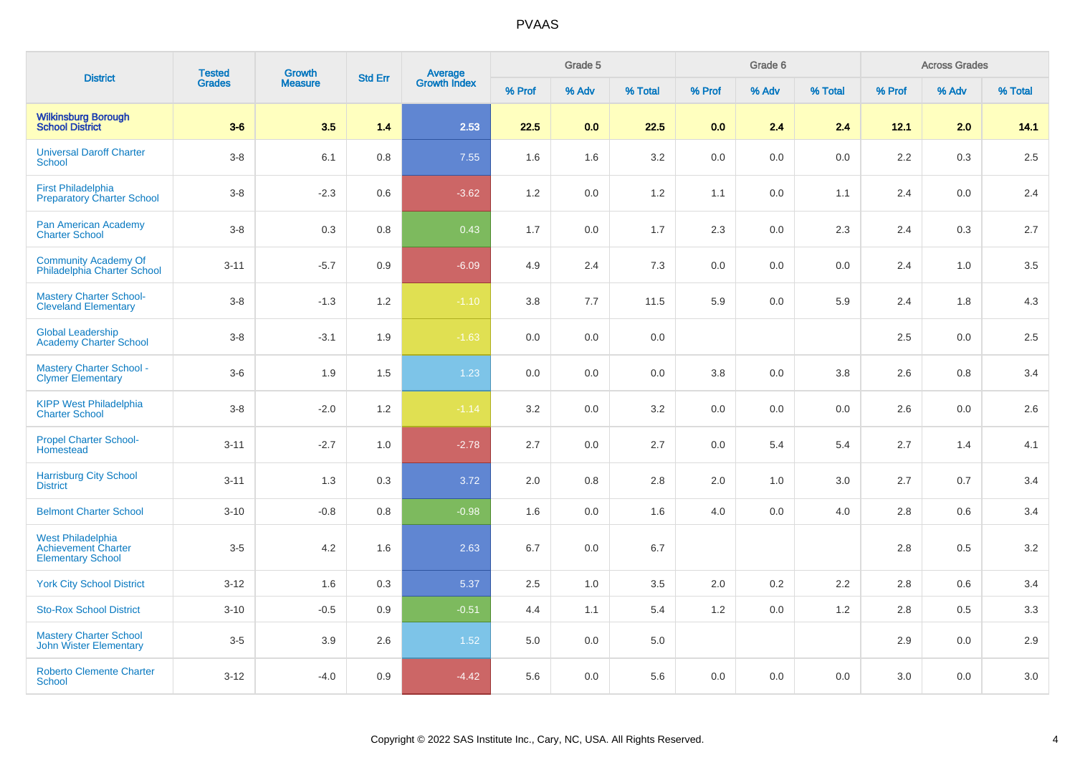| <b>District</b>                                                                    | <b>Tested</b> | <b>Growth</b>  | <b>Std Err</b> |                         |        | Grade 5 |         |         | Grade 6 |         |        | <b>Across Grades</b> |         |
|------------------------------------------------------------------------------------|---------------|----------------|----------------|-------------------------|--------|---------|---------|---------|---------|---------|--------|----------------------|---------|
|                                                                                    | <b>Grades</b> | <b>Measure</b> |                | Average<br>Growth Index | % Prof | % Adv   | % Total | % Prof  | % Adv   | % Total | % Prof | % Adv                | % Total |
| <b>Wilkinsburg Borough<br/>School District</b>                                     | $3-6$         | 3.5            | 1.4            | 2.53                    | 22.5   | 0.0     | 22.5    | 0.0     | 2.4     | 2.4     | 12.1   | 2.0                  | 14.1    |
| <b>Universal Daroff Charter</b><br><b>School</b>                                   | $3-8$         | 6.1            | 0.8            | 7.55                    | 1.6    | 1.6     | 3.2     | 0.0     | 0.0     | 0.0     | 2.2    | 0.3                  | $2.5\,$ |
| <b>First Philadelphia</b><br><b>Preparatory Charter School</b>                     | $3-8$         | $-2.3$         | 0.6            | $-3.62$                 | 1.2    | 0.0     | 1.2     | 1.1     | 0.0     | 1.1     | 2.4    | 0.0                  | 2.4     |
| Pan American Academy<br><b>Charter School</b>                                      | $3-8$         | 0.3            | 0.8            | 0.43                    | 1.7    | 0.0     | 1.7     | 2.3     | 0.0     | 2.3     | 2.4    | 0.3                  | 2.7     |
| <b>Community Academy Of</b><br>Philadelphia Charter School                         | $3 - 11$      | $-5.7$         | 0.9            | $-6.09$                 | 4.9    | 2.4     | 7.3     | $0.0\,$ | 0.0     | 0.0     | 2.4    | 1.0                  | 3.5     |
| <b>Mastery Charter School-</b><br><b>Cleveland Elementary</b>                      | $3-8$         | $-1.3$         | $1.2$          | $-1.10$                 | 3.8    | 7.7     | 11.5    | 5.9     | $0.0\,$ | 5.9     | 2.4    | 1.8                  | $4.3$   |
| <b>Global Leadership</b><br><b>Academy Charter School</b>                          | $3-8$         | $-3.1$         | 1.9            | $-1.63$                 | 0.0    | 0.0     | 0.0     |         |         |         | 2.5    | 0.0                  | 2.5     |
| <b>Mastery Charter School -</b><br><b>Clymer Elementary</b>                        | $3-6$         | 1.9            | 1.5            | 1.23                    | 0.0    | 0.0     | 0.0     | 3.8     | 0.0     | 3.8     | 2.6    | 0.8                  | 3.4     |
| <b>KIPP West Philadelphia</b><br><b>Charter School</b>                             | $3-8$         | $-2.0$         | 1.2            | $-1.14$                 | 3.2    | 0.0     | 3.2     | 0.0     | 0.0     | 0.0     | 2.6    | 0.0                  | 2.6     |
| <b>Propel Charter School-</b><br>Homestead                                         | $3 - 11$      | $-2.7$         | 1.0            | $-2.78$                 | 2.7    | 0.0     | 2.7     | 0.0     | 5.4     | 5.4     | 2.7    | 1.4                  | 4.1     |
| <b>Harrisburg City School</b><br><b>District</b>                                   | $3 - 11$      | 1.3            | 0.3            | 3.72                    | 2.0    | 0.8     | 2.8     | 2.0     | 1.0     | 3.0     | 2.7    | 0.7                  | 3.4     |
| <b>Belmont Charter School</b>                                                      | $3 - 10$      | $-0.8$         | 0.8            | $-0.98$                 | 1.6    | 0.0     | 1.6     | 4.0     | 0.0     | 4.0     | 2.8    | 0.6                  | $3.4\,$ |
| <b>West Philadelphia</b><br><b>Achievement Charter</b><br><b>Elementary School</b> | $3-5$         | 4.2            | 1.6            | 2.63                    | 6.7    | 0.0     | 6.7     |         |         |         | 2.8    | 0.5                  | 3.2     |
| <b>York City School District</b>                                                   | $3 - 12$      | 1.6            | 0.3            | 5.37                    | 2.5    | 1.0     | 3.5     | 2.0     | $0.2\,$ | 2.2     | 2.8    | 0.6                  | 3.4     |
| <b>Sto-Rox School District</b>                                                     | $3 - 10$      | $-0.5$         | 0.9            | $-0.51$                 | 4.4    | 1.1     | 5.4     | 1.2     | 0.0     | 1.2     | 2.8    | 0.5                  | 3.3     |
| <b>Mastery Charter School</b><br><b>John Wister Elementary</b>                     | $3-5$         | 3.9            | 2.6            | 1.52                    | 5.0    | 0.0     | 5.0     |         |         |         | 2.9    | $0.0\,$              | 2.9     |
| <b>Roberto Clemente Charter</b><br>School                                          | $3 - 12$      | $-4.0$         | 0.9            | $-4.42$                 | 5.6    | 0.0     | 5.6     | 0.0     | 0.0     | 0.0     | 3.0    | 0.0                  | 3.0     |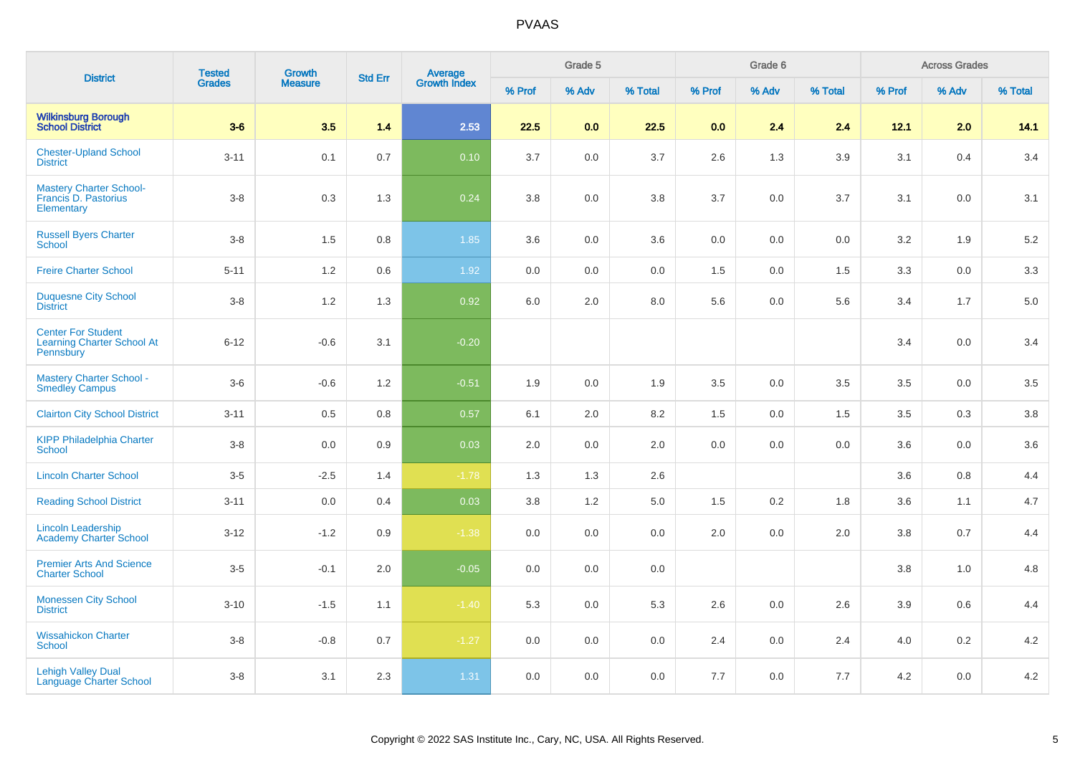| <b>District</b>                                                             | <b>Tested</b> | <b>Growth</b>  | <b>Std Err</b> |                                |        | Grade 5 |         |         | Grade 6 |         |        | <b>Across Grades</b> |         |
|-----------------------------------------------------------------------------|---------------|----------------|----------------|--------------------------------|--------|---------|---------|---------|---------|---------|--------|----------------------|---------|
|                                                                             | <b>Grades</b> | <b>Measure</b> |                | <b>Average</b><br>Growth Index | % Prof | % Adv   | % Total | % Prof  | % Adv   | % Total | % Prof | % Adv                | % Total |
| <b>Wilkinsburg Borough</b><br><b>School District</b>                        | $3-6$         | 3.5            | 1.4            | 2.53                           | 22.5   | 0.0     | 22.5    | 0.0     | 2.4     | 2.4     | 12.1   | 2.0                  | 14.1    |
| <b>Chester-Upland School</b><br><b>District</b>                             | $3 - 11$      | 0.1            | 0.7            | 0.10                           | 3.7    | 0.0     | 3.7     | 2.6     | 1.3     | 3.9     | 3.1    | 0.4                  | 3.4     |
| <b>Mastery Charter School-</b><br>Francis D. Pastorius<br>Elementary        | $3-8$         | 0.3            | 1.3            | 0.24                           | 3.8    | $0.0\,$ | $3.8\,$ | 3.7     | 0.0     | 3.7     | 3.1    | $0.0\,$              | 3.1     |
| <b>Russell Byers Charter</b><br>School                                      | $3 - 8$       | 1.5            | 0.8            | 1.85                           | 3.6    | 0.0     | 3.6     | 0.0     | 0.0     | 0.0     | 3.2    | 1.9                  | 5.2     |
| <b>Freire Charter School</b>                                                | $5 - 11$      | 1.2            | 0.6            | 1.92                           | 0.0    | 0.0     | 0.0     | 1.5     | 0.0     | 1.5     | 3.3    | 0.0                  | 3.3     |
| <b>Duquesne City School</b><br><b>District</b>                              | $3-8$         | 1.2            | 1.3            | 0.92                           | 6.0    | 2.0     | 8.0     | 5.6     | 0.0     | 5.6     | 3.4    | 1.7                  | 5.0     |
| <b>Center For Student</b><br><b>Learning Charter School At</b><br>Pennsbury | $6 - 12$      | $-0.6$         | 3.1            | $-0.20$                        |        |         |         |         |         |         | 3.4    | 0.0                  | 3.4     |
| <b>Mastery Charter School -</b><br><b>Smedley Campus</b>                    | $3-6$         | $-0.6$         | 1.2            | $-0.51$                        | 1.9    | 0.0     | 1.9     | $3.5\,$ | 0.0     | 3.5     | 3.5    | 0.0                  | 3.5     |
| <b>Clairton City School District</b>                                        | $3 - 11$      | 0.5            | 0.8            | 0.57                           | 6.1    | 2.0     | 8.2     | 1.5     | 0.0     | 1.5     | 3.5    | 0.3                  | 3.8     |
| <b>KIPP Philadelphia Charter</b><br><b>School</b>                           | $3-8$         | 0.0            | 0.9            | 0.03                           | 2.0    | 0.0     | 2.0     | 0.0     | 0.0     | 0.0     | 3.6    | 0.0                  | 3.6     |
| <b>Lincoln Charter School</b>                                               | $3-5$         | $-2.5$         | 1.4            | $-1.78$                        | 1.3    | 1.3     | 2.6     |         |         |         | 3.6    | 0.8                  | 4.4     |
| <b>Reading School District</b>                                              | $3 - 11$      | 0.0            | 0.4            | 0.03                           | 3.8    | 1.2     | $5.0\,$ | 1.5     | 0.2     | 1.8     | 3.6    | 1.1                  | 4.7     |
| <b>Lincoln Leadership</b><br><b>Academy Charter School</b>                  | $3-12$        | $-1.2$         | 0.9            | $-1.38$                        | 0.0    | 0.0     | 0.0     | $2.0\,$ | 0.0     | 2.0     | 3.8    | 0.7                  | 4.4     |
| <b>Premier Arts And Science</b><br><b>Charter School</b>                    | $3-5$         | $-0.1$         | 2.0            | $-0.05$                        | 0.0    | 0.0     | 0.0     |         |         |         | 3.8    | 1.0                  | 4.8     |
| <b>Monessen City School</b><br><b>District</b>                              | $3 - 10$      | $-1.5$         | 1.1            | $-1.40$                        | 5.3    | 0.0     | 5.3     | 2.6     | 0.0     | 2.6     | 3.9    | 0.6                  | 4.4     |
| <b>Wissahickon Charter</b><br><b>School</b>                                 | $3-8$         | $-0.8$         | 0.7            | $-1.27$                        | 0.0    | 0.0     | 0.0     | 2.4     | 0.0     | 2.4     | 4.0    | 0.2                  | 4.2     |
| <b>Lehigh Valley Dual</b><br>Language Charter School                        | $3-8$         | 3.1            | 2.3            | 1.31                           | 0.0    | 0.0     | $0.0\,$ | 7.7     | 0.0     | 7.7     | 4.2    | 0.0                  | 4.2     |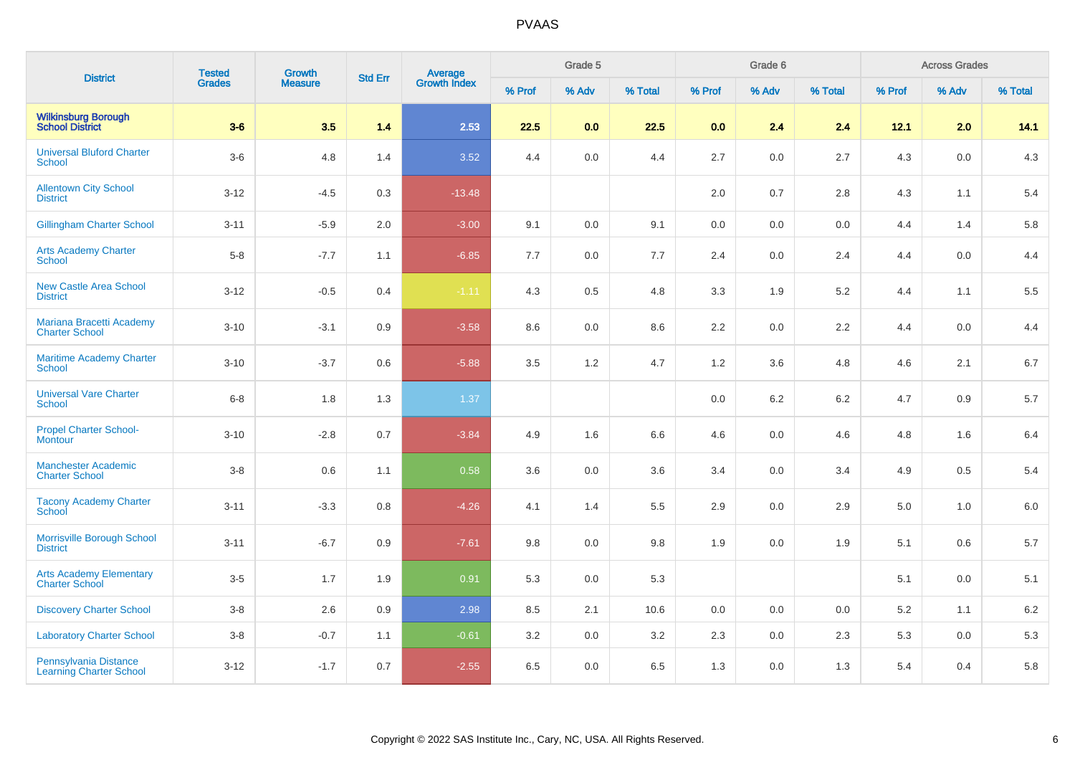| <b>District</b>                                         | <b>Tested</b> | Growth         | <b>Std Err</b> |                                |        | Grade 5 |         |         | Grade 6 |         |        | <b>Across Grades</b> |         |
|---------------------------------------------------------|---------------|----------------|----------------|--------------------------------|--------|---------|---------|---------|---------|---------|--------|----------------------|---------|
|                                                         | <b>Grades</b> | <b>Measure</b> |                | <b>Average</b><br>Growth Index | % Prof | % Adv   | % Total | % Prof  | % Adv   | % Total | % Prof | % Adv                | % Total |
| <b>Wilkinsburg Borough</b><br><b>School District</b>    | $3-6$         | 3.5            | 1.4            | 2.53                           | 22.5   | 0.0     | 22.5    | 0.0     | 2.4     | 2.4     | 12.1   | 2.0                  | 14.1    |
| <b>Universal Bluford Charter</b><br>School              | $3-6$         | 4.8            | 1.4            | 3.52                           | 4.4    | 0.0     | 4.4     | $2.7\,$ | 0.0     | 2.7     | 4.3    | $0.0\,$              | 4.3     |
| <b>Allentown City School</b><br><b>District</b>         | $3 - 12$      | $-4.5$         | 0.3            | $-13.48$                       |        |         |         | 2.0     | 0.7     | 2.8     | 4.3    | 1.1                  | 5.4     |
| <b>Gillingham Charter School</b>                        | $3 - 11$      | $-5.9$         | 2.0            | $-3.00$                        | 9.1    | 0.0     | 9.1     | 0.0     | 0.0     | 0.0     | 4.4    | 1.4                  | 5.8     |
| <b>Arts Academy Charter</b><br><b>School</b>            | $5-8$         | $-7.7$         | 1.1            | $-6.85$                        | 7.7    | 0.0     | 7.7     | 2.4     | 0.0     | 2.4     | 4.4    | 0.0                  | 4.4     |
| <b>New Castle Area School</b><br><b>District</b>        | $3-12$        | $-0.5$         | 0.4            | $-1.11$                        | 4.3    | 0.5     | 4.8     | 3.3     | 1.9     | $5.2\,$ | 4.4    | 1.1                  | 5.5     |
| Mariana Bracetti Academy<br><b>Charter School</b>       | $3 - 10$      | $-3.1$         | 0.9            | $-3.58$                        | 8.6    | $0.0\,$ | 8.6     | 2.2     | 0.0     | 2.2     | 4.4    | 0.0                  | 4.4     |
| <b>Maritime Academy Charter</b><br><b>School</b>        | $3 - 10$      | $-3.7$         | 0.6            | $-5.88$                        | 3.5    | 1.2     | 4.7     | 1.2     | 3.6     | 4.8     | 4.6    | 2.1                  | $6.7\,$ |
| <b>Universal Vare Charter</b><br><b>School</b>          | $6 - 8$       | 1.8            | 1.3            | 1.37                           |        |         |         | 0.0     | 6.2     | 6.2     | 4.7    | 0.9                  | $5.7\,$ |
| <b>Propel Charter School-</b><br><b>Montour</b>         | $3 - 10$      | $-2.8$         | 0.7            | $-3.84$                        | 4.9    | 1.6     | 6.6     | 4.6     | 0.0     | 4.6     | 4.8    | 1.6                  | 6.4     |
| <b>Manchester Academic</b><br><b>Charter School</b>     | $3-8$         | 0.6            | 1.1            | 0.58                           | 3.6    | 0.0     | 3.6     | 3.4     | 0.0     | 3.4     | 4.9    | 0.5                  | 5.4     |
| <b>Tacony Academy Charter</b><br>School                 | $3 - 11$      | $-3.3$         | 0.8            | $-4.26$                        | 4.1    | 1.4     | 5.5     | 2.9     | 0.0     | 2.9     | 5.0    | 1.0                  | 6.0     |
| Morrisville Borough School<br><b>District</b>           | $3 - 11$      | $-6.7$         | 0.9            | $-7.61$                        | 9.8    | 0.0     | 9.8     | 1.9     | 0.0     | 1.9     | 5.1    | 0.6                  | $5.7\,$ |
| <b>Arts Academy Elementary</b><br><b>Charter School</b> | $3-5$         | 1.7            | 1.9            | 0.91                           | 5.3    | 0.0     | 5.3     |         |         |         | 5.1    | 0.0                  | 5.1     |
| <b>Discovery Charter School</b>                         | $3-8$         | 2.6            | 0.9            | 2.98                           | 8.5    | 2.1     | 10.6    | 0.0     | 0.0     | 0.0     | 5.2    | 1.1                  | 6.2     |
| <b>Laboratory Charter School</b>                        | $3-8$         | $-0.7$         | 1.1            | $-0.61$                        | 3.2    | 0.0     | 3.2     | 2.3     | 0.0     | 2.3     | 5.3    | 0.0                  | 5.3     |
| Pennsylvania Distance<br><b>Learning Charter School</b> | $3 - 12$      | $-1.7$         | 0.7            | $-2.55$                        | 6.5    | 0.0     | 6.5     | 1.3     | $0.0\,$ | 1.3     | 5.4    | 0.4                  | 5.8     |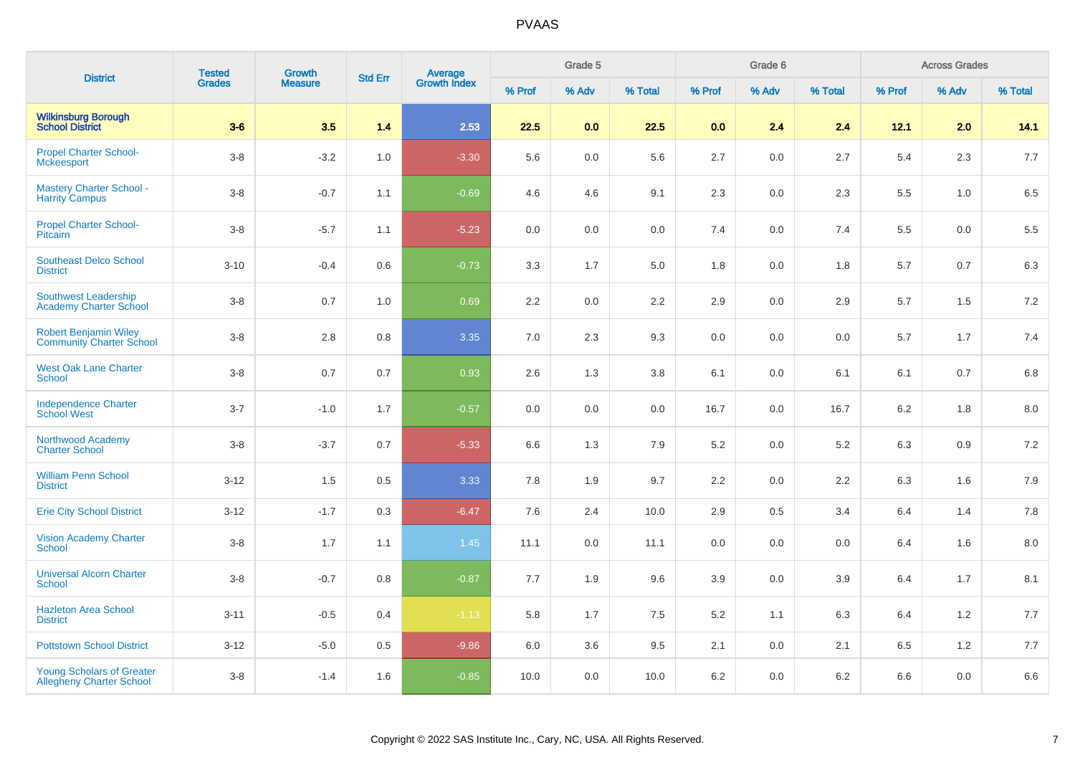| <b>District</b>                                                     | <b>Tested</b> | Growth         | <b>Std Err</b> |                                |        | Grade 5 |         |        | Grade 6 |         |        | <b>Across Grades</b> |         |
|---------------------------------------------------------------------|---------------|----------------|----------------|--------------------------------|--------|---------|---------|--------|---------|---------|--------|----------------------|---------|
|                                                                     | <b>Grades</b> | <b>Measure</b> |                | <b>Average</b><br>Growth Index | % Prof | % Adv   | % Total | % Prof | % Adv   | % Total | % Prof | % Adv                | % Total |
| <b>Wilkinsburg Borough<br/>School District</b>                      | $3-6$         | 3.5            | 1.4            | 2.53                           | 22.5   | 0.0     | 22.5    | 0.0    | 2.4     | 2.4     | 12.1   | 2.0                  | 14.1    |
| <b>Propel Charter School-</b><br><b>Mckeesport</b>                  | $3-8$         | $-3.2$         | 1.0            | $-3.30$                        | 5.6    | $0.0\,$ | 5.6     | 2.7    | 0.0     | 2.7     | 5.4    | 2.3                  | 7.7     |
| <b>Mastery Charter School -</b><br><b>Harrity Campus</b>            | $3-8$         | $-0.7$         | 1.1            | $-0.69$                        | 4.6    | 4.6     | 9.1     | 2.3    | 0.0     | 2.3     | 5.5    | 1.0                  | 6.5     |
| <b>Propel Charter School-</b><br>Pitcairn                           | $3-8$         | $-5.7$         | 1.1            | $-5.23$                        | 0.0    | 0.0     | 0.0     | 7.4    | 0.0     | 7.4     | 5.5    | $0.0\,$              | 5.5     |
| <b>Southeast Delco School</b><br><b>District</b>                    | $3 - 10$      | $-0.4$         | 0.6            | $-0.73$                        | 3.3    | 1.7     | 5.0     | 1.8    | 0.0     | 1.8     | 5.7    | 0.7                  | 6.3     |
| Southwest Leadership<br><b>Academy Charter School</b>               | $3-8$         | 0.7            | 1.0            | 0.69                           | 2.2    | 0.0     | 2.2     | 2.9    | 0.0     | 2.9     | 5.7    | 1.5                  | 7.2     |
| <b>Robert Benjamin Wiley</b><br><b>Community Charter School</b>     | $3-8$         | $2.8\,$        | 0.8            | 3.35                           | 7.0    | 2.3     | 9.3     | 0.0    | 0.0     | 0.0     | 5.7    | 1.7                  | 7.4     |
| <b>West Oak Lane Charter</b><br><b>School</b>                       | $3-8$         | 0.7            | 0.7            | 0.93                           | 2.6    | 1.3     | 3.8     | 6.1    | 0.0     | 6.1     | 6.1    | 0.7                  | 6.8     |
| <b>Independence Charter</b><br><b>School West</b>                   | $3 - 7$       | $-1.0$         | 1.7            | $-0.57$                        | 0.0    | 0.0     | 0.0     | 16.7   | 0.0     | 16.7    | 6.2    | 1.8                  | $8.0\,$ |
| Northwood Academy<br><b>Charter School</b>                          | $3-8$         | $-3.7$         | 0.7            | $-5.33$                        | 6.6    | 1.3     | 7.9     | 5.2    | 0.0     | 5.2     | 6.3    | 0.9                  | 7.2     |
| <b>William Penn School</b><br><b>District</b>                       | $3 - 12$      | 1.5            | 0.5            | 3.33                           | 7.8    | 1.9     | 9.7     | 2.2    | 0.0     | 2.2     | 6.3    | 1.6                  | 7.9     |
| <b>Erie City School District</b>                                    | $3-12$        | $-1.7$         | 0.3            | $-6.47$                        | 7.6    | 2.4     | 10.0    | 2.9    | 0.5     | 3.4     | 6.4    | 1.4                  | 7.8     |
| <b>Vision Academy Charter</b><br><b>School</b>                      | $3-8$         | 1.7            | 1.1            | $1.45$                         | 11.1   | 0.0     | 11.1    | 0.0    | 0.0     | 0.0     | 6.4    | 1.6                  | 8.0     |
| <b>Universal Alcorn Charter</b><br><b>School</b>                    | $3-8$         | $-0.7$         | 0.8            | $-0.87$                        | 7.7    | 1.9     | 9.6     | 3.9    | 0.0     | 3.9     | 6.4    | 1.7                  | 8.1     |
| <b>Hazleton Area School</b><br><b>District</b>                      | $3 - 11$      | $-0.5$         | 0.4            | $-1.13$                        | 5.8    | 1.7     | 7.5     | 5.2    | 1.1     | 6.3     | 6.4    | 1.2                  | 7.7     |
| <b>Pottstown School District</b>                                    | $3-12$        | $-5.0$         | 0.5            | $-9.86$                        | 6.0    | 3.6     | 9.5     | 2.1    | 0.0     | 2.1     | 6.5    | 1.2                  | 7.7     |
| <b>Young Scholars of Greater</b><br><b>Allegheny Charter School</b> | $3-8$         | $-1.4$         | 1.6            | $-0.85$                        | 10.0   | 0.0     | 10.0    | 6.2    | 0.0     | $6.2\,$ | 6.6    | 0.0                  | 6.6     |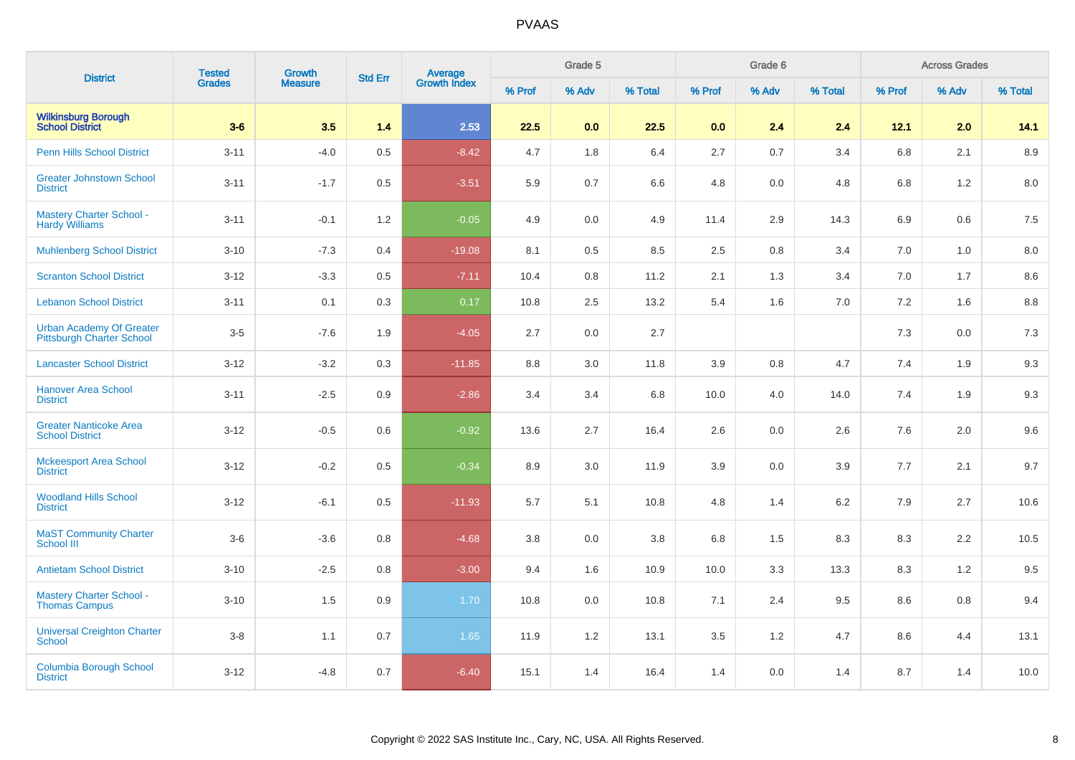| <b>District</b>                                              | <b>Tested</b> | Growth         | <b>Std Err</b> |                                |        | Grade 5 |         |        | Grade 6 |         |         | <b>Across Grades</b> |         |
|--------------------------------------------------------------|---------------|----------------|----------------|--------------------------------|--------|---------|---------|--------|---------|---------|---------|----------------------|---------|
|                                                              | <b>Grades</b> | <b>Measure</b> |                | <b>Average</b><br>Growth Index | % Prof | % Adv   | % Total | % Prof | % Adv   | % Total | % Prof  | % Adv                | % Total |
| <b>Wilkinsburg Borough</b><br><b>School District</b>         | $3-6$         | 3.5            | 1.4            | 2.53                           | 22.5   | 0.0     | 22.5    | 0.0    | 2.4     | 2.4     | $12.1$  | 2.0                  | 14.1    |
| <b>Penn Hills School District</b>                            | $3 - 11$      | $-4.0$         | 0.5            | $-8.42$                        | 4.7    | 1.8     | 6.4     | 2.7    | 0.7     | 3.4     | $6.8\,$ | 2.1                  | 8.9     |
| <b>Greater Johnstown School</b><br><b>District</b>           | $3 - 11$      | $-1.7$         | 0.5            | $-3.51$                        | 5.9    | 0.7     | 6.6     | 4.8    | 0.0     | 4.8     | 6.8     | 1.2                  | 8.0     |
| <b>Mastery Charter School -</b><br><b>Hardy Williams</b>     | $3 - 11$      | $-0.1$         | 1.2            | $-0.05$                        | 4.9    | 0.0     | 4.9     | 11.4   | 2.9     | 14.3    | 6.9     | 0.6                  | 7.5     |
| <b>Muhlenberg School District</b>                            | $3 - 10$      | $-7.3$         | 0.4            | $-19.08$                       | 8.1    | 0.5     | 8.5     | 2.5    | 0.8     | 3.4     | 7.0     | 1.0                  | 8.0     |
| <b>Scranton School District</b>                              | $3 - 12$      | $-3.3$         | 0.5            | $-7.11$                        | 10.4   | 0.8     | 11.2    | 2.1    | 1.3     | 3.4     | 7.0     | 1.7                  | 8.6     |
| <b>Lebanon School District</b>                               | $3 - 11$      | 0.1            | 0.3            | 0.17                           | 10.8   | 2.5     | 13.2    | 5.4    | 1.6     | 7.0     | $7.2\,$ | 1.6                  | 8.8     |
| <b>Urban Academy Of Greater</b><br>Pittsburgh Charter School | $3-5$         | $-7.6$         | 1.9            | $-4.05$                        | 2.7    | 0.0     | 2.7     |        |         |         | 7.3     | 0.0                  | 7.3     |
| <b>Lancaster School District</b>                             | $3 - 12$      | $-3.2$         | 0.3            | $-11.85$                       | 8.8    | 3.0     | 11.8    | 3.9    | 0.8     | 4.7     | 7.4     | 1.9                  | 9.3     |
| <b>Hanover Area School</b><br><b>District</b>                | $3 - 11$      | $-2.5$         | 0.9            | $-2.86$                        | 3.4    | 3.4     | 6.8     | 10.0   | 4.0     | 14.0    | 7.4     | 1.9                  | 9.3     |
| <b>Greater Nanticoke Area</b><br><b>School District</b>      | $3 - 12$      | $-0.5$         | 0.6            | $-0.92$                        | 13.6   | 2.7     | 16.4    | 2.6    | 0.0     | 2.6     | 7.6     | 2.0                  | 9.6     |
| <b>Mckeesport Area School</b><br><b>District</b>             | $3 - 12$      | $-0.2$         | 0.5            | $-0.34$                        | 8.9    | 3.0     | 11.9    | 3.9    | 0.0     | 3.9     | 7.7     | 2.1                  | 9.7     |
| <b>Woodland Hills School</b><br><b>District</b>              | $3 - 12$      | $-6.1$         | 0.5            | $-11.93$                       | 5.7    | 5.1     | 10.8    | 4.8    | 1.4     | 6.2     | 7.9     | 2.7                  | 10.6    |
| <b>MaST Community Charter</b><br><b>School III</b>           | $3-6$         | $-3.6$         | 0.8            | $-4.68$                        | 3.8    | 0.0     | 3.8     | 6.8    | 1.5     | 8.3     | 8.3     | 2.2                  | 10.5    |
| <b>Antietam School District</b>                              | $3 - 10$      | $-2.5$         | 0.8            | $-3.00$                        | 9.4    | 1.6     | 10.9    | 10.0   | 3.3     | 13.3    | 8.3     | 1.2                  | 9.5     |
| <b>Mastery Charter School -</b><br><b>Thomas Campus</b>      | $3 - 10$      | 1.5            | 0.9            | 1.70                           | 10.8   | 0.0     | 10.8    | 7.1    | 2.4     | 9.5     | 8.6     | 0.8                  | 9.4     |
| <b>Universal Creighton Charter</b><br><b>School</b>          | $3-8$         | 1.1            | 0.7            | 1.65                           | 11.9   | 1.2     | 13.1    | 3.5    | 1.2     | 4.7     | 8.6     | 4.4                  | 13.1    |
| <b>Columbia Borough School</b><br><b>District</b>            | $3 - 12$      | $-4.8$         | 0.7            | $-6.40$                        | 15.1   | 1.4     | 16.4    | 1.4    | 0.0     | 1.4     | 8.7     | 1.4                  | 10.0    |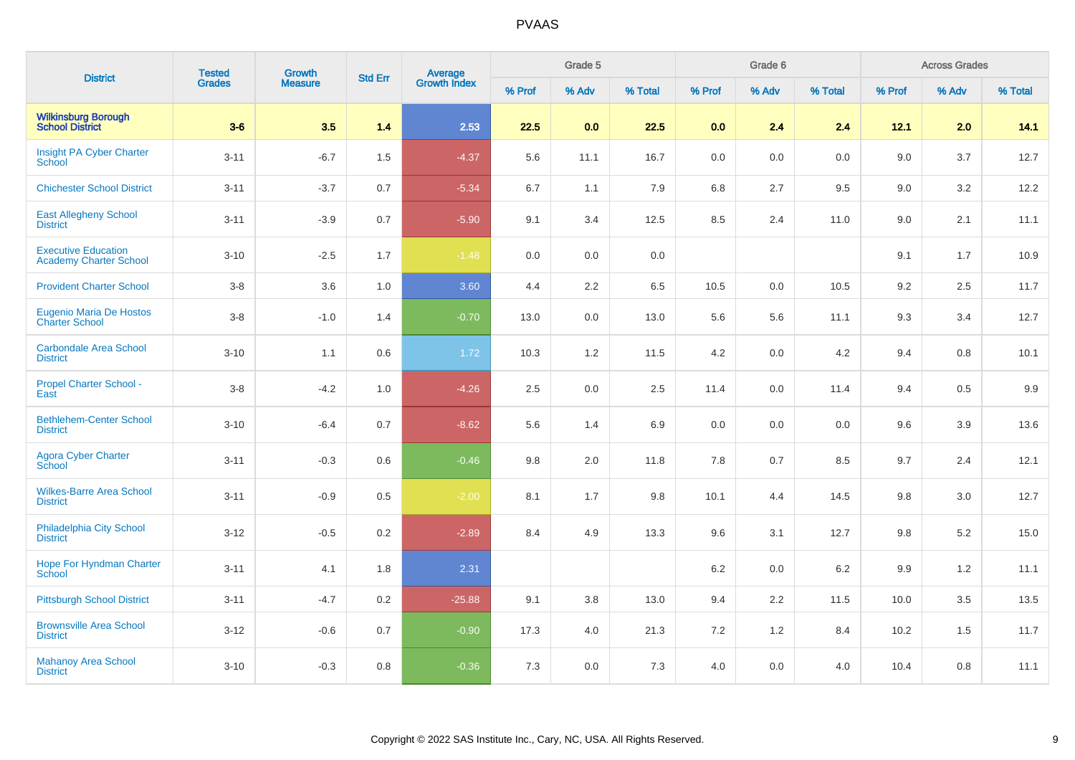| <b>District</b>                                             | <b>Tested</b> | <b>Growth</b><br><b>Measure</b> | <b>Std Err</b> | Average<br>Growth Index |        | Grade 5 |         |         | Grade 6 |         |         | <b>Across Grades</b> |         |
|-------------------------------------------------------------|---------------|---------------------------------|----------------|-------------------------|--------|---------|---------|---------|---------|---------|---------|----------------------|---------|
|                                                             | Grades        |                                 |                |                         | % Prof | % Adv   | % Total | % Prof  | % Adv   | % Total | % Prof  | % Adv                | % Total |
| <b>Wilkinsburg Borough</b><br><b>School District</b>        | $3-6$         | 3.5                             | 1.4            | 2.53                    | 22.5   | 0.0     | 22.5    | 0.0     | 2.4     | 2.4     | 12.1    | 2.0                  | 14.1    |
| Insight PA Cyber Charter<br>School                          | $3 - 11$      | $-6.7$                          | 1.5            | $-4.37$                 | 5.6    | 11.1    | 16.7    | 0.0     | 0.0     | 0.0     | 9.0     | 3.7                  | 12.7    |
| <b>Chichester School District</b>                           | $3 - 11$      | $-3.7$                          | 0.7            | $-5.34$                 | 6.7    | 1.1     | 7.9     | 6.8     | 2.7     | 9.5     | 9.0     | 3.2                  | 12.2    |
| <b>East Allegheny School</b><br><b>District</b>             | $3 - 11$      | $-3.9$                          | $0.7\,$        | $-5.90$                 | 9.1    | 3.4     | 12.5    | 8.5     | 2.4     | 11.0    | 9.0     | 2.1                  | 11.1    |
| <b>Executive Education</b><br><b>Academy Charter School</b> | $3 - 10$      | $-2.5$                          | 1.7            | $-1.48$                 | 0.0    | 0.0     | 0.0     |         |         |         | 9.1     | 1.7                  | 10.9    |
| <b>Provident Charter School</b>                             | $3-8$         | 3.6                             | 1.0            | 3.60                    | 4.4    | 2.2     | 6.5     | 10.5    | 0.0     | 10.5    | 9.2     | 2.5                  | 11.7    |
| <b>Eugenio Maria De Hostos</b><br><b>Charter School</b>     | $3-8$         | $-1.0$                          | 1.4            | $-0.70$                 | 13.0   | 0.0     | 13.0    | 5.6     | 5.6     | 11.1    | 9.3     | 3.4                  | 12.7    |
| <b>Carbondale Area School</b><br><b>District</b>            | $3 - 10$      | 1.1                             | $0.6\,$        | 1.72                    | 10.3   | 1.2     | 11.5    | 4.2     | 0.0     | 4.2     | 9.4     | 0.8                  | 10.1    |
| <b>Propel Charter School -</b><br>East                      | $3 - 8$       | $-4.2$                          | 1.0            | $-4.26$                 | 2.5    | 0.0     | 2.5     | 11.4    | 0.0     | 11.4    | 9.4     | 0.5                  | 9.9     |
| <b>Bethlehem-Center School</b><br><b>District</b>           | $3 - 10$      | $-6.4$                          | 0.7            | $-8.62$                 | 5.6    | 1.4     | 6.9     | $0.0\,$ | 0.0     | 0.0     | 9.6     | 3.9                  | 13.6    |
| <b>Agora Cyber Charter</b><br>School                        | $3 - 11$      | $-0.3$                          | 0.6            | $-0.46$                 | 9.8    | 2.0     | 11.8    | 7.8     | 0.7     | 8.5     | 9.7     | 2.4                  | 12.1    |
| <b>Wilkes-Barre Area School</b><br><b>District</b>          | $3 - 11$      | $-0.9$                          | 0.5            | $-2.00$                 | 8.1    | 1.7     | 9.8     | 10.1    | 4.4     | 14.5    | $9.8\,$ | 3.0                  | 12.7    |
| Philadelphia City School<br><b>District</b>                 | $3-12$        | $-0.5$                          | 0.2            | $-2.89$                 | 8.4    | 4.9     | 13.3    | 9.6     | 3.1     | 12.7    | 9.8     | 5.2                  | 15.0    |
| <b>Hope For Hyndman Charter</b><br><b>School</b>            | $3 - 11$      | 4.1                             | 1.8            | 2.31                    |        |         |         | 6.2     | 0.0     | $6.2\,$ | 9.9     | 1.2                  | 11.1    |
| <b>Pittsburgh School District</b>                           | $3 - 11$      | $-4.7$                          | 0.2            | $-25.88$                | 9.1    | 3.8     | 13.0    | 9.4     | 2.2     | 11.5    | 10.0    | 3.5                  | 13.5    |
| <b>Brownsville Area School</b><br><b>District</b>           | $3 - 12$      | $-0.6$                          | 0.7            | $-0.90$                 | 17.3   | 4.0     | 21.3    | 7.2     | 1.2     | 8.4     | 10.2    | 1.5                  | 11.7    |
| <b>Mahanoy Area School</b><br><b>District</b>               | $3 - 10$      | $-0.3$                          | 0.8            | $-0.36$                 | 7.3    | 0.0     | 7.3     | 4.0     | 0.0     | 4.0     | 10.4    | 0.8                  | 11.1    |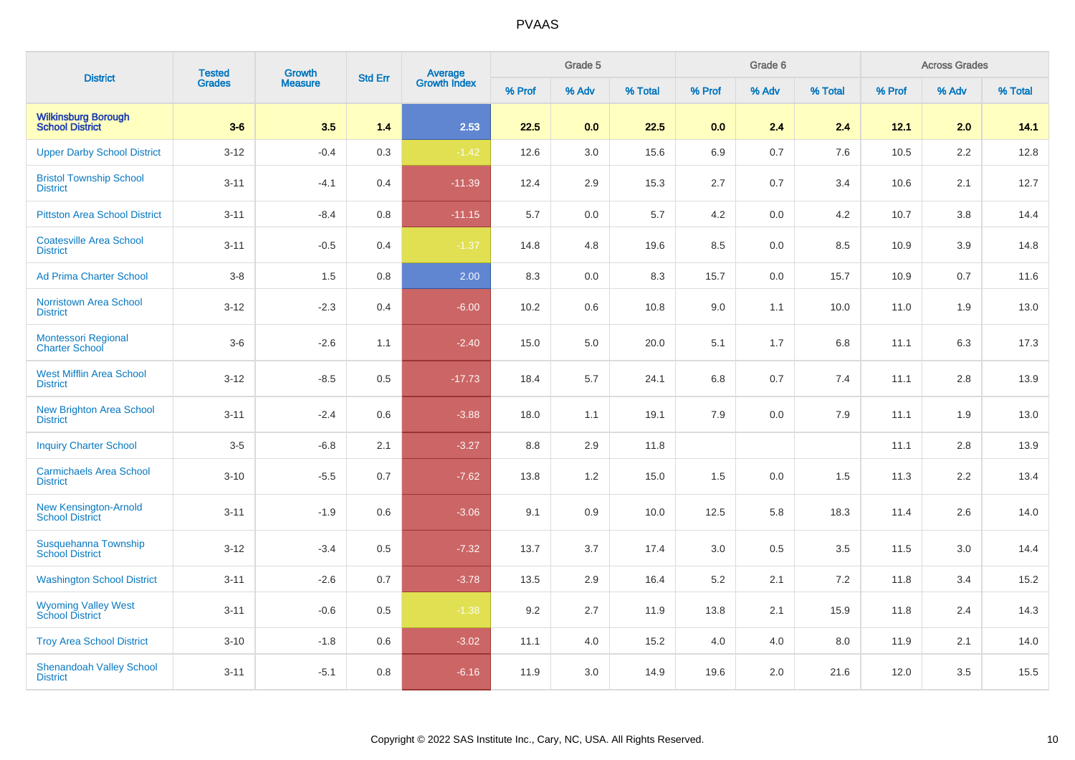| <b>District</b>                                        | <b>Tested</b> |                          | <b>Std Err</b> |                                |        | Grade 5 |         |        | Grade 6 |         |        | <b>Across Grades</b> |         |
|--------------------------------------------------------|---------------|--------------------------|----------------|--------------------------------|--------|---------|---------|--------|---------|---------|--------|----------------------|---------|
|                                                        | <b>Grades</b> | <b>Growth</b><br>Measure |                | <b>Average</b><br>Growth Index | % Prof | % Adv   | % Total | % Prof | % Adv   | % Total | % Prof | % Adv                | % Total |
| <b>Wilkinsburg Borough</b><br><b>School District</b>   | $3-6$         | 3.5                      | 1.4            | 2.53                           | 22.5   | 0.0     | 22.5    | 0.0    | 2.4     | 2.4     | 12.1   | 2.0                  | 14.1    |
| <b>Upper Darby School District</b>                     | $3 - 12$      | $-0.4$                   | 0.3            | $-1.42$                        | 12.6   | 3.0     | 15.6    | 6.9    | 0.7     | 7.6     | 10.5   | 2.2                  | 12.8    |
| <b>Bristol Township School</b><br><b>District</b>      | $3 - 11$      | $-4.1$                   | 0.4            | $-11.39$                       | 12.4   | 2.9     | 15.3    | 2.7    | 0.7     | 3.4     | 10.6   | 2.1                  | 12.7    |
| <b>Pittston Area School District</b>                   | $3 - 11$      | $-8.4$                   | 0.8            | $-11.15$                       | 5.7    | 0.0     | 5.7     | 4.2    | 0.0     | 4.2     | 10.7   | 3.8                  | 14.4    |
| <b>Coatesville Area School</b><br><b>District</b>      | $3 - 11$      | $-0.5$                   | 0.4            | $-1.37$                        | 14.8   | 4.8     | 19.6    | 8.5    | 0.0     | 8.5     | 10.9   | 3.9                  | 14.8    |
| <b>Ad Prima Charter School</b>                         | $3 - 8$       | $1.5$                    | 0.8            | 2.00                           | 8.3    | 0.0     | 8.3     | 15.7   | 0.0     | 15.7    | 10.9   | 0.7                  | 11.6    |
| <b>Norristown Area School</b><br><b>District</b>       | $3 - 12$      | $-2.3$                   | 0.4            | $-6.00$                        | 10.2   | 0.6     | 10.8    | 9.0    | 1.1     | 10.0    | 11.0   | 1.9                  | 13.0    |
| Montessori Regional<br><b>Charter School</b>           | $3-6$         | $-2.6$                   | 1.1            | $-2.40$                        | 15.0   | 5.0     | 20.0    | 5.1    | 1.7     | 6.8     | 11.1   | 6.3                  | 17.3    |
| <b>West Mifflin Area School</b><br><b>District</b>     | $3 - 12$      | $-8.5$                   | 0.5            | $-17.73$                       | 18.4   | 5.7     | 24.1    | 6.8    | 0.7     | 7.4     | 11.1   | 2.8                  | 13.9    |
| <b>New Brighton Area School</b><br><b>District</b>     | $3 - 11$      | $-2.4$                   | 0.6            | $-3.88$                        | 18.0   | 1.1     | 19.1    | 7.9    | 0.0     | 7.9     | 11.1   | 1.9                  | 13.0    |
| <b>Inquiry Charter School</b>                          | $3-5$         | $-6.8$                   | 2.1            | $-3.27$                        | 8.8    | 2.9     | 11.8    |        |         |         | 11.1   | 2.8                  | 13.9    |
| <b>Carmichaels Area School</b><br><b>District</b>      | $3 - 10$      | $-5.5$                   | 0.7            | $-7.62$                        | 13.8   | 1.2     | 15.0    | 1.5    | 0.0     | 1.5     | 11.3   | 2.2                  | 13.4    |
| <b>New Kensington-Arnold</b><br><b>School District</b> | $3 - 11$      | $-1.9$                   | 0.6            | $-3.06$                        | 9.1    | 0.9     | 10.0    | 12.5   | 5.8     | 18.3    | 11.4   | 2.6                  | 14.0    |
| Susquehanna Township<br><b>School District</b>         | $3 - 12$      | $-3.4$                   | 0.5            | $-7.32$                        | 13.7   | 3.7     | 17.4    | 3.0    | 0.5     | 3.5     | 11.5   | 3.0                  | 14.4    |
| <b>Washington School District</b>                      | $3 - 11$      | $-2.6$                   | 0.7            | $-3.78$                        | 13.5   | 2.9     | 16.4    | 5.2    | 2.1     | 7.2     | 11.8   | 3.4                  | 15.2    |
| <b>Wyoming Valley West</b><br><b>School District</b>   | $3 - 11$      | $-0.6$                   | 0.5            | $-1.38$                        | 9.2    | 2.7     | 11.9    | 13.8   | 2.1     | 15.9    | 11.8   | 2.4                  | 14.3    |
| <b>Troy Area School District</b>                       | $3 - 10$      | $-1.8$                   | 0.6            | $-3.02$                        | 11.1   | 4.0     | 15.2    | 4.0    | 4.0     | 8.0     | 11.9   | 2.1                  | 14.0    |
| <b>Shenandoah Valley School</b><br><b>District</b>     | $3 - 11$      | $-5.1$                   | 0.8            | $-6.16$                        | 11.9   | 3.0     | 14.9    | 19.6   | 2.0     | 21.6    | 12.0   | 3.5                  | 15.5    |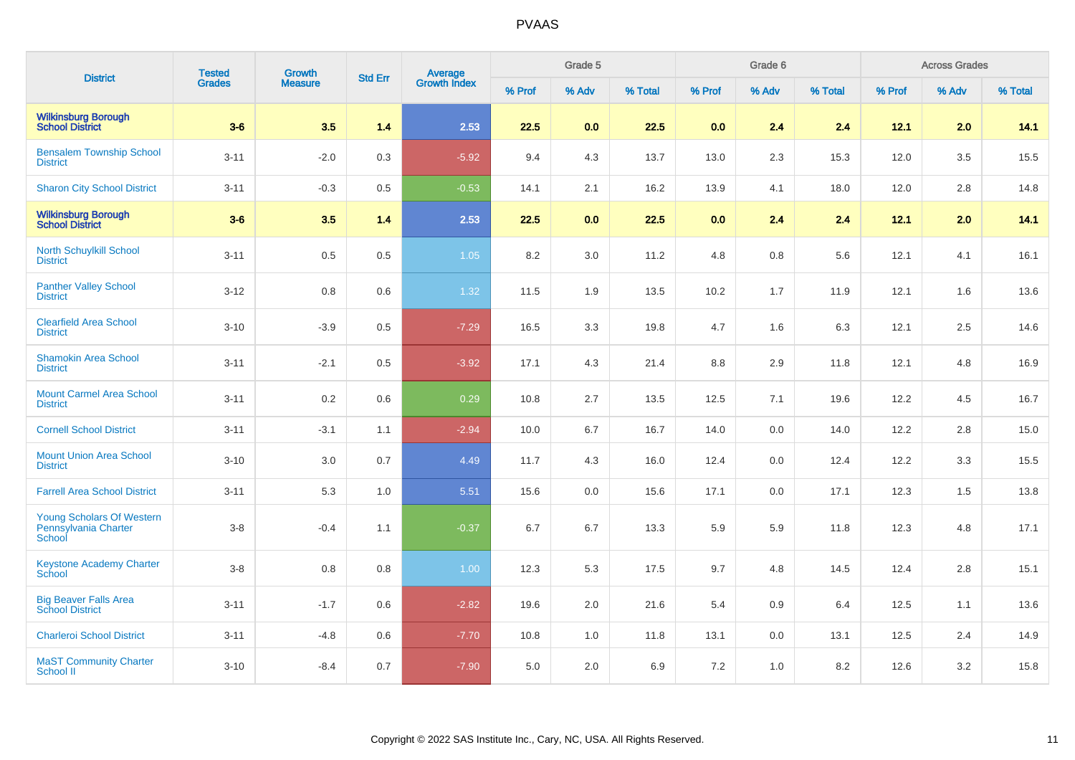| <b>District</b>                                                    | <b>Tested</b> | Growth         | <b>Std Err</b> |                                |        | Grade 5 |         |         | Grade 6 |         |        | <b>Across Grades</b> |         |
|--------------------------------------------------------------------|---------------|----------------|----------------|--------------------------------|--------|---------|---------|---------|---------|---------|--------|----------------------|---------|
|                                                                    | <b>Grades</b> | <b>Measure</b> |                | <b>Average</b><br>Growth Index | % Prof | % Adv   | % Total | % Prof  | % Adv   | % Total | % Prof | % Adv                | % Total |
| <b>Wilkinsburg Borough</b><br><b>School District</b>               | $3-6$         | 3.5            | 1.4            | 2.53                           | 22.5   | 0.0     | 22.5    | 0.0     | 2.4     | 2.4     | 12.1   | 2.0                  | 14.1    |
| <b>Bensalem Township School</b><br><b>District</b>                 | $3 - 11$      | $-2.0$         | 0.3            | $-5.92$                        | 9.4    | 4.3     | 13.7    | 13.0    | 2.3     | 15.3    | 12.0   | 3.5                  | 15.5    |
| <b>Sharon City School District</b>                                 | $3 - 11$      | $-0.3$         | $0.5\,$        | $-0.53$                        | 14.1   | 2.1     | 16.2    | 13.9    | 4.1     | 18.0    | 12.0   | 2.8                  | 14.8    |
| <b>Wilkinsburg Borough<br/>School District</b>                     | $3-6$         | 3.5            | 1.4            | 2.53                           | 22.5   | 0.0     | 22.5    | 0.0     | 2.4     | 2.4     | 12.1   | 2.0                  | 14.1    |
| <b>North Schuylkill School</b><br><b>District</b>                  | $3 - 11$      | 0.5            | $0.5\,$        | 1.05                           | 8.2    | 3.0     | 11.2    | 4.8     | $0.8\,$ | 5.6     | 12.1   | 4.1                  | 16.1    |
| <b>Panther Valley School</b><br><b>District</b>                    | $3-12$        | 0.8            | 0.6            | 1.32                           | 11.5   | 1.9     | 13.5    | 10.2    | 1.7     | 11.9    | 12.1   | 1.6                  | 13.6    |
| <b>Clearfield Area School</b><br><b>District</b>                   | $3 - 10$      | $-3.9$         | 0.5            | $-7.29$                        | 16.5   | 3.3     | 19.8    | 4.7     | 1.6     | 6.3     | 12.1   | 2.5                  | 14.6    |
| <b>Shamokin Area School</b><br><b>District</b>                     | $3 - 11$      | $-2.1$         | $0.5\,$        | $-3.92$                        | 17.1   | 4.3     | 21.4    | $8.8\,$ | 2.9     | 11.8    | 12.1   | 4.8                  | 16.9    |
| <b>Mount Carmel Area School</b><br><b>District</b>                 | $3 - 11$      | 0.2            | 0.6            | 0.29                           | 10.8   | 2.7     | 13.5    | 12.5    | 7.1     | 19.6    | 12.2   | 4.5                  | 16.7    |
| <b>Cornell School District</b>                                     | $3 - 11$      | $-3.1$         | 1.1            | $-2.94$                        | 10.0   | 6.7     | 16.7    | 14.0    | 0.0     | 14.0    | 12.2   | 2.8                  | 15.0    |
| <b>Mount Union Area School</b><br><b>District</b>                  | $3 - 10$      | 3.0            | 0.7            | 4.49                           | 11.7   | 4.3     | 16.0    | 12.4    | 0.0     | 12.4    | 12.2   | 3.3                  | 15.5    |
| <b>Farrell Area School District</b>                                | $3 - 11$      | 5.3            | 1.0            | 5.51                           | 15.6   | 0.0     | 15.6    | 17.1    | 0.0     | 17.1    | 12.3   | 1.5                  | 13.8    |
| <b>Young Scholars Of Western</b><br>Pennsylvania Charter<br>School | $3-8$         | $-0.4$         | 1.1            | $-0.37$                        | 6.7    | 6.7     | 13.3    | 5.9     | 5.9     | 11.8    | 12.3   | 4.8                  | 17.1    |
| <b>Keystone Academy Charter</b><br>School                          | $3-8$         | 0.8            | 0.8            | 1.00                           | 12.3   | 5.3     | 17.5    | 9.7     | 4.8     | 14.5    | 12.4   | 2.8                  | 15.1    |
| <b>Big Beaver Falls Area</b><br><b>School District</b>             | $3 - 11$      | $-1.7$         | 0.6            | $-2.82$                        | 19.6   | 2.0     | 21.6    | 5.4     | 0.9     | 6.4     | 12.5   | 1.1                  | 13.6    |
| <b>Charleroi School District</b>                                   | $3 - 11$      | $-4.8$         | 0.6            | $-7.70$                        | 10.8   | 1.0     | 11.8    | 13.1    | 0.0     | 13.1    | 12.5   | 2.4                  | 14.9    |
| <b>MaST Community Charter</b><br>School II                         | $3 - 10$      | $-8.4$         | 0.7            | $-7.90$                        | 5.0    | 2.0     | 6.9     | 7.2     | 1.0     | 8.2     | 12.6   | 3.2                  | 15.8    |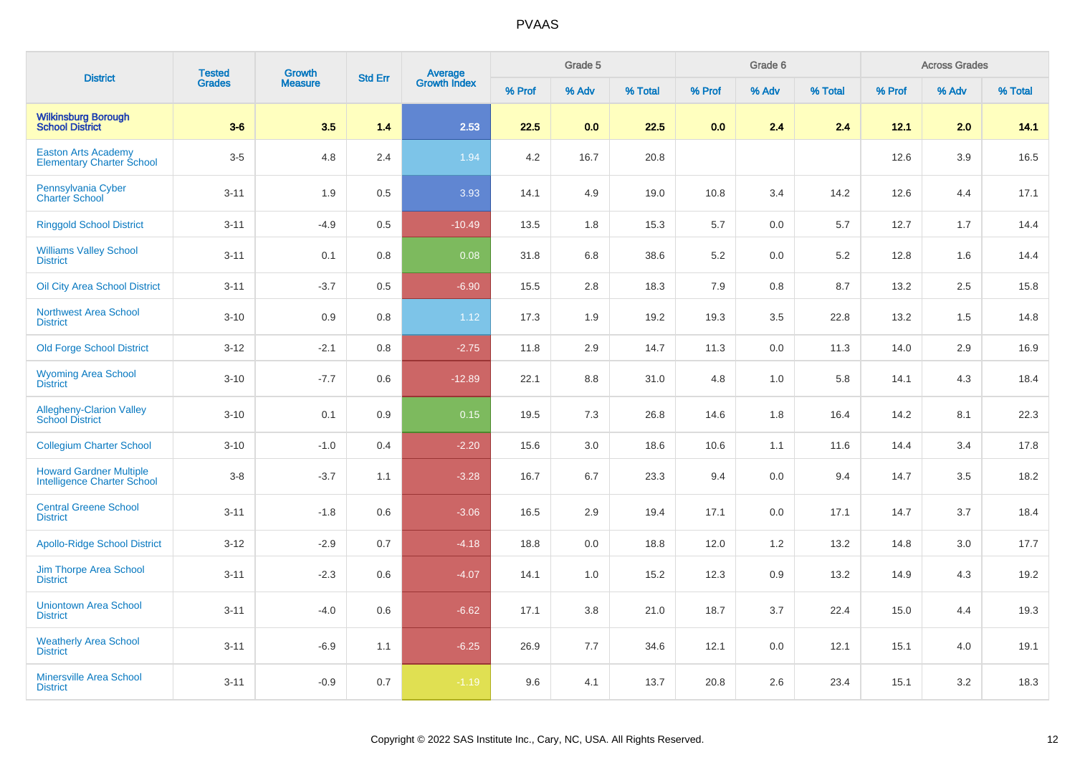| <b>District</b>                                                      | <b>Tested</b> | <b>Growth</b>  | <b>Std Err</b> | Average<br>Growth Index |        | Grade 5 |         |        | Grade 6 |         |        | <b>Across Grades</b> |         |
|----------------------------------------------------------------------|---------------|----------------|----------------|-------------------------|--------|---------|---------|--------|---------|---------|--------|----------------------|---------|
|                                                                      | <b>Grades</b> | <b>Measure</b> |                |                         | % Prof | % Adv   | % Total | % Prof | % Adv   | % Total | % Prof | % Adv                | % Total |
| <b>Wilkinsburg Borough</b><br><b>School District</b>                 | $3-6$         | 3.5            | 1.4            | 2.53                    | 22.5   | 0.0     | 22.5    | 0.0    | 2.4     | 2.4     | 12.1   | 2.0                  | 14.1    |
| <b>Easton Arts Academy</b><br><b>Elementary Charter School</b>       | $3-5$         | 4.8            | 2.4            | 1.94                    | 4.2    | 16.7    | 20.8    |        |         |         | 12.6   | 3.9                  | 16.5    |
| Pennsylvania Cyber<br><b>Charter School</b>                          | $3 - 11$      | 1.9            | 0.5            | 3.93                    | 14.1   | 4.9     | 19.0    | 10.8   | 3.4     | 14.2    | 12.6   | 4.4                  | 17.1    |
| <b>Ringgold School District</b>                                      | $3 - 11$      | $-4.9$         | 0.5            | $-10.49$                | 13.5   | 1.8     | 15.3    | 5.7    | 0.0     | 5.7     | 12.7   | 1.7                  | 14.4    |
| <b>Williams Valley School</b><br><b>District</b>                     | $3 - 11$      | 0.1            | 0.8            | 0.08                    | 31.8   | 6.8     | 38.6    | 5.2    | 0.0     | 5.2     | 12.8   | 1.6                  | 14.4    |
| <b>Oil City Area School District</b>                                 | $3 - 11$      | $-3.7$         | 0.5            | $-6.90$                 | 15.5   | 2.8     | 18.3    | 7.9    | 0.8     | 8.7     | 13.2   | 2.5                  | 15.8    |
| <b>Northwest Area School</b><br><b>District</b>                      | $3 - 10$      | 0.9            | 0.8            | 1.12                    | 17.3   | 1.9     | 19.2    | 19.3   | 3.5     | 22.8    | 13.2   | 1.5                  | 14.8    |
| <b>Old Forge School District</b>                                     | $3 - 12$      | $-2.1$         | 0.8            | $-2.75$                 | 11.8   | 2.9     | 14.7    | 11.3   | 0.0     | 11.3    | 14.0   | 2.9                  | 16.9    |
| <b>Wyoming Area School</b><br><b>District</b>                        | $3 - 10$      | $-7.7$         | 0.6            | $-12.89$                | 22.1   | 8.8     | 31.0    | 4.8    | 1.0     | 5.8     | 14.1   | 4.3                  | 18.4    |
| Allegheny-Clarion Valley<br>School District                          | $3 - 10$      | 0.1            | 0.9            | 0.15                    | 19.5   | 7.3     | 26.8    | 14.6   | 1.8     | 16.4    | 14.2   | 8.1                  | 22.3    |
| <b>Collegium Charter School</b>                                      | $3 - 10$      | $-1.0$         | 0.4            | $-2.20$                 | 15.6   | 3.0     | 18.6    | 10.6   | 1.1     | 11.6    | 14.4   | 3.4                  | 17.8    |
| <b>Howard Gardner Multiple</b><br><b>Intelligence Charter School</b> | $3-8$         | $-3.7$         | 1.1            | $-3.28$                 | 16.7   | 6.7     | 23.3    | 9.4    | 0.0     | 9.4     | 14.7   | 3.5                  | 18.2    |
| <b>Central Greene School</b><br><b>District</b>                      | $3 - 11$      | $-1.8$         | 0.6            | $-3.06$                 | 16.5   | 2.9     | 19.4    | 17.1   | 0.0     | 17.1    | 14.7   | 3.7                  | 18.4    |
| <b>Apollo-Ridge School District</b>                                  | $3 - 12$      | $-2.9$         | 0.7            | $-4.18$                 | 18.8   | 0.0     | 18.8    | 12.0   | 1.2     | 13.2    | 14.8   | 3.0                  | 17.7    |
| <b>Jim Thorpe Area School</b><br><b>District</b>                     | $3 - 11$      | $-2.3$         | 0.6            | $-4.07$                 | 14.1   | 1.0     | 15.2    | 12.3   | 0.9     | 13.2    | 14.9   | 4.3                  | 19.2    |
| <b>Uniontown Area School</b><br><b>District</b>                      | $3 - 11$      | $-4.0$         | 0.6            | $-6.62$                 | 17.1   | 3.8     | 21.0    | 18.7   | 3.7     | 22.4    | 15.0   | 4.4                  | 19.3    |
| <b>Weatherly Area School</b><br><b>District</b>                      | $3 - 11$      | $-6.9$         | 1.1            | $-6.25$                 | 26.9   | 7.7     | 34.6    | 12.1   | 0.0     | 12.1    | 15.1   | 4.0                  | 19.1    |
| Minersville Area School<br><b>District</b>                           | $3 - 11$      | $-0.9$         | 0.7            | $-1.19$                 | 9.6    | 4.1     | 13.7    | 20.8   | 2.6     | 23.4    | 15.1   | 3.2                  | 18.3    |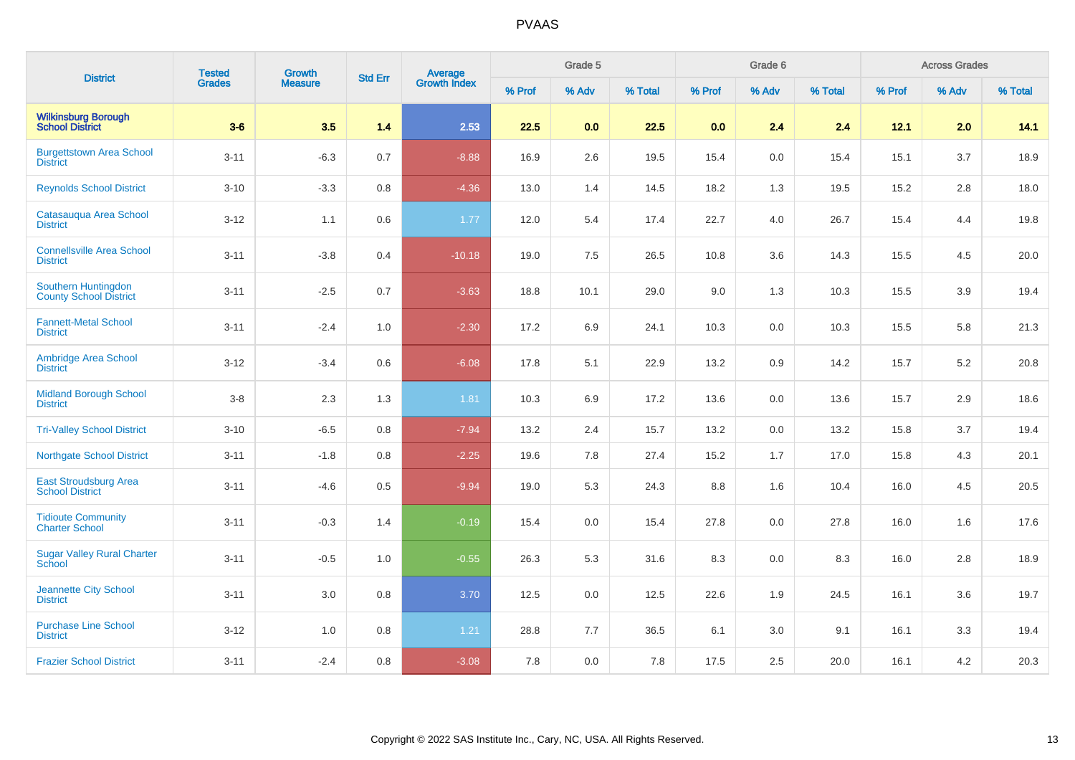| <b>District</b>                                        | <b>Tested</b> | Growth         | <b>Std Err</b> |                                |        | Grade 5 |         |        | Grade 6 |         |        | <b>Across Grades</b> |         |
|--------------------------------------------------------|---------------|----------------|----------------|--------------------------------|--------|---------|---------|--------|---------|---------|--------|----------------------|---------|
|                                                        | <b>Grades</b> | <b>Measure</b> |                | <b>Average</b><br>Growth Index | % Prof | % Adv   | % Total | % Prof | % Adv   | % Total | % Prof | % Adv                | % Total |
| <b>Wilkinsburg Borough</b><br><b>School District</b>   | $3-6$         | 3.5            | 1.4            | 2.53                           | 22.5   | 0.0     | 22.5    | 0.0    | 2.4     | 2.4     | 12.1   | 2.0                  | 14.1    |
| <b>Burgettstown Area School</b><br><b>District</b>     | $3 - 11$      | $-6.3$         | 0.7            | $-8.88$                        | 16.9   | 2.6     | 19.5    | 15.4   | 0.0     | 15.4    | 15.1   | 3.7                  | 18.9    |
| <b>Reynolds School District</b>                        | $3 - 10$      | $-3.3$         | $0.8\,$        | $-4.36$                        | 13.0   | 1.4     | 14.5    | 18.2   | 1.3     | 19.5    | 15.2   | 2.8                  | 18.0    |
| Catasauqua Area School<br><b>District</b>              | $3 - 12$      | 1.1            | $0.6\,$        | 1.77                           | 12.0   | 5.4     | 17.4    | 22.7   | 4.0     | 26.7    | 15.4   | 4.4                  | 19.8    |
| <b>Connellsville Area School</b><br><b>District</b>    | $3 - 11$      | $-3.8$         | 0.4            | $-10.18$                       | 19.0   | 7.5     | 26.5    | 10.8   | 3.6     | 14.3    | 15.5   | 4.5                  | 20.0    |
| Southern Huntingdon<br><b>County School District</b>   | $3 - 11$      | $-2.5$         | 0.7            | $-3.63$                        | 18.8   | 10.1    | 29.0    | 9.0    | 1.3     | 10.3    | 15.5   | 3.9                  | 19.4    |
| <b>Fannett-Metal School</b><br><b>District</b>         | $3 - 11$      | $-2.4$         | 1.0            | $-2.30$                        | 17.2   | 6.9     | 24.1    | 10.3   | 0.0     | 10.3    | 15.5   | 5.8                  | 21.3    |
| Ambridge Area School<br><b>District</b>                | $3 - 12$      | $-3.4$         | 0.6            | $-6.08$                        | 17.8   | 5.1     | 22.9    | 13.2   | 0.9     | 14.2    | 15.7   | 5.2                  | 20.8    |
| <b>Midland Borough School</b><br><b>District</b>       | $3-8$         | 2.3            | 1.3            | 1.81                           | 10.3   | 6.9     | 17.2    | 13.6   | 0.0     | 13.6    | 15.7   | 2.9                  | 18.6    |
| <b>Tri-Valley School District</b>                      | $3 - 10$      | $-6.5$         | 0.8            | $-7.94$                        | 13.2   | 2.4     | 15.7    | 13.2   | 0.0     | 13.2    | 15.8   | 3.7                  | 19.4    |
| <b>Northgate School District</b>                       | $3 - 11$      | $-1.8$         | 0.8            | $-2.25$                        | 19.6   | 7.8     | 27.4    | 15.2   | 1.7     | 17.0    | 15.8   | 4.3                  | 20.1    |
| <b>East Stroudsburg Area</b><br><b>School District</b> | $3 - 11$      | $-4.6$         | 0.5            | $-9.94$                        | 19.0   | 5.3     | 24.3    | 8.8    | 1.6     | 10.4    | 16.0   | 4.5                  | 20.5    |
| <b>Tidioute Community</b><br><b>Charter School</b>     | $3 - 11$      | $-0.3$         | 1.4            | $-0.19$                        | 15.4   | 0.0     | 15.4    | 27.8   | 0.0     | 27.8    | 16.0   | 1.6                  | 17.6    |
| <b>Sugar Valley Rural Charter</b><br>School            | $3 - 11$      | $-0.5$         | 1.0            | $-0.55$                        | 26.3   | 5.3     | 31.6    | 8.3    | 0.0     | 8.3     | 16.0   | 2.8                  | 18.9    |
| Jeannette City School<br><b>District</b>               | $3 - 11$      | $3.0\,$        | 0.8            | 3.70                           | 12.5   | 0.0     | 12.5    | 22.6   | 1.9     | 24.5    | 16.1   | 3.6                  | 19.7    |
| <b>Purchase Line School</b><br><b>District</b>         | $3 - 12$      | 1.0            | 0.8            | $1.21$                         | 28.8   | 7.7     | 36.5    | 6.1    | 3.0     | 9.1     | 16.1   | 3.3                  | 19.4    |
| <b>Frazier School District</b>                         | $3 - 11$      | $-2.4$         | 0.8            | $-3.08$                        | 7.8    | 0.0     | 7.8     | 17.5   | 2.5     | 20.0    | 16.1   | 4.2                  | 20.3    |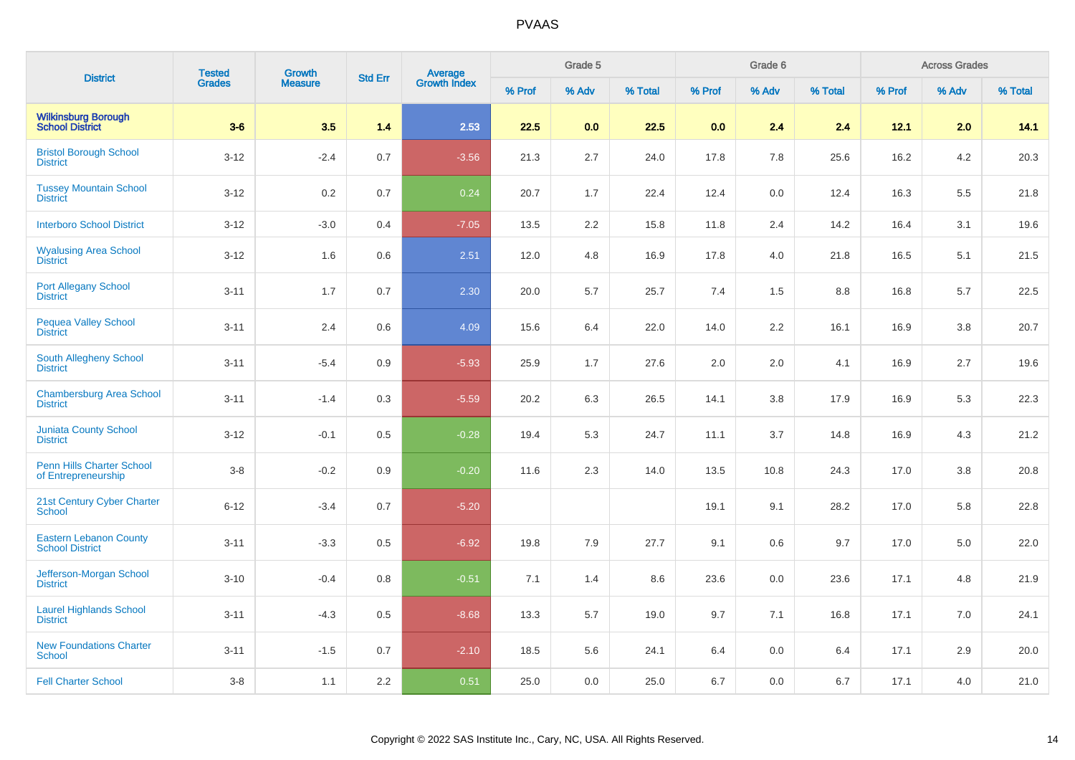|                                                         | <b>Tested</b> | <b>Growth</b>  |                |                                |        | Grade 5 |         |        | Grade 6 |         |        | <b>Across Grades</b> |         |
|---------------------------------------------------------|---------------|----------------|----------------|--------------------------------|--------|---------|---------|--------|---------|---------|--------|----------------------|---------|
| <b>District</b>                                         | <b>Grades</b> | <b>Measure</b> | <b>Std Err</b> | <b>Average</b><br>Growth Index | % Prof | % Adv   | % Total | % Prof | % Adv   | % Total | % Prof | % Adv                | % Total |
| <b>Wilkinsburg Borough<br/>School District</b>          | $3-6$         | 3.5            | 1.4            | 2.53                           | 22.5   | 0.0     | 22.5    | 0.0    | 2.4     | 2.4     | 12.1   | 2.0                  | 14.1    |
| <b>Bristol Borough School</b><br><b>District</b>        | $3 - 12$      | $-2.4$         | 0.7            | $-3.56$                        | 21.3   | 2.7     | 24.0    | 17.8   | 7.8     | 25.6    | 16.2   | 4.2                  | 20.3    |
| <b>Tussey Mountain School</b><br><b>District</b>        | $3-12$        | $0.2\,$        | 0.7            | 0.24                           | 20.7   | 1.7     | 22.4    | 12.4   | 0.0     | 12.4    | 16.3   | 5.5                  | 21.8    |
| <b>Interboro School District</b>                        | $3 - 12$      | $-3.0$         | 0.4            | $-7.05$                        | 13.5   | 2.2     | 15.8    | 11.8   | 2.4     | 14.2    | 16.4   | 3.1                  | 19.6    |
| <b>Wyalusing Area School</b><br><b>District</b>         | $3 - 12$      | 1.6            | 0.6            | 2.51                           | 12.0   | 4.8     | 16.9    | 17.8   | 4.0     | 21.8    | 16.5   | 5.1                  | 21.5    |
| <b>Port Allegany School</b><br><b>District</b>          | $3 - 11$      | 1.7            | 0.7            | 2.30                           | 20.0   | 5.7     | 25.7    | 7.4    | 1.5     | 8.8     | 16.8   | 5.7                  | 22.5    |
| <b>Pequea Valley School</b><br><b>District</b>          | $3 - 11$      | 2.4            | 0.6            | 4.09                           | 15.6   | 6.4     | 22.0    | 14.0   | 2.2     | 16.1    | 16.9   | 3.8                  | 20.7    |
| South Allegheny School<br><b>District</b>               | $3 - 11$      | $-5.4$         | 0.9            | $-5.93$                        | 25.9   | 1.7     | 27.6    | 2.0    | 2.0     | 4.1     | 16.9   | 2.7                  | 19.6    |
| <b>Chambersburg Area School</b><br><b>District</b>      | $3 - 11$      | $-1.4$         | 0.3            | $-5.59$                        | 20.2   | 6.3     | 26.5    | 14.1   | 3.8     | 17.9    | 16.9   | 5.3                  | 22.3    |
| <b>Juniata County School</b><br><b>District</b>         | $3 - 12$      | $-0.1$         | 0.5            | $-0.28$                        | 19.4   | 5.3     | 24.7    | 11.1   | 3.7     | 14.8    | 16.9   | 4.3                  | 21.2    |
| Penn Hills Charter School<br>of Entrepreneurship        | $3-8$         | $-0.2$         | 0.9            | $-0.20$                        | 11.6   | 2.3     | 14.0    | 13.5   | 10.8    | 24.3    | 17.0   | 3.8                  | 20.8    |
| 21st Century Cyber Charter<br>School                    | $6 - 12$      | $-3.4$         | 0.7            | $-5.20$                        |        |         |         | 19.1   | 9.1     | 28.2    | 17.0   | 5.8                  | 22.8    |
| <b>Eastern Lebanon County</b><br><b>School District</b> | $3 - 11$      | $-3.3$         | 0.5            | $-6.92$                        | 19.8   | 7.9     | 27.7    | 9.1    | 0.6     | 9.7     | 17.0   | 5.0                  | 22.0    |
| Jefferson-Morgan School<br><b>District</b>              | $3 - 10$      | $-0.4$         | 0.8            | $-0.51$                        | 7.1    | 1.4     | 8.6     | 23.6   | 0.0     | 23.6    | 17.1   | 4.8                  | 21.9    |
| <b>Laurel Highlands School</b><br><b>District</b>       | $3 - 11$      | $-4.3$         | 0.5            | $-8.68$                        | 13.3   | 5.7     | 19.0    | 9.7    | 7.1     | 16.8    | 17.1   | 7.0                  | 24.1    |
| <b>New Foundations Charter</b><br><b>School</b>         | $3 - 11$      | $-1.5$         | 0.7            | $-2.10$                        | 18.5   | 5.6     | 24.1    | 6.4    | 0.0     | 6.4     | 17.1   | 2.9                  | 20.0    |
| <b>Fell Charter School</b>                              | $3-8$         | 1.1            | 2.2            | 0.51                           | 25.0   | 0.0     | 25.0    | 6.7    | 0.0     | 6.7     | 17.1   | 4.0                  | 21.0    |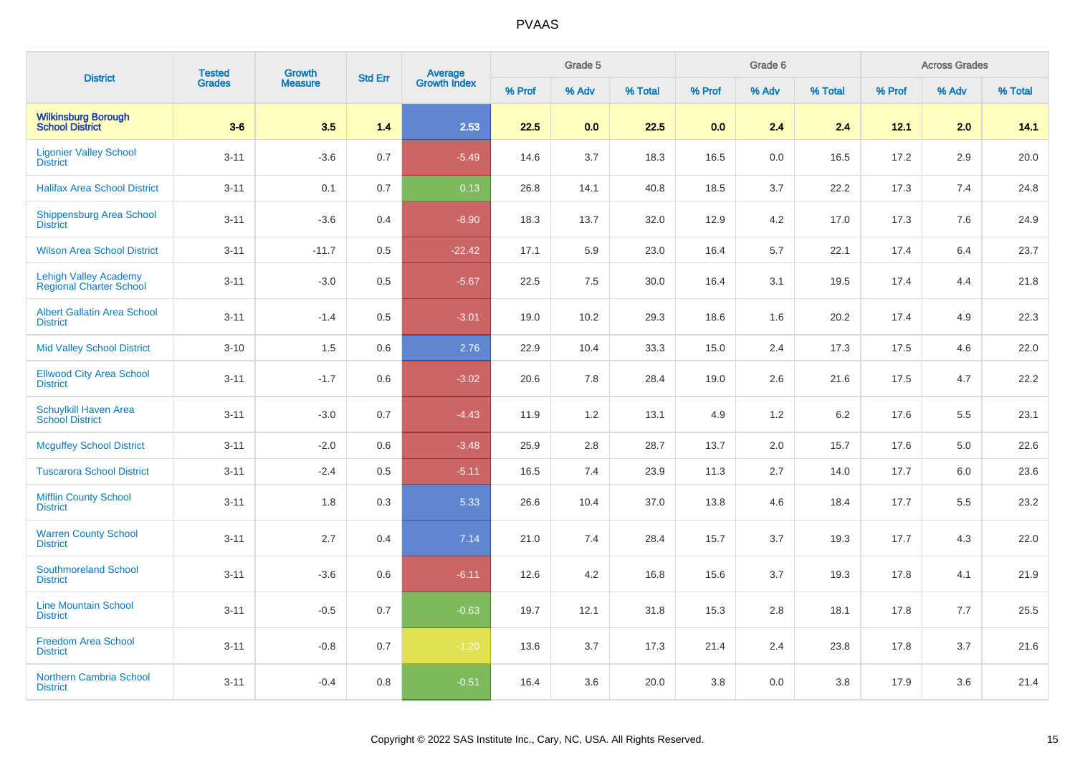| <b>District</b>                                                | <b>Tested</b> | <b>Growth</b>  | <b>Std Err</b> | Average<br>Growth Index |        | Grade 5 |         |        | Grade 6 |         |        | <b>Across Grades</b> |         |
|----------------------------------------------------------------|---------------|----------------|----------------|-------------------------|--------|---------|---------|--------|---------|---------|--------|----------------------|---------|
|                                                                | <b>Grades</b> | <b>Measure</b> |                |                         | % Prof | % Adv   | % Total | % Prof | % Adv   | % Total | % Prof | % Adv                | % Total |
| <b>Wilkinsburg Borough</b><br><b>School District</b>           | $3-6$         | 3.5            | 1.4            | 2.53                    | 22.5   | 0.0     | 22.5    | 0.0    | 2.4     | 2.4     | 12.1   | 2.0                  | 14.1    |
| <b>Ligonier Valley School</b><br><b>District</b>               | $3 - 11$      | $-3.6$         | 0.7            | $-5.49$                 | 14.6   | 3.7     | 18.3    | 16.5   | 0.0     | 16.5    | 17.2   | 2.9                  | 20.0    |
| <b>Halifax Area School District</b>                            | $3 - 11$      | 0.1            | 0.7            | 0.13                    | 26.8   | 14.1    | 40.8    | 18.5   | 3.7     | 22.2    | 17.3   | 7.4                  | 24.8    |
| Shippensburg Area School<br><b>District</b>                    | $3 - 11$      | $-3.6$         | 0.4            | $-8.90$                 | 18.3   | 13.7    | 32.0    | 12.9   | 4.2     | 17.0    | 17.3   | 7.6                  | 24.9    |
| <b>Wilson Area School District</b>                             | $3 - 11$      | $-11.7$        | 0.5            | $-22.42$                | 17.1   | 5.9     | 23.0    | 16.4   | 5.7     | 22.1    | 17.4   | 6.4                  | 23.7    |
| <b>Lehigh Valley Academy</b><br><b>Regional Charter School</b> | $3 - 11$      | $-3.0$         | 0.5            | $-5.67$                 | 22.5   | 7.5     | 30.0    | 16.4   | 3.1     | 19.5    | 17.4   | 4.4                  | 21.8    |
| <b>Albert Gallatin Area School</b><br><b>District</b>          | $3 - 11$      | $-1.4$         | 0.5            | $-3.01$                 | 19.0   | 10.2    | 29.3    | 18.6   | 1.6     | 20.2    | 17.4   | 4.9                  | 22.3    |
| <b>Mid Valley School District</b>                              | $3 - 10$      | 1.5            | 0.6            | 2.76                    | 22.9   | 10.4    | 33.3    | 15.0   | 2.4     | 17.3    | 17.5   | 4.6                  | 22.0    |
| <b>Ellwood City Area School</b><br><b>District</b>             | $3 - 11$      | $-1.7$         | 0.6            | $-3.02$                 | 20.6   | 7.8     | 28.4    | 19.0   | 2.6     | 21.6    | 17.5   | 4.7                  | 22.2    |
| Schuylkill Haven Area<br><b>School District</b>                | $3 - 11$      | $-3.0$         | 0.7            | $-4.43$                 | 11.9   | 1.2     | 13.1    | 4.9    | 1.2     | 6.2     | 17.6   | 5.5                  | 23.1    |
| <b>Mcguffey School District</b>                                | $3 - 11$      | $-2.0$         | 0.6            | $-3.48$                 | 25.9   | 2.8     | 28.7    | 13.7   | 2.0     | 15.7    | 17.6   | 5.0                  | 22.6    |
| <b>Tuscarora School District</b>                               | $3 - 11$      | $-2.4$         | 0.5            | $-5.11$                 | 16.5   | 7.4     | 23.9    | 11.3   | 2.7     | 14.0    | 17.7   | 6.0                  | 23.6    |
| <b>Mifflin County School</b><br><b>District</b>                | $3 - 11$      | 1.8            | 0.3            | 5.33                    | 26.6   | 10.4    | 37.0    | 13.8   | 4.6     | 18.4    | 17.7   | 5.5                  | 23.2    |
| <b>Warren County School</b><br><b>District</b>                 | $3 - 11$      | 2.7            | 0.4            | 7.14                    | 21.0   | 7.4     | 28.4    | 15.7   | 3.7     | 19.3    | 17.7   | 4.3                  | 22.0    |
| <b>Southmoreland School</b><br><b>District</b>                 | $3 - 11$      | $-3.6$         | 0.6            | $-6.11$                 | 12.6   | 4.2     | 16.8    | 15.6   | 3.7     | 19.3    | 17.8   | 4.1                  | 21.9    |
| <b>Line Mountain School</b><br><b>District</b>                 | $3 - 11$      | $-0.5$         | 0.7            | $-0.63$                 | 19.7   | 12.1    | 31.8    | 15.3   | 2.8     | 18.1    | 17.8   | 7.7                  | 25.5    |
| <b>Freedom Area School</b><br><b>District</b>                  | $3 - 11$      | $-0.8$         | 0.7            | $-1.20$                 | 13.6   | 3.7     | 17.3    | 21.4   | 2.4     | 23.8    | 17.8   | 3.7                  | 21.6    |
| Northern Cambria School<br><b>District</b>                     | $3 - 11$      | $-0.4$         | 0.8            | $-0.51$                 | 16.4   | 3.6     | 20.0    | 3.8    | 0.0     | 3.8     | 17.9   | 3.6                  | 21.4    |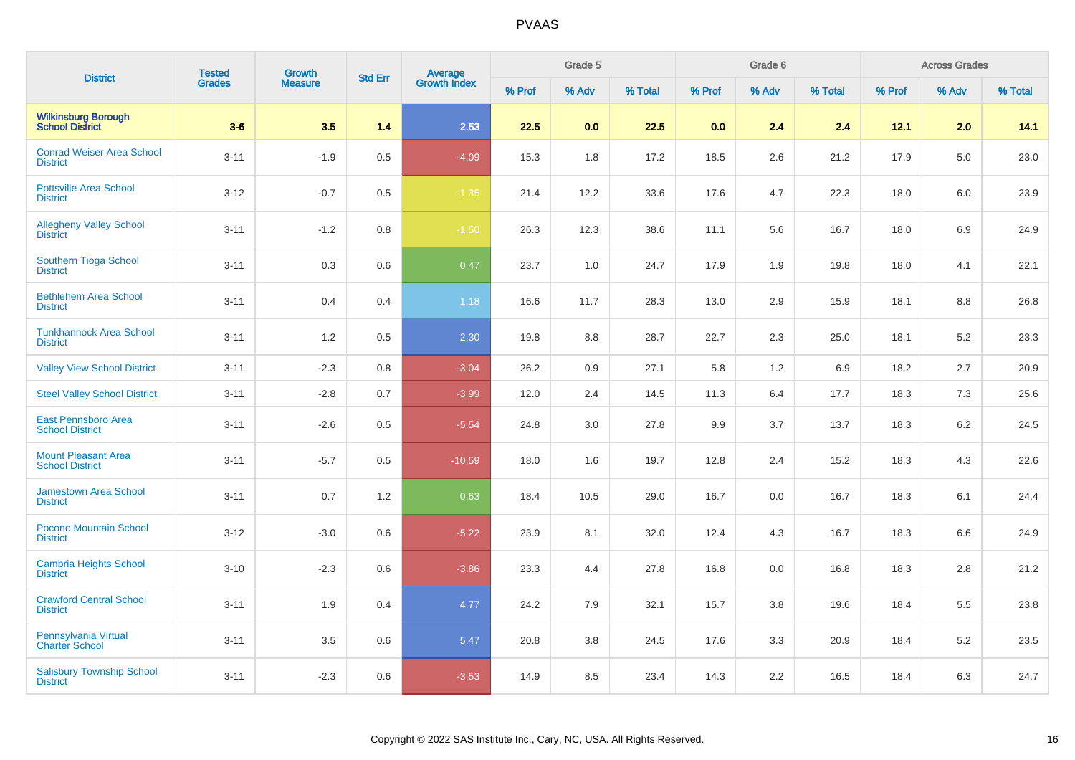| <b>District</b>                                      | <b>Tested</b> | <b>Growth</b>  | <b>Std Err</b> |                                |        | Grade 5 |         |        | Grade 6 |         |        | <b>Across Grades</b> |         |
|------------------------------------------------------|---------------|----------------|----------------|--------------------------------|--------|---------|---------|--------|---------|---------|--------|----------------------|---------|
|                                                      | <b>Grades</b> | <b>Measure</b> |                | <b>Average</b><br>Growth Index | % Prof | % Adv   | % Total | % Prof | % Adv   | % Total | % Prof | % Adv                | % Total |
| <b>Wilkinsburg Borough<br/>School District</b>       | $3-6$         | 3.5            | 1.4            | 2.53                           | 22.5   | 0.0     | 22.5    | 0.0    | 2.4     | 2.4     | 12.1   | 2.0                  | 14.1    |
| <b>Conrad Weiser Area School</b><br><b>District</b>  | $3 - 11$      | $-1.9$         | 0.5            | $-4.09$                        | 15.3   | 1.8     | 17.2    | 18.5   | 2.6     | 21.2    | 17.9   | 5.0                  | 23.0    |
| <b>Pottsville Area School</b><br><b>District</b>     | $3 - 12$      | $-0.7$         | 0.5            | $-1.35$                        | 21.4   | 12.2    | 33.6    | 17.6   | 4.7     | 22.3    | 18.0   | 6.0                  | 23.9    |
| <b>Allegheny Valley School</b><br><b>District</b>    | $3 - 11$      | $-1.2$         | 0.8            | $-1.50$                        | 26.3   | 12.3    | 38.6    | 11.1   | 5.6     | 16.7    | 18.0   | 6.9                  | 24.9    |
| Southern Tioga School<br><b>District</b>             | $3 - 11$      | 0.3            | 0.6            | 0.47                           | 23.7   | 1.0     | 24.7    | 17.9   | 1.9     | 19.8    | 18.0   | 4.1                  | 22.1    |
| <b>Bethlehem Area School</b><br><b>District</b>      | $3 - 11$      | 0.4            | 0.4            | 1.18                           | 16.6   | 11.7    | 28.3    | 13.0   | 2.9     | 15.9    | 18.1   | 8.8                  | 26.8    |
| <b>Tunkhannock Area School</b><br><b>District</b>    | $3 - 11$      | 1.2            | 0.5            | 2.30                           | 19.8   | 8.8     | 28.7    | 22.7   | 2.3     | 25.0    | 18.1   | 5.2                  | 23.3    |
| <b>Valley View School District</b>                   | $3 - 11$      | $-2.3$         | 0.8            | $-3.04$                        | 26.2   | 0.9     | 27.1    | 5.8    | 1.2     | 6.9     | 18.2   | 2.7                  | 20.9    |
| <b>Steel Valley School District</b>                  | $3 - 11$      | $-2.8$         | 0.7            | $-3.99$                        | 12.0   | 2.4     | 14.5    | 11.3   | 6.4     | 17.7    | 18.3   | 7.3                  | 25.6    |
| <b>East Pennsboro Area</b><br><b>School District</b> | $3 - 11$      | $-2.6$         | 0.5            | $-5.54$                        | 24.8   | 3.0     | 27.8    | 9.9    | 3.7     | 13.7    | 18.3   | 6.2                  | 24.5    |
| <b>Mount Pleasant Area</b><br><b>School District</b> | $3 - 11$      | $-5.7$         | 0.5            | $-10.59$                       | 18.0   | 1.6     | 19.7    | 12.8   | 2.4     | 15.2    | 18.3   | 4.3                  | 22.6    |
| Jamestown Area School<br><b>District</b>             | $3 - 11$      | 0.7            | 1.2            | 0.63                           | 18.4   | 10.5    | 29.0    | 16.7   | 0.0     | 16.7    | 18.3   | 6.1                  | 24.4    |
| Pocono Mountain School<br><b>District</b>            | $3 - 12$      | $-3.0$         | 0.6            | $-5.22$                        | 23.9   | 8.1     | 32.0    | 12.4   | 4.3     | 16.7    | 18.3   | 6.6                  | 24.9    |
| <b>Cambria Heights School</b><br><b>District</b>     | $3 - 10$      | $-2.3$         | 0.6            | $-3.86$                        | 23.3   | 4.4     | 27.8    | 16.8   | 0.0     | 16.8    | 18.3   | 2.8                  | 21.2    |
| <b>Crawford Central School</b><br><b>District</b>    | $3 - 11$      | 1.9            | 0.4            | 4.77                           | 24.2   | 7.9     | 32.1    | 15.7   | 3.8     | 19.6    | 18.4   | 5.5                  | 23.8    |
| Pennsylvania Virtual<br><b>Charter School</b>        | $3 - 11$      | 3.5            | 0.6            | 5.47                           | 20.8   | 3.8     | 24.5    | 17.6   | 3.3     | 20.9    | 18.4   | 5.2                  | 23.5    |
| <b>Salisbury Township School</b><br><b>District</b>  | $3 - 11$      | $-2.3$         | 0.6            | $-3.53$                        | 14.9   | 8.5     | 23.4    | 14.3   | 2.2     | 16.5    | 18.4   | 6.3                  | 24.7    |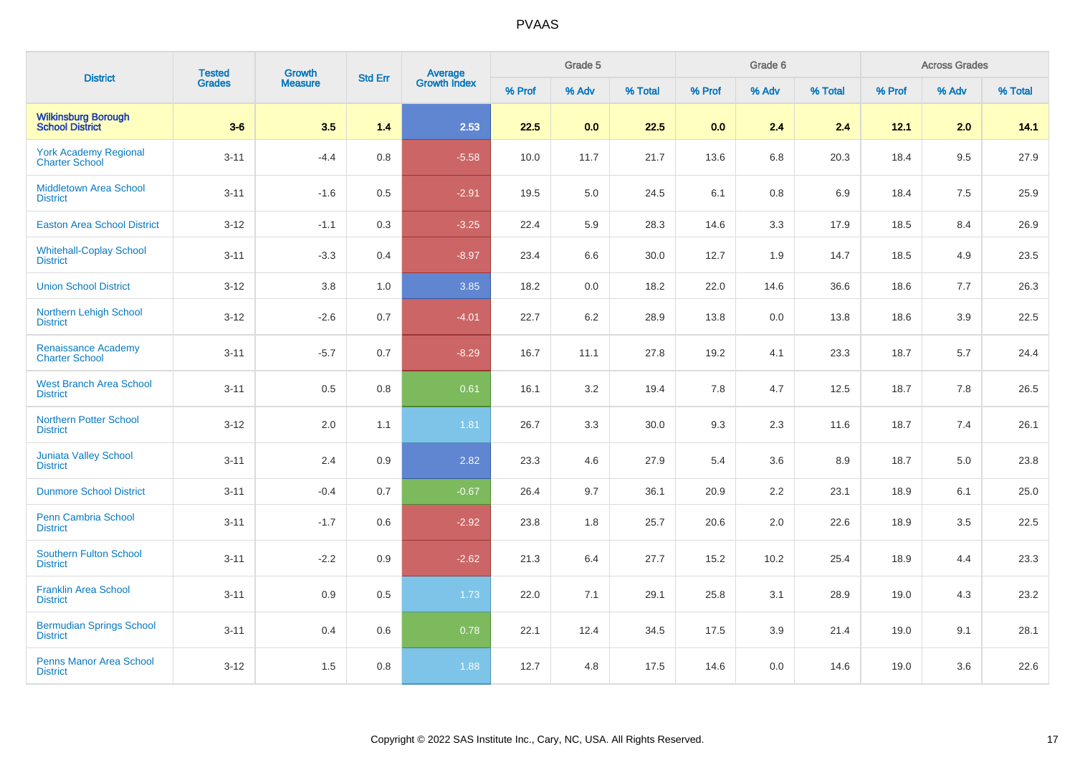| <b>District</b>                                       | <b>Tested</b> | <b>Growth</b><br><b>Measure</b> | <b>Std Err</b> | Average<br>Growth Index |        | Grade 5 |         |        | Grade 6 |         |        | <b>Across Grades</b> |         |
|-------------------------------------------------------|---------------|---------------------------------|----------------|-------------------------|--------|---------|---------|--------|---------|---------|--------|----------------------|---------|
|                                                       | Grades        |                                 |                |                         | % Prof | % Adv   | % Total | % Prof | % Adv   | % Total | % Prof | % Adv                | % Total |
| <b>Wilkinsburg Borough<br/>School District</b>        | $3-6$         | 3.5                             | 1.4            | 2.53                    | 22.5   | 0.0     | 22.5    | 0.0    | 2.4     | 2.4     | 12.1   | 2.0                  | 14.1    |
| <b>York Academy Regional</b><br><b>Charter School</b> | $3 - 11$      | $-4.4$                          | 0.8            | $-5.58$                 | 10.0   | 11.7    | 21.7    | 13.6   | 6.8     | 20.3    | 18.4   | 9.5                  | 27.9    |
| <b>Middletown Area School</b><br><b>District</b>      | $3 - 11$      | $-1.6$                          | 0.5            | $-2.91$                 | 19.5   | 5.0     | 24.5    | 6.1    | 0.8     | 6.9     | 18.4   | 7.5                  | 25.9    |
| <b>Easton Area School District</b>                    | $3 - 12$      | $-1.1$                          | 0.3            | $-3.25$                 | 22.4   | 5.9     | 28.3    | 14.6   | 3.3     | 17.9    | 18.5   | 8.4                  | 26.9    |
| <b>Whitehall-Coplay School</b><br><b>District</b>     | $3 - 11$      | $-3.3$                          | 0.4            | $-8.97$                 | 23.4   | 6.6     | 30.0    | 12.7   | 1.9     | 14.7    | 18.5   | 4.9                  | 23.5    |
| <b>Union School District</b>                          | $3 - 12$      | 3.8                             | 1.0            | 3.85                    | 18.2   | 0.0     | 18.2    | 22.0   | 14.6    | 36.6    | 18.6   | 7.7                  | 26.3    |
| Northern Lehigh School<br><b>District</b>             | $3 - 12$      | $-2.6$                          | 0.7            | $-4.01$                 | 22.7   | $6.2\,$ | 28.9    | 13.8   | 0.0     | 13.8    | 18.6   | 3.9                  | 22.5    |
| <b>Renaissance Academy</b><br><b>Charter School</b>   | $3 - 11$      | $-5.7$                          | 0.7            | $-8.29$                 | 16.7   | 11.1    | 27.8    | 19.2   | 4.1     | 23.3    | 18.7   | 5.7                  | 24.4    |
| <b>West Branch Area School</b><br><b>District</b>     | $3 - 11$      | 0.5                             | 0.8            | 0.61                    | 16.1   | 3.2     | 19.4    | 7.8    | 4.7     | 12.5    | 18.7   | 7.8                  | 26.5    |
| <b>Northern Potter School</b><br><b>District</b>      | $3-12$        | 2.0                             | 1.1            | 1.81                    | 26.7   | 3.3     | 30.0    | 9.3    | 2.3     | 11.6    | 18.7   | 7.4                  | 26.1    |
| <b>Juniata Valley School</b><br><b>District</b>       | $3 - 11$      | 2.4                             | 0.9            | 2.82                    | 23.3   | 4.6     | 27.9    | 5.4    | 3.6     | 8.9     | 18.7   | 5.0                  | 23.8    |
| <b>Dunmore School District</b>                        | $3 - 11$      | $-0.4$                          | 0.7            | $-0.67$                 | 26.4   | 9.7     | 36.1    | 20.9   | 2.2     | 23.1    | 18.9   | 6.1                  | 25.0    |
| <b>Penn Cambria School</b><br><b>District</b>         | $3 - 11$      | $-1.7$                          | 0.6            | $-2.92$                 | 23.8   | 1.8     | 25.7    | 20.6   | 2.0     | 22.6    | 18.9   | 3.5                  | 22.5    |
| Southern Fulton School<br><b>District</b>             | $3 - 11$      | $-2.2$                          | 0.9            | $-2.62$                 | 21.3   | 6.4     | 27.7    | 15.2   | 10.2    | 25.4    | 18.9   | 4.4                  | 23.3    |
| <b>Franklin Area School</b><br><b>District</b>        | $3 - 11$      | 0.9                             | 0.5            | 1.73                    | 22.0   | 7.1     | 29.1    | 25.8   | 3.1     | 28.9    | 19.0   | 4.3                  | 23.2    |
| <b>Bermudian Springs School</b><br><b>District</b>    | $3 - 11$      | 0.4                             | 0.6            | 0.78                    | 22.1   | 12.4    | 34.5    | 17.5   | 3.9     | 21.4    | 19.0   | 9.1                  | 28.1    |
| <b>Penns Manor Area School</b><br><b>District</b>     | $3 - 12$      | 1.5                             | 0.8            | 1.88                    | 12.7   | 4.8     | 17.5    | 14.6   | 0.0     | 14.6    | 19.0   | 3.6                  | 22.6    |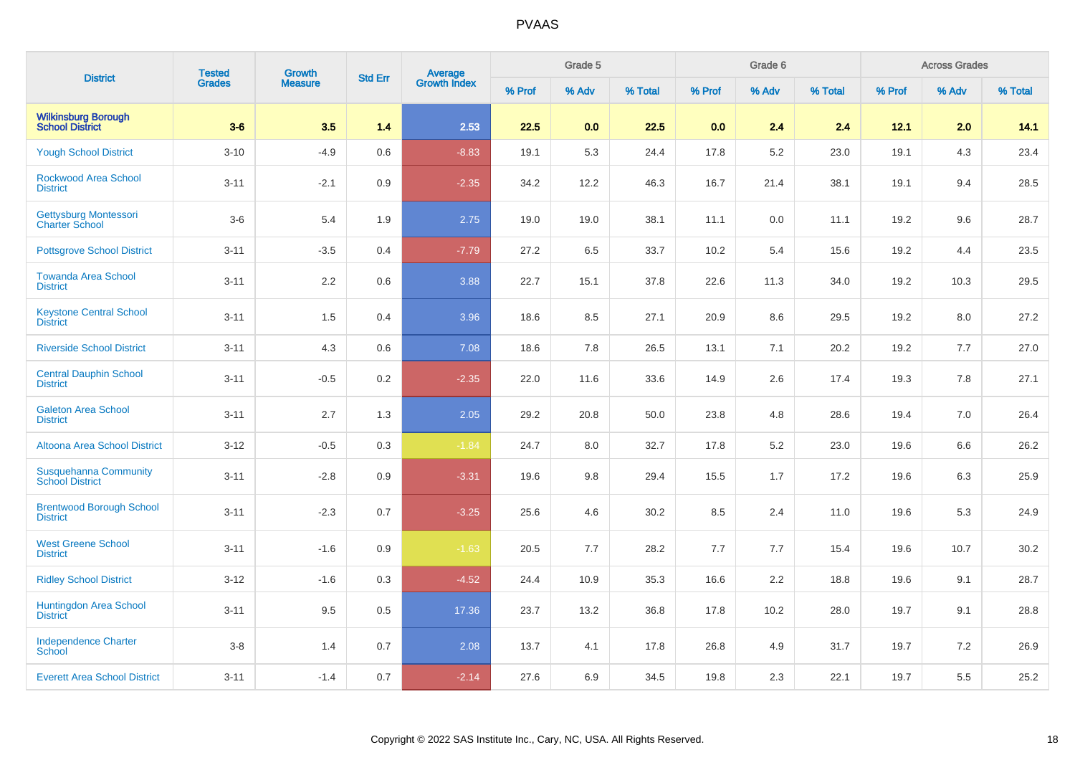| <b>District</b>                                      | <b>Tested</b> | Growth         |                |                                |        | Grade 5 |         |        | Grade 6 |         |        | <b>Across Grades</b> |         |
|------------------------------------------------------|---------------|----------------|----------------|--------------------------------|--------|---------|---------|--------|---------|---------|--------|----------------------|---------|
|                                                      | <b>Grades</b> | <b>Measure</b> | <b>Std Err</b> | <b>Average</b><br>Growth Index | % Prof | % Adv   | % Total | % Prof | % Adv   | % Total | % Prof | % Adv                | % Total |
| <b>Wilkinsburg Borough</b><br><b>School District</b> | $3-6$         | 3.5            | 1.4            | 2.53                           | 22.5   | 0.0     | 22.5    | 0.0    | 2.4     | 2.4     | 12.1   | 2.0                  | 14.1    |
| <b>Yough School District</b>                         | $3 - 10$      | $-4.9$         | 0.6            | $-8.83$                        | 19.1   | 5.3     | 24.4    | 17.8   | 5.2     | 23.0    | 19.1   | 4.3                  | 23.4    |
| <b>Rockwood Area School</b><br><b>District</b>       | $3 - 11$      | $-2.1$         | 0.9            | $-2.35$                        | 34.2   | 12.2    | 46.3    | 16.7   | 21.4    | 38.1    | 19.1   | 9.4                  | 28.5    |
| Gettysburg Montessori<br><b>Charter School</b>       | $3-6$         | 5.4            | 1.9            | 2.75                           | 19.0   | 19.0    | 38.1    | 11.1   | 0.0     | 11.1    | 19.2   | 9.6                  | 28.7    |
| <b>Pottsgrove School District</b>                    | $3 - 11$      | $-3.5$         | 0.4            | $-7.79$                        | 27.2   | 6.5     | 33.7    | 10.2   | 5.4     | 15.6    | 19.2   | 4.4                  | 23.5    |
| <b>Towanda Area School</b><br><b>District</b>        | $3 - 11$      | 2.2            | 0.6            | 3.88                           | 22.7   | 15.1    | 37.8    | 22.6   | 11.3    | 34.0    | 19.2   | 10.3                 | 29.5    |
| <b>Keystone Central School</b><br><b>District</b>    | $3 - 11$      | 1.5            | 0.4            | 3.96                           | 18.6   | 8.5     | 27.1    | 20.9   | 8.6     | 29.5    | 19.2   | 8.0                  | 27.2    |
| <b>Riverside School District</b>                     | $3 - 11$      | 4.3            | 0.6            | 7.08                           | 18.6   | 7.8     | 26.5    | 13.1   | 7.1     | 20.2    | 19.2   | 7.7                  | 27.0    |
| <b>Central Dauphin School</b><br><b>District</b>     | $3 - 11$      | $-0.5$         | 0.2            | $-2.35$                        | 22.0   | 11.6    | 33.6    | 14.9   | 2.6     | 17.4    | 19.3   | 7.8                  | 27.1    |
| <b>Galeton Area School</b><br><b>District</b>        | $3 - 11$      | 2.7            | 1.3            | 2.05                           | 29.2   | 20.8    | 50.0    | 23.8   | 4.8     | 28.6    | 19.4   | 7.0                  | 26.4    |
| <b>Altoona Area School District</b>                  | $3 - 12$      | $-0.5$         | 0.3            | $-1.84$                        | 24.7   | 8.0     | 32.7    | 17.8   | 5.2     | 23.0    | 19.6   | 6.6                  | 26.2    |
| Susquehanna Community<br><b>School District</b>      | $3 - 11$      | $-2.8$         | 0.9            | $-3.31$                        | 19.6   | 9.8     | 29.4    | 15.5   | 1.7     | 17.2    | 19.6   | 6.3                  | 25.9    |
| <b>Brentwood Borough School</b><br><b>District</b>   | $3 - 11$      | $-2.3$         | 0.7            | $-3.25$                        | 25.6   | 4.6     | 30.2    | 8.5    | 2.4     | 11.0    | 19.6   | 5.3                  | 24.9    |
| <b>West Greene School</b><br><b>District</b>         | $3 - 11$      | $-1.6$         | 0.9            | $-1.63$                        | 20.5   | 7.7     | 28.2    | 7.7    | 7.7     | 15.4    | 19.6   | 10.7                 | 30.2    |
| <b>Ridley School District</b>                        | $3-12$        | $-1.6$         | 0.3            | $-4.52$                        | 24.4   | 10.9    | 35.3    | 16.6   | 2.2     | 18.8    | 19.6   | 9.1                  | 28.7    |
| <b>Huntingdon Area School</b><br><b>District</b>     | $3 - 11$      | 9.5            | 0.5            | 17.36                          | 23.7   | 13.2    | 36.8    | 17.8   | 10.2    | 28.0    | 19.7   | 9.1                  | 28.8    |
| <b>Independence Charter</b><br><b>School</b>         | $3-8$         | 1.4            | 0.7            | 2.08                           | 13.7   | 4.1     | 17.8    | 26.8   | 4.9     | 31.7    | 19.7   | 7.2                  | 26.9    |
| <b>Everett Area School District</b>                  | $3 - 11$      | $-1.4$         | 0.7            | $-2.14$                        | 27.6   | 6.9     | 34.5    | 19.8   | 2.3     | 22.1    | 19.7   | 5.5                  | 25.2    |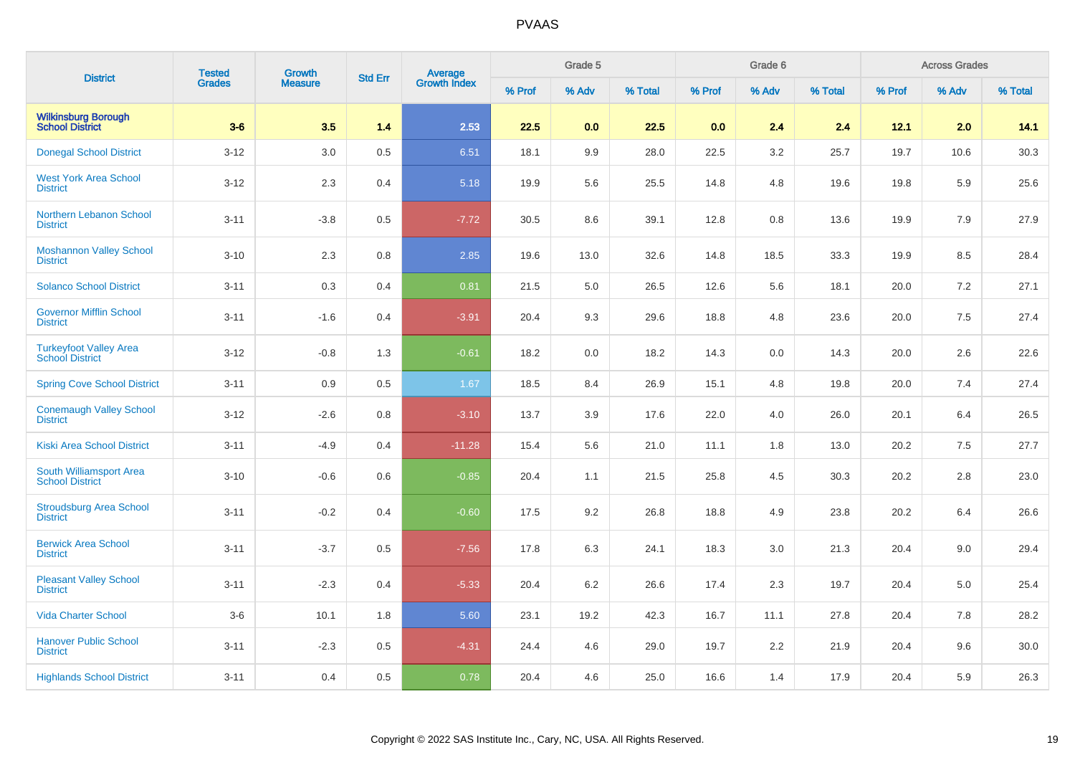| <b>District</b>                                         | <b>Tested</b> | Growth         | <b>Std Err</b> |                                |        | Grade 5 |         |        | Grade 6 |         |        | <b>Across Grades</b> |         |
|---------------------------------------------------------|---------------|----------------|----------------|--------------------------------|--------|---------|---------|--------|---------|---------|--------|----------------------|---------|
|                                                         | <b>Grades</b> | <b>Measure</b> |                | <b>Average</b><br>Growth Index | % Prof | % Adv   | % Total | % Prof | % Adv   | % Total | % Prof | % Adv                | % Total |
| <b>Wilkinsburg Borough<br/>School District</b>          | $3-6$         | 3.5            | 1.4            | 2.53                           | 22.5   | 0.0     | 22.5    | 0.0    | 2.4     | 2.4     | 12.1   | 2.0                  | 14.1    |
| <b>Donegal School District</b>                          | $3 - 12$      | 3.0            | 0.5            | 6.51                           | 18.1   | 9.9     | 28.0    | 22.5   | 3.2     | 25.7    | 19.7   | 10.6                 | 30.3    |
| <b>West York Area School</b><br><b>District</b>         | $3 - 12$      | 2.3            | 0.4            | 5.18                           | 19.9   | 5.6     | 25.5    | 14.8   | 4.8     | 19.6    | 19.8   | 5.9                  | 25.6    |
| <b>Northern Lebanon School</b><br><b>District</b>       | $3 - 11$      | $-3.8$         | 0.5            | $-7.72$                        | 30.5   | 8.6     | 39.1    | 12.8   | 0.8     | 13.6    | 19.9   | 7.9                  | 27.9    |
| <b>Moshannon Valley School</b><br><b>District</b>       | $3 - 10$      | 2.3            | 0.8            | 2.85                           | 19.6   | 13.0    | 32.6    | 14.8   | 18.5    | 33.3    | 19.9   | 8.5                  | 28.4    |
| <b>Solanco School District</b>                          | $3 - 11$      | 0.3            | 0.4            | 0.81                           | 21.5   | 5.0     | 26.5    | 12.6   | 5.6     | 18.1    | 20.0   | 7.2                  | 27.1    |
| <b>Governor Mifflin School</b><br><b>District</b>       | $3 - 11$      | $-1.6$         | 0.4            | $-3.91$                        | 20.4   | 9.3     | 29.6    | 18.8   | 4.8     | 23.6    | 20.0   | 7.5                  | 27.4    |
| <b>Turkeyfoot Valley Area</b><br><b>School District</b> | $3 - 12$      | $-0.8$         | 1.3            | $-0.61$                        | 18.2   | 0.0     | 18.2    | 14.3   | 0.0     | 14.3    | 20.0   | 2.6                  | 22.6    |
| <b>Spring Cove School District</b>                      | $3 - 11$      | 0.9            | 0.5            | 1.67                           | 18.5   | 8.4     | 26.9    | 15.1   | 4.8     | 19.8    | 20.0   | 7.4                  | 27.4    |
| <b>Conemaugh Valley School</b><br><b>District</b>       | $3 - 12$      | $-2.6$         | 0.8            | $-3.10$                        | 13.7   | 3.9     | 17.6    | 22.0   | 4.0     | 26.0    | 20.1   | 6.4                  | 26.5    |
| Kiski Area School District                              | $3 - 11$      | $-4.9$         | 0.4            | $-11.28$                       | 15.4   | 5.6     | 21.0    | 11.1   | 1.8     | 13.0    | 20.2   | 7.5                  | 27.7    |
| South Williamsport Area<br><b>School District</b>       | $3 - 10$      | $-0.6$         | 0.6            | $-0.85$                        | 20.4   | 1.1     | 21.5    | 25.8   | 4.5     | 30.3    | 20.2   | 2.8                  | 23.0    |
| <b>Stroudsburg Area School</b><br><b>District</b>       | $3 - 11$      | $-0.2$         | 0.4            | $-0.60$                        | 17.5   | 9.2     | 26.8    | 18.8   | 4.9     | 23.8    | 20.2   | 6.4                  | 26.6    |
| <b>Berwick Area School</b><br><b>District</b>           | $3 - 11$      | $-3.7$         | 0.5            | $-7.56$                        | 17.8   | 6.3     | 24.1    | 18.3   | 3.0     | 21.3    | 20.4   | 9.0                  | 29.4    |
| <b>Pleasant Valley School</b><br><b>District</b>        | $3 - 11$      | $-2.3$         | 0.4            | $-5.33$                        | 20.4   | 6.2     | 26.6    | 17.4   | 2.3     | 19.7    | 20.4   | 5.0                  | 25.4    |
| <b>Vida Charter School</b>                              | $3-6$         | 10.1           | 1.8            | 5.60                           | 23.1   | 19.2    | 42.3    | 16.7   | 11.1    | 27.8    | 20.4   | 7.8                  | 28.2    |
| <b>Hanover Public School</b><br><b>District</b>         | $3 - 11$      | $-2.3$         | 0.5            | $-4.31$                        | 24.4   | 4.6     | 29.0    | 19.7   | 2.2     | 21.9    | 20.4   | 9.6                  | 30.0    |
| <b>Highlands School District</b>                        | $3 - 11$      | 0.4            | 0.5            | 0.78                           | 20.4   | 4.6     | 25.0    | 16.6   | 1.4     | 17.9    | 20.4   | 5.9                  | 26.3    |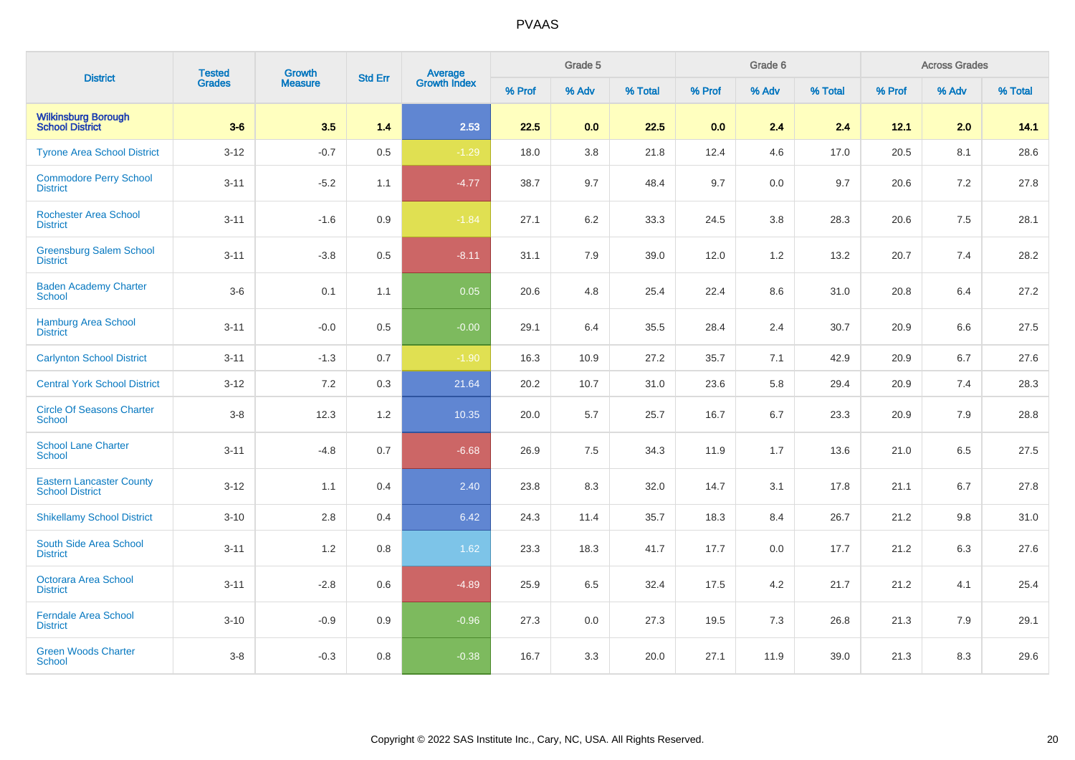| <b>District</b>                                           | <b>Tested</b> | <b>Growth</b>  | <b>Std Err</b> | <b>Average</b><br>Growth Index |        | Grade 5 |         |        | Grade 6 |         |        | <b>Across Grades</b> |         |
|-----------------------------------------------------------|---------------|----------------|----------------|--------------------------------|--------|---------|---------|--------|---------|---------|--------|----------------------|---------|
|                                                           | <b>Grades</b> | <b>Measure</b> |                |                                | % Prof | % Adv   | % Total | % Prof | % Adv   | % Total | % Prof | % Adv                | % Total |
| <b>Wilkinsburg Borough</b><br><b>School District</b>      | $3-6$         | 3.5            | 1.4            | 2.53                           | 22.5   | 0.0     | 22.5    | 0.0    | 2.4     | 2.4     | 12.1   | 2.0                  | 14.1    |
| <b>Tyrone Area School District</b>                        | $3 - 12$      | $-0.7$         | 0.5            | $-1.29$                        | 18.0   | 3.8     | 21.8    | 12.4   | 4.6     | 17.0    | 20.5   | 8.1                  | 28.6    |
| <b>Commodore Perry School</b><br><b>District</b>          | $3 - 11$      | $-5.2$         | 1.1            | $-4.77$                        | 38.7   | 9.7     | 48.4    | 9.7    | 0.0     | 9.7     | 20.6   | 7.2                  | 27.8    |
| <b>Rochester Area School</b><br><b>District</b>           | $3 - 11$      | $-1.6$         | 0.9            | $-1.84$                        | 27.1   | 6.2     | 33.3    | 24.5   | 3.8     | 28.3    | 20.6   | 7.5                  | 28.1    |
| <b>Greensburg Salem School</b><br><b>District</b>         | $3 - 11$      | $-3.8$         | 0.5            | $-8.11$                        | 31.1   | 7.9     | 39.0    | 12.0   | 1.2     | 13.2    | 20.7   | 7.4                  | 28.2    |
| <b>Baden Academy Charter</b><br><b>School</b>             | $3-6$         | 0.1            | 1.1            | 0.05                           | 20.6   | 4.8     | 25.4    | 22.4   | 8.6     | 31.0    | 20.8   | 6.4                  | 27.2    |
| <b>Hamburg Area School</b><br><b>District</b>             | $3 - 11$      | $-0.0$         | 0.5            | $-0.00$                        | 29.1   | 6.4     | 35.5    | 28.4   | 2.4     | 30.7    | 20.9   | 6.6                  | 27.5    |
| <b>Carlynton School District</b>                          | $3 - 11$      | $-1.3$         | 0.7            | $-1.90$                        | 16.3   | 10.9    | 27.2    | 35.7   | 7.1     | 42.9    | 20.9   | 6.7                  | 27.6    |
| <b>Central York School District</b>                       | $3 - 12$      | 7.2            | 0.3            | 21.64                          | 20.2   | 10.7    | 31.0    | 23.6   | 5.8     | 29.4    | 20.9   | 7.4                  | 28.3    |
| <b>Circle Of Seasons Charter</b><br>School                | $3-8$         | 12.3           | $1.2\,$        | 10.35                          | 20.0   | 5.7     | 25.7    | 16.7   | 6.7     | 23.3    | 20.9   | 7.9                  | 28.8    |
| <b>School Lane Charter</b><br><b>School</b>               | $3 - 11$      | $-4.8$         | 0.7            | $-6.68$                        | 26.9   | 7.5     | 34.3    | 11.9   | 1.7     | 13.6    | 21.0   | 6.5                  | 27.5    |
| <b>Eastern Lancaster County</b><br><b>School District</b> | $3 - 12$      | 1.1            | 0.4            | 2.40                           | 23.8   | 8.3     | 32.0    | 14.7   | 3.1     | 17.8    | 21.1   | 6.7                  | 27.8    |
| <b>Shikellamy School District</b>                         | $3 - 10$      | 2.8            | 0.4            | 6.42                           | 24.3   | 11.4    | 35.7    | 18.3   | 8.4     | 26.7    | 21.2   | 9.8                  | 31.0    |
| South Side Area School<br><b>District</b>                 | $3 - 11$      | 1.2            | 0.8            | 1.62                           | 23.3   | 18.3    | 41.7    | 17.7   | 0.0     | 17.7    | 21.2   | 6.3                  | 27.6    |
| Octorara Area School<br><b>District</b>                   | $3 - 11$      | $-2.8$         | 0.6            | $-4.89$                        | 25.9   | 6.5     | 32.4    | 17.5   | 4.2     | 21.7    | 21.2   | 4.1                  | 25.4    |
| <b>Ferndale Area School</b><br><b>District</b>            | $3 - 10$      | $-0.9$         | 0.9            | $-0.96$                        | 27.3   | 0.0     | 27.3    | 19.5   | 7.3     | 26.8    | 21.3   | 7.9                  | 29.1    |
| <b>Green Woods Charter</b><br><b>School</b>               | $3-8$         | $-0.3$         | 0.8            | $-0.38$                        | 16.7   | 3.3     | 20.0    | 27.1   | 11.9    | 39.0    | 21.3   | 8.3                  | 29.6    |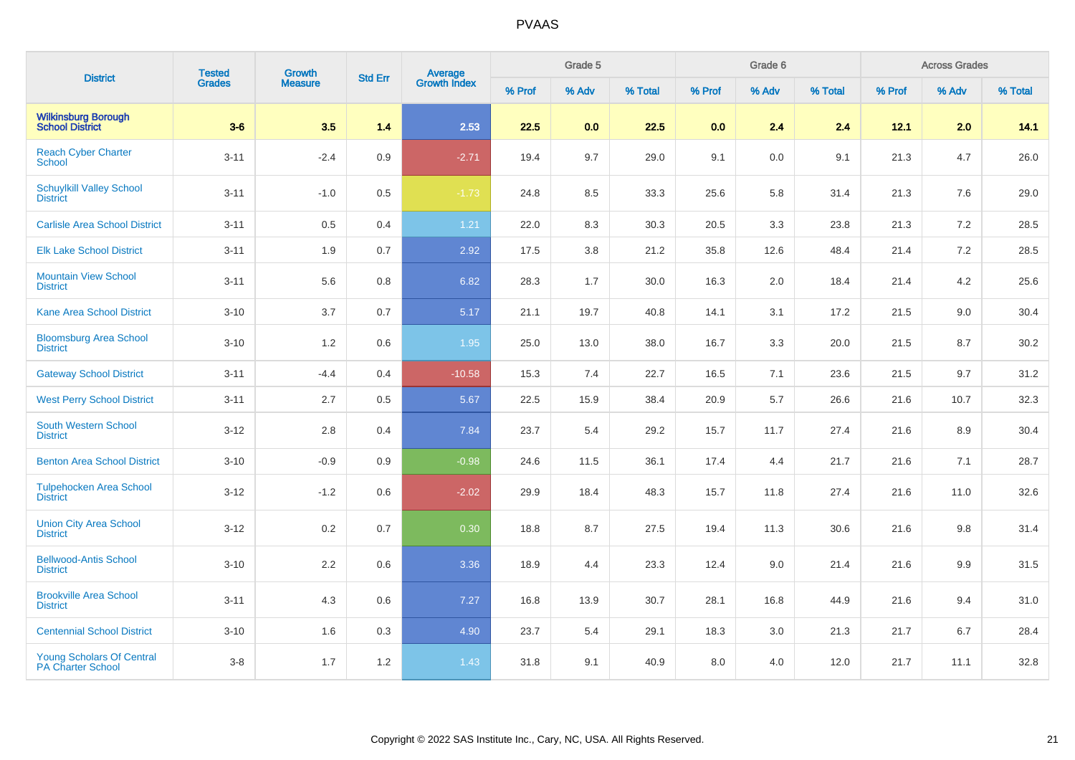| <b>District</b>                                              | <b>Tested</b> | Growth         | <b>Std Err</b> | Average<br>Growth Index |        | Grade 5 |         |        | Grade 6 |         |        | <b>Across Grades</b> |         |
|--------------------------------------------------------------|---------------|----------------|----------------|-------------------------|--------|---------|---------|--------|---------|---------|--------|----------------------|---------|
|                                                              | <b>Grades</b> | <b>Measure</b> |                |                         | % Prof | % Adv   | % Total | % Prof | % Adv   | % Total | % Prof | % Adv                | % Total |
| <b>Wilkinsburg Borough</b><br><b>School District</b>         | $3-6$         | 3.5            | 1.4            | 2.53                    | 22.5   | 0.0     | 22.5    | 0.0    | 2.4     | 2.4     | 12.1   | 2.0                  | 14.1    |
| <b>Reach Cyber Charter</b><br>School                         | $3 - 11$      | $-2.4$         | 0.9            | $-2.71$                 | 19.4   | 9.7     | 29.0    | 9.1    | 0.0     | 9.1     | 21.3   | 4.7                  | 26.0    |
| <b>Schuylkill Valley School</b><br><b>District</b>           | $3 - 11$      | $-1.0$         | 0.5            | $-1.73$                 | 24.8   | 8.5     | 33.3    | 25.6   | 5.8     | 31.4    | 21.3   | 7.6                  | 29.0    |
| <b>Carlisle Area School District</b>                         | $3 - 11$      | 0.5            | 0.4            | 1.21                    | 22.0   | 8.3     | 30.3    | 20.5   | 3.3     | 23.8    | 21.3   | 7.2                  | 28.5    |
| <b>Elk Lake School District</b>                              | $3 - 11$      | 1.9            | 0.7            | 2.92                    | 17.5   | 3.8     | 21.2    | 35.8   | 12.6    | 48.4    | 21.4   | 7.2                  | 28.5    |
| <b>Mountain View School</b><br><b>District</b>               | $3 - 11$      | 5.6            | $0.8\,$        | 6.82                    | 28.3   | 1.7     | 30.0    | 16.3   | 2.0     | 18.4    | 21.4   | 4.2                  | 25.6    |
| <b>Kane Area School District</b>                             | $3 - 10$      | 3.7            | 0.7            | 5.17                    | 21.1   | 19.7    | 40.8    | 14.1   | 3.1     | 17.2    | 21.5   | 9.0                  | 30.4    |
| <b>Bloomsburg Area School</b><br><b>District</b>             | $3 - 10$      | 1.2            | 0.6            | 1.95                    | 25.0   | 13.0    | 38.0    | 16.7   | 3.3     | 20.0    | 21.5   | 8.7                  | 30.2    |
| <b>Gateway School District</b>                               | $3 - 11$      | $-4.4$         | 0.4            | $-10.58$                | 15.3   | 7.4     | 22.7    | 16.5   | 7.1     | 23.6    | 21.5   | 9.7                  | 31.2    |
| <b>West Perry School District</b>                            | $3 - 11$      | 2.7            | 0.5            | 5.67                    | 22.5   | 15.9    | 38.4    | 20.9   | 5.7     | 26.6    | 21.6   | 10.7                 | 32.3    |
| <b>South Western School</b><br><b>District</b>               | $3 - 12$      | 2.8            | 0.4            | 7.84                    | 23.7   | 5.4     | 29.2    | 15.7   | 11.7    | 27.4    | 21.6   | 8.9                  | 30.4    |
| <b>Benton Area School District</b>                           | $3 - 10$      | $-0.9$         | 0.9            | $-0.98$                 | 24.6   | 11.5    | 36.1    | 17.4   | 4.4     | 21.7    | 21.6   | 7.1                  | 28.7    |
| <b>Tulpehocken Area School</b><br><b>District</b>            | $3 - 12$      | $-1.2$         | 0.6            | $-2.02$                 | 29.9   | 18.4    | 48.3    | 15.7   | 11.8    | 27.4    | 21.6   | 11.0                 | 32.6    |
| <b>Union City Area School</b><br><b>District</b>             | $3 - 12$      | 0.2            | 0.7            | 0.30                    | 18.8   | 8.7     | 27.5    | 19.4   | 11.3    | 30.6    | 21.6   | 9.8                  | 31.4    |
| <b>Bellwood-Antis School</b><br><b>District</b>              | $3 - 10$      | 2.2            | 0.6            | 3.36                    | 18.9   | 4.4     | 23.3    | 12.4   | 9.0     | 21.4    | 21.6   | 9.9                  | 31.5    |
| <b>Brookville Area School</b><br><b>District</b>             | $3 - 11$      | 4.3            | 0.6            | 7.27                    | 16.8   | 13.9    | 30.7    | 28.1   | 16.8    | 44.9    | 21.6   | 9.4                  | 31.0    |
| <b>Centennial School District</b>                            | $3 - 10$      | 1.6            | 0.3            | 4.90                    | 23.7   | 5.4     | 29.1    | 18.3   | 3.0     | 21.3    | 21.7   | 6.7                  | 28.4    |
| <b>Young Scholars Of Central</b><br><b>PA Charter School</b> | $3-8$         | 1.7            | 1.2            | 1.43                    | 31.8   | 9.1     | 40.9    | 8.0    | 4.0     | 12.0    | 21.7   | 11.1                 | 32.8    |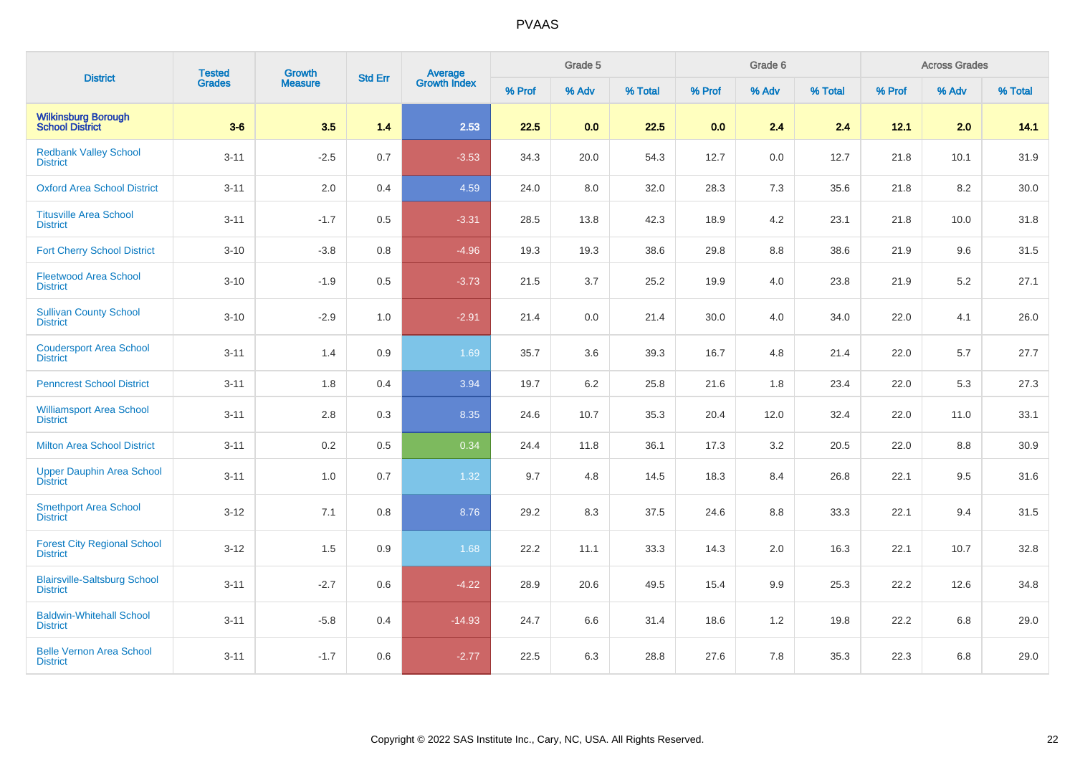| <b>District</b>                                        | <b>Tested</b> | Growth         | <b>Std Err</b> |                                |        | Grade 5 |         |        | Grade 6 |         |        | <b>Across Grades</b> |          |
|--------------------------------------------------------|---------------|----------------|----------------|--------------------------------|--------|---------|---------|--------|---------|---------|--------|----------------------|----------|
|                                                        | <b>Grades</b> | <b>Measure</b> |                | <b>Average</b><br>Growth Index | % Prof | % Adv   | % Total | % Prof | % Adv   | % Total | % Prof | % Adv                | % Total  |
| <b>Wilkinsburg Borough</b><br><b>School District</b>   | $3-6$         | 3.5            | 1.4            | 2.53                           | 22.5   | 0.0     | 22.5    | 0.0    | 2.4     | 2.4     | 12.1   | 2.0                  | 14.1     |
| <b>Redbank Valley School</b><br><b>District</b>        | $3 - 11$      | $-2.5$         | 0.7            | $-3.53$                        | 34.3   | 20.0    | 54.3    | 12.7   | 0.0     | 12.7    | 21.8   | 10.1                 | 31.9     |
| <b>Oxford Area School District</b>                     | $3 - 11$      | $2.0\,$        | 0.4            | 4.59                           | 24.0   | 8.0     | 32.0    | 28.3   | 7.3     | 35.6    | 21.8   | 8.2                  | $30.0\,$ |
| <b>Titusville Area School</b><br><b>District</b>       | $3 - 11$      | $-1.7$         | 0.5            | $-3.31$                        | 28.5   | 13.8    | 42.3    | 18.9   | 4.2     | 23.1    | 21.8   | 10.0                 | 31.8     |
| <b>Fort Cherry School District</b>                     | $3 - 10$      | $-3.8$         | $0.8\,$        | $-4.96$                        | 19.3   | 19.3    | 38.6    | 29.8   | 8.8     | 38.6    | 21.9   | 9.6                  | 31.5     |
| <b>Fleetwood Area School</b><br><b>District</b>        | $3 - 10$      | $-1.9$         | 0.5            | $-3.73$                        | 21.5   | 3.7     | 25.2    | 19.9   | 4.0     | 23.8    | 21.9   | 5.2                  | 27.1     |
| <b>Sullivan County School</b><br><b>District</b>       | $3 - 10$      | $-2.9$         | 1.0            | $-2.91$                        | 21.4   | 0.0     | 21.4    | 30.0   | 4.0     | 34.0    | 22.0   | 4.1                  | 26.0     |
| <b>Coudersport Area School</b><br><b>District</b>      | $3 - 11$      | 1.4            | 0.9            | 1.69                           | 35.7   | 3.6     | 39.3    | 16.7   | 4.8     | 21.4    | 22.0   | 5.7                  | 27.7     |
| <b>Penncrest School District</b>                       | $3 - 11$      | 1.8            | 0.4            | 3.94                           | 19.7   | 6.2     | 25.8    | 21.6   | 1.8     | 23.4    | 22.0   | 5.3                  | 27.3     |
| <b>Williamsport Area School</b><br><b>District</b>     | $3 - 11$      | 2.8            | 0.3            | 8.35                           | 24.6   | 10.7    | 35.3    | 20.4   | 12.0    | 32.4    | 22.0   | 11.0                 | 33.1     |
| <b>Milton Area School District</b>                     | $3 - 11$      | 0.2            | 0.5            | 0.34                           | 24.4   | 11.8    | 36.1    | 17.3   | 3.2     | 20.5    | 22.0   | 8.8                  | 30.9     |
| <b>Upper Dauphin Area School</b><br><b>District</b>    | $3 - 11$      | 1.0            | 0.7            | 1.32                           | 9.7    | 4.8     | 14.5    | 18.3   | 8.4     | 26.8    | 22.1   | 9.5                  | 31.6     |
| <b>Smethport Area School</b><br><b>District</b>        | $3 - 12$      | 7.1            | 0.8            | 8.76                           | 29.2   | 8.3     | 37.5    | 24.6   | 8.8     | 33.3    | 22.1   | 9.4                  | 31.5     |
| <b>Forest City Regional School</b><br><b>District</b>  | $3 - 12$      | 1.5            | 0.9            | 1.68                           | 22.2   | 11.1    | 33.3    | 14.3   | 2.0     | 16.3    | 22.1   | 10.7                 | 32.8     |
| <b>Blairsville-Saltsburg School</b><br><b>District</b> | $3 - 11$      | $-2.7$         | 0.6            | $-4.22$                        | 28.9   | 20.6    | 49.5    | 15.4   | 9.9     | 25.3    | 22.2   | 12.6                 | 34.8     |
| <b>Baldwin-Whitehall School</b><br><b>District</b>     | $3 - 11$      | $-5.8$         | 0.4            | $-14.93$                       | 24.7   | 6.6     | 31.4    | 18.6   | 1.2     | 19.8    | 22.2   | 6.8                  | 29.0     |
| <b>Belle Vernon Area School</b><br><b>District</b>     | $3 - 11$      | $-1.7$         | 0.6            | $-2.77$                        | 22.5   | 6.3     | 28.8    | 27.6   | 7.8     | 35.3    | 22.3   | 6.8                  | 29.0     |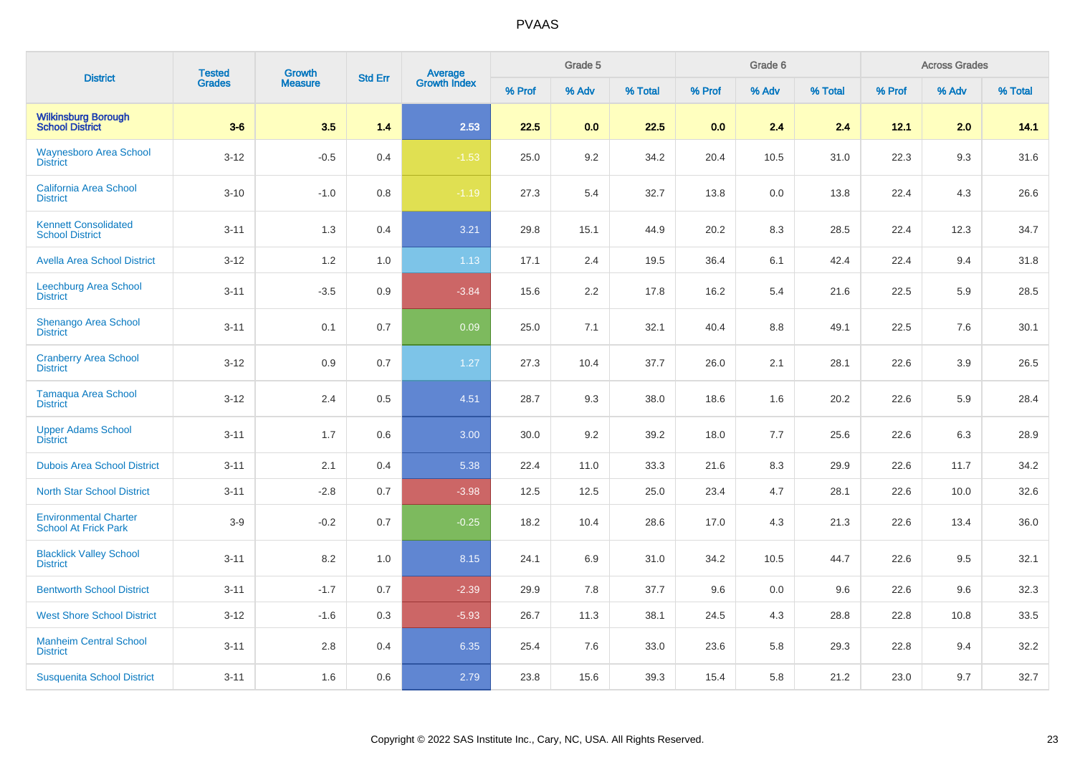| <b>District</b>                                             | <b>Tested</b> | Growth         | <b>Std Err</b> |                                |        | Grade 5 |         |        | Grade 6 |         |        | <b>Across Grades</b> |         |
|-------------------------------------------------------------|---------------|----------------|----------------|--------------------------------|--------|---------|---------|--------|---------|---------|--------|----------------------|---------|
|                                                             | <b>Grades</b> | <b>Measure</b> |                | <b>Average</b><br>Growth Index | % Prof | % Adv   | % Total | % Prof | % Adv   | % Total | % Prof | % Adv                | % Total |
| <b>Wilkinsburg Borough</b><br><b>School District</b>        | $3-6$         | 3.5            | 1.4            | 2.53                           | 22.5   | 0.0     | 22.5    | 0.0    | 2.4     | 2.4     | 12.1   | 2.0                  | 14.1    |
| <b>Waynesboro Area School</b><br><b>District</b>            | $3 - 12$      | $-0.5$         | 0.4            | $-1.53$                        | 25.0   | 9.2     | 34.2    | 20.4   | 10.5    | 31.0    | 22.3   | 9.3                  | 31.6    |
| <b>California Area School</b><br><b>District</b>            | $3 - 10$      | $-1.0$         | 0.8            | $-1.19$                        | 27.3   | 5.4     | 32.7    | 13.8   | 0.0     | 13.8    | 22.4   | 4.3                  | 26.6    |
| <b>Kennett Consolidated</b><br><b>School District</b>       | $3 - 11$      | 1.3            | 0.4            | 3.21                           | 29.8   | 15.1    | 44.9    | 20.2   | 8.3     | 28.5    | 22.4   | 12.3                 | 34.7    |
| <b>Avella Area School District</b>                          | $3 - 12$      | 1.2            | 1.0            | 1.13                           | 17.1   | 2.4     | 19.5    | 36.4   | 6.1     | 42.4    | 22.4   | 9.4                  | 31.8    |
| Leechburg Area School<br><b>District</b>                    | $3 - 11$      | $-3.5$         | 0.9            | $-3.84$                        | 15.6   | 2.2     | 17.8    | 16.2   | 5.4     | 21.6    | 22.5   | 5.9                  | 28.5    |
| Shenango Area School<br><b>District</b>                     | $3 - 11$      | 0.1            | 0.7            | 0.09                           | 25.0   | 7.1     | 32.1    | 40.4   | 8.8     | 49.1    | 22.5   | 7.6                  | 30.1    |
| <b>Cranberry Area School</b><br><b>District</b>             | $3 - 12$      | 0.9            | 0.7            | 1.27                           | 27.3   | 10.4    | 37.7    | 26.0   | 2.1     | 28.1    | 22.6   | 3.9                  | 26.5    |
| <b>Tamaqua Area School</b><br><b>District</b>               | $3 - 12$      | 2.4            | 0.5            | 4.51                           | 28.7   | 9.3     | 38.0    | 18.6   | 1.6     | 20.2    | 22.6   | 5.9                  | 28.4    |
| <b>Upper Adams School</b><br><b>District</b>                | $3 - 11$      | 1.7            | 0.6            | 3.00                           | 30.0   | 9.2     | 39.2    | 18.0   | 7.7     | 25.6    | 22.6   | 6.3                  | 28.9    |
| <b>Dubois Area School District</b>                          | $3 - 11$      | 2.1            | 0.4            | 5.38                           | 22.4   | 11.0    | 33.3    | 21.6   | 8.3     | 29.9    | 22.6   | 11.7                 | 34.2    |
| <b>North Star School District</b>                           | $3 - 11$      | $-2.8$         | 0.7            | $-3.98$                        | 12.5   | 12.5    | 25.0    | 23.4   | 4.7     | 28.1    | 22.6   | 10.0                 | 32.6    |
| <b>Environmental Charter</b><br><b>School At Frick Park</b> | $3-9$         | $-0.2$         | 0.7            | $-0.25$                        | 18.2   | 10.4    | 28.6    | 17.0   | 4.3     | 21.3    | 22.6   | 13.4                 | 36.0    |
| <b>Blacklick Valley School</b><br><b>District</b>           | $3 - 11$      | 8.2            | 1.0            | 8.15                           | 24.1   | 6.9     | 31.0    | 34.2   | 10.5    | 44.7    | 22.6   | 9.5                  | 32.1    |
| <b>Bentworth School District</b>                            | $3 - 11$      | $-1.7$         | 0.7            | $-2.39$                        | 29.9   | 7.8     | 37.7    | 9.6    | 0.0     | 9.6     | 22.6   | 9.6                  | 32.3    |
| <b>West Shore School District</b>                           | $3 - 12$      | $-1.6$         | 0.3            | $-5.93$                        | 26.7   | 11.3    | 38.1    | 24.5   | 4.3     | 28.8    | 22.8   | 10.8                 | 33.5    |
| <b>Manheim Central School</b><br><b>District</b>            | $3 - 11$      | 2.8            | 0.4            | 6.35                           | 25.4   | 7.6     | 33.0    | 23.6   | 5.8     | 29.3    | 22.8   | 9.4                  | 32.2    |
| <b>Susquenita School District</b>                           | $3 - 11$      | 1.6            | 0.6            | 2.79                           | 23.8   | 15.6    | 39.3    | 15.4   | 5.8     | 21.2    | 23.0   | 9.7                  | 32.7    |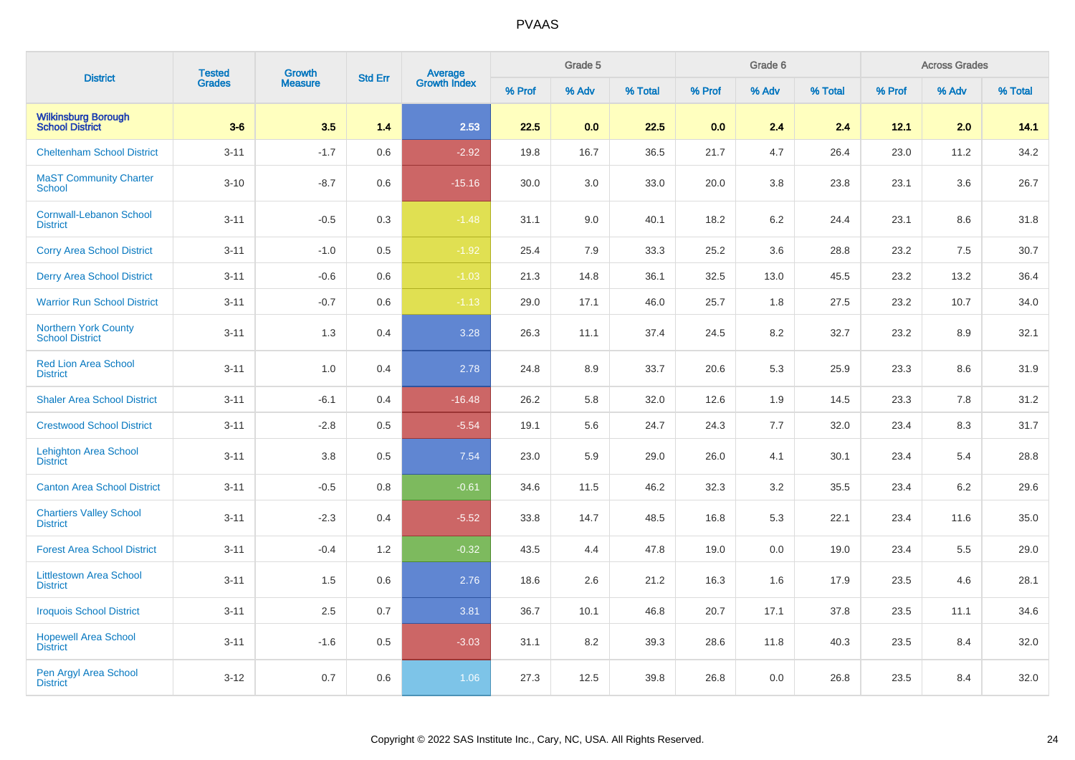| <b>District</b>                                       | <b>Tested</b> | Growth         | <b>Std Err</b> |                                |        | Grade 5 |         |        | Grade 6 |         |        | <b>Across Grades</b> |         |
|-------------------------------------------------------|---------------|----------------|----------------|--------------------------------|--------|---------|---------|--------|---------|---------|--------|----------------------|---------|
|                                                       | <b>Grades</b> | <b>Measure</b> |                | <b>Average</b><br>Growth Index | % Prof | % Adv   | % Total | % Prof | % Adv   | % Total | % Prof | % Adv                | % Total |
| <b>Wilkinsburg Borough</b><br>School District         | $3 - 6$       | 3.5            | 1.4            | 2.53                           | 22.5   | 0.0     | 22.5    | 0.0    | 2.4     | 2.4     | 12.1   | 2.0                  | 14.1    |
| <b>Cheltenham School District</b>                     | $3 - 11$      | $-1.7$         | 0.6            | $-2.92$                        | 19.8   | 16.7    | 36.5    | 21.7   | 4.7     | 26.4    | 23.0   | 11.2                 | 34.2    |
| <b>MaST Community Charter</b><br><b>School</b>        | $3 - 10$      | $-8.7$         | 0.6            | $-15.16$                       | 30.0   | 3.0     | 33.0    | 20.0   | 3.8     | 23.8    | 23.1   | 3.6                  | 26.7    |
| <b>Cornwall-Lebanon School</b><br><b>District</b>     | $3 - 11$      | $-0.5$         | 0.3            | $-1.48$                        | 31.1   | 9.0     | 40.1    | 18.2   | 6.2     | 24.4    | 23.1   | 8.6                  | 31.8    |
| <b>Corry Area School District</b>                     | $3 - 11$      | $-1.0$         | 0.5            | $-1.92$                        | 25.4   | 7.9     | 33.3    | 25.2   | 3.6     | 28.8    | 23.2   | 7.5                  | 30.7    |
| <b>Derry Area School District</b>                     | $3 - 11$      | $-0.6$         | 0.6            | $-1.03$                        | 21.3   | 14.8    | 36.1    | 32.5   | 13.0    | 45.5    | 23.2   | 13.2                 | 36.4    |
| <b>Warrior Run School District</b>                    | $3 - 11$      | $-0.7$         | 0.6            | $-1.13$                        | 29.0   | 17.1    | 46.0    | 25.7   | 1.8     | 27.5    | 23.2   | 10.7                 | 34.0    |
| <b>Northern York County</b><br><b>School District</b> | $3 - 11$      | 1.3            | 0.4            | 3.28                           | 26.3   | 11.1    | 37.4    | 24.5   | 8.2     | 32.7    | 23.2   | 8.9                  | 32.1    |
| <b>Red Lion Area School</b><br><b>District</b>        | $3 - 11$      | 1.0            | 0.4            | 2.78                           | 24.8   | 8.9     | 33.7    | 20.6   | 5.3     | 25.9    | 23.3   | 8.6                  | 31.9    |
| <b>Shaler Area School District</b>                    | $3 - 11$      | $-6.1$         | 0.4            | $-16.48$                       | 26.2   | 5.8     | 32.0    | 12.6   | 1.9     | 14.5    | 23.3   | 7.8                  | 31.2    |
| <b>Crestwood School District</b>                      | $3 - 11$      | $-2.8$         | 0.5            | $-5.54$                        | 19.1   | 5.6     | 24.7    | 24.3   | 7.7     | 32.0    | 23.4   | 8.3                  | 31.7    |
| <b>Lehighton Area School</b><br><b>District</b>       | $3 - 11$      | 3.8            | 0.5            | 7.54                           | 23.0   | 5.9     | 29.0    | 26.0   | 4.1     | 30.1    | 23.4   | 5.4                  | 28.8    |
| <b>Canton Area School District</b>                    | $3 - 11$      | $-0.5$         | 0.8            | $-0.61$                        | 34.6   | 11.5    | 46.2    | 32.3   | 3.2     | 35.5    | 23.4   | 6.2                  | 29.6    |
| <b>Chartiers Valley School</b><br><b>District</b>     | $3 - 11$      | $-2.3$         | 0.4            | $-5.52$                        | 33.8   | 14.7    | 48.5    | 16.8   | 5.3     | 22.1    | 23.4   | 11.6                 | 35.0    |
| <b>Forest Area School District</b>                    | $3 - 11$      | $-0.4$         | 1.2            | $-0.32$                        | 43.5   | 4.4     | 47.8    | 19.0   | 0.0     | 19.0    | 23.4   | 5.5                  | 29.0    |
| <b>Littlestown Area School</b><br><b>District</b>     | $3 - 11$      | 1.5            | 0.6            | 2.76                           | 18.6   | 2.6     | 21.2    | 16.3   | 1.6     | 17.9    | 23.5   | 4.6                  | 28.1    |
| <b>Iroquois School District</b>                       | $3 - 11$      | 2.5            | 0.7            | 3.81                           | 36.7   | 10.1    | 46.8    | 20.7   | 17.1    | 37.8    | 23.5   | 11.1                 | 34.6    |
| <b>Hopewell Area School</b><br><b>District</b>        | $3 - 11$      | $-1.6$         | 0.5            | $-3.03$                        | 31.1   | 8.2     | 39.3    | 28.6   | 11.8    | 40.3    | 23.5   | 8.4                  | 32.0    |
| Pen Argyl Area School<br><b>District</b>              | $3 - 12$      | 0.7            | 0.6            | 1.06                           | 27.3   | 12.5    | 39.8    | 26.8   | 0.0     | 26.8    | 23.5   | 8.4                  | 32.0    |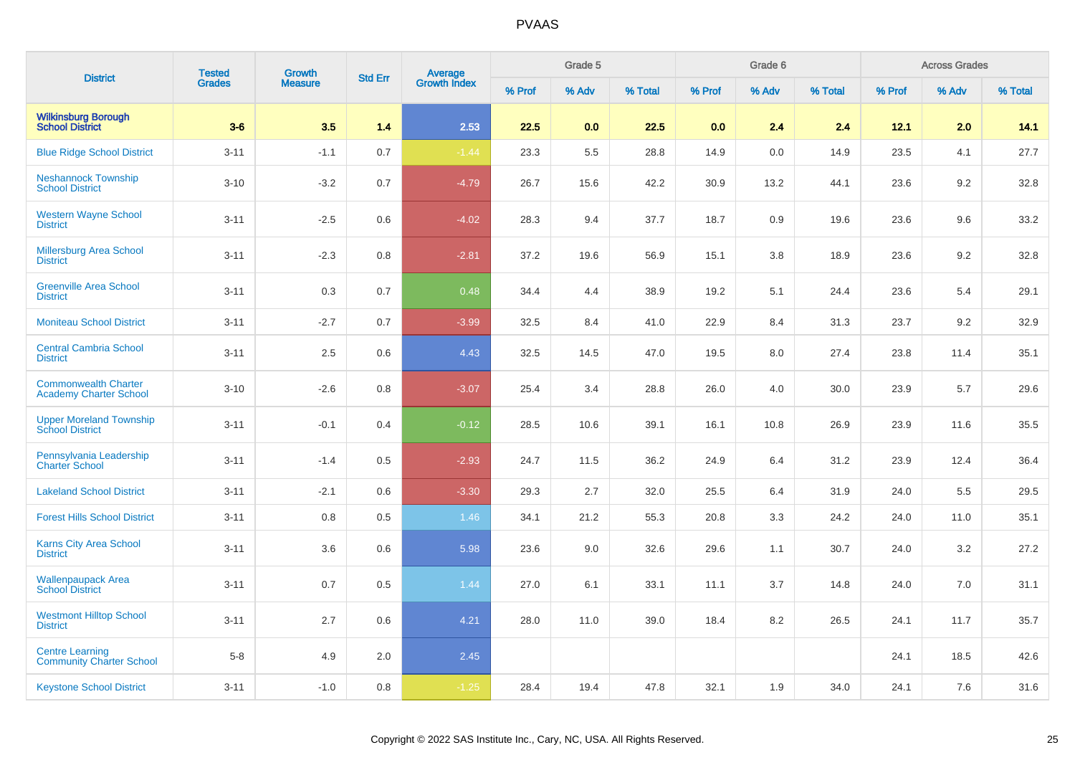| <b>District</b>                                              | <b>Tested</b> | <b>Growth</b>  | <b>Std Err</b> |                                |        | Grade 5 |         |        | Grade 6 |         |        | <b>Across Grades</b> |         |
|--------------------------------------------------------------|---------------|----------------|----------------|--------------------------------|--------|---------|---------|--------|---------|---------|--------|----------------------|---------|
|                                                              | <b>Grades</b> | <b>Measure</b> |                | <b>Average</b><br>Growth Index | % Prof | % Adv   | % Total | % Prof | % Adv   | % Total | % Prof | % Adv                | % Total |
| <b>Wilkinsburg Borough</b><br><b>School District</b>         | $3-6$         | 3.5            | 1.4            | 2.53                           | 22.5   | 0.0     | 22.5    | 0.0    | 2.4     | 2.4     | 12.1   | 2.0                  | 14.1    |
| <b>Blue Ridge School District</b>                            | $3 - 11$      | $-1.1$         | 0.7            | $-1.44$                        | 23.3   | 5.5     | 28.8    | 14.9   | 0.0     | 14.9    | 23.5   | 4.1                  | 27.7    |
| <b>Neshannock Township</b><br><b>School District</b>         | $3 - 10$      | $-3.2$         | 0.7            | $-4.79$                        | 26.7   | 15.6    | 42.2    | 30.9   | 13.2    | 44.1    | 23.6   | 9.2                  | 32.8    |
| <b>Western Wayne School</b><br><b>District</b>               | $3 - 11$      | $-2.5$         | 0.6            | $-4.02$                        | 28.3   | 9.4     | 37.7    | 18.7   | 0.9     | 19.6    | 23.6   | 9.6                  | 33.2    |
| <b>Millersburg Area School</b><br><b>District</b>            | $3 - 11$      | $-2.3$         | 0.8            | $-2.81$                        | 37.2   | 19.6    | 56.9    | 15.1   | 3.8     | 18.9    | 23.6   | 9.2                  | 32.8    |
| <b>Greenville Area School</b><br><b>District</b>             | $3 - 11$      | 0.3            | 0.7            | 0.48                           | 34.4   | 4.4     | 38.9    | 19.2   | 5.1     | 24.4    | 23.6   | 5.4                  | 29.1    |
| <b>Moniteau School District</b>                              | $3 - 11$      | $-2.7$         | 0.7            | $-3.99$                        | 32.5   | 8.4     | 41.0    | 22.9   | 8.4     | 31.3    | 23.7   | 9.2                  | 32.9    |
| <b>Central Cambria School</b><br><b>District</b>             | $3 - 11$      | 2.5            | 0.6            | 4.43                           | 32.5   | 14.5    | 47.0    | 19.5   | 8.0     | 27.4    | 23.8   | 11.4                 | 35.1    |
| <b>Commonwealth Charter</b><br><b>Academy Charter School</b> | $3 - 10$      | $-2.6$         | 0.8            | $-3.07$                        | 25.4   | 3.4     | 28.8    | 26.0   | 4.0     | 30.0    | 23.9   | 5.7                  | 29.6    |
| <b>Upper Moreland Township</b><br><b>School District</b>     | $3 - 11$      | $-0.1$         | 0.4            | $-0.12$                        | 28.5   | 10.6    | 39.1    | 16.1   | 10.8    | 26.9    | 23.9   | 11.6                 | 35.5    |
| Pennsylvania Leadership<br><b>Charter School</b>             | $3 - 11$      | $-1.4$         | 0.5            | $-2.93$                        | 24.7   | 11.5    | 36.2    | 24.9   | 6.4     | 31.2    | 23.9   | 12.4                 | 36.4    |
| <b>Lakeland School District</b>                              | $3 - 11$      | $-2.1$         | 0.6            | $-3.30$                        | 29.3   | 2.7     | 32.0    | 25.5   | 6.4     | 31.9    | 24.0   | 5.5                  | 29.5    |
| <b>Forest Hills School District</b>                          | $3 - 11$      | 0.8            | 0.5            | 1.46                           | 34.1   | 21.2    | 55.3    | 20.8   | 3.3     | 24.2    | 24.0   | 11.0                 | 35.1    |
| <b>Karns City Area School</b><br><b>District</b>             | $3 - 11$      | 3.6            | 0.6            | 5.98                           | 23.6   | 9.0     | 32.6    | 29.6   | 1.1     | 30.7    | 24.0   | 3.2                  | 27.2    |
| <b>Wallenpaupack Area</b><br><b>School District</b>          | $3 - 11$      | 0.7            | 0.5            | 1.44                           | 27.0   | 6.1     | 33.1    | 11.1   | 3.7     | 14.8    | 24.0   | 7.0                  | 31.1    |
| <b>Westmont Hilltop School</b><br><b>District</b>            | $3 - 11$      | 2.7            | 0.6            | 4.21                           | 28.0   | 11.0    | 39.0    | 18.4   | 8.2     | 26.5    | 24.1   | 11.7                 | 35.7    |
| <b>Centre Learning</b><br><b>Community Charter School</b>    | $5-8$         | 4.9            | $2.0\,$        | 2.45                           |        |         |         |        |         |         | 24.1   | 18.5                 | 42.6    |
| <b>Keystone School District</b>                              | $3 - 11$      | $-1.0$         | 0.8            | $-1.25$                        | 28.4   | 19.4    | 47.8    | 32.1   | 1.9     | 34.0    | 24.1   | 7.6                  | 31.6    |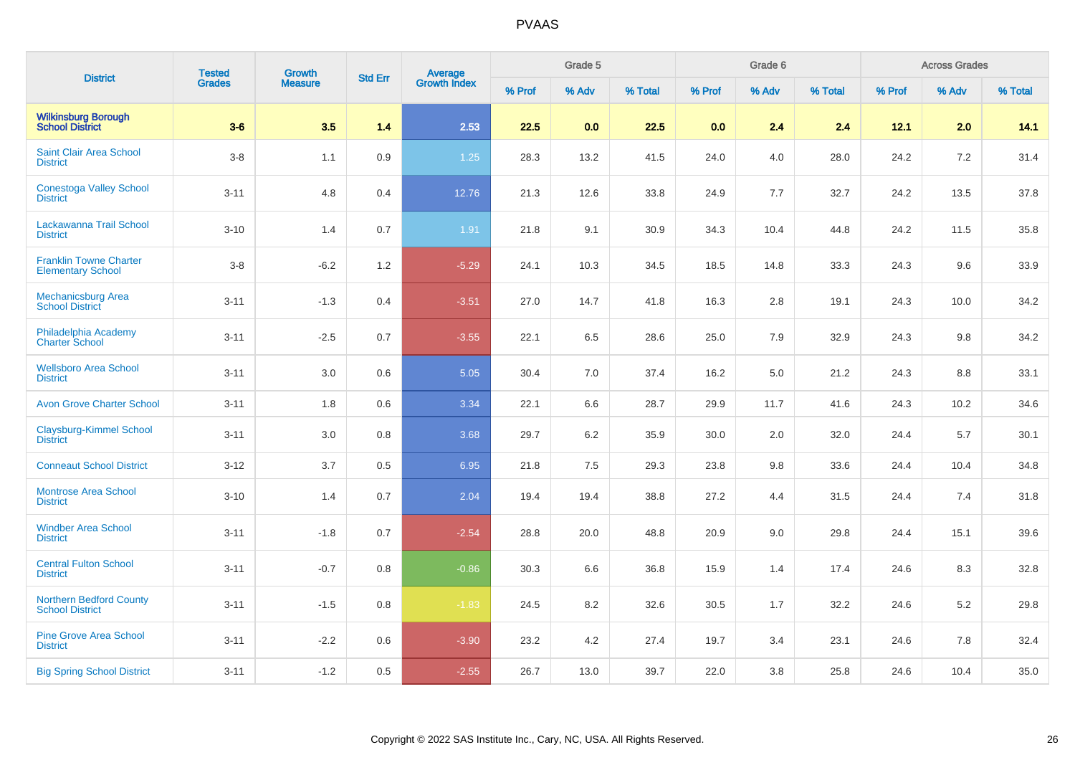| <b>District</b>                                           | <b>Tested</b> | Growth         | <b>Std Err</b> |                                |        | Grade 5 |         |        | Grade 6 |         |        | <b>Across Grades</b> |         |
|-----------------------------------------------------------|---------------|----------------|----------------|--------------------------------|--------|---------|---------|--------|---------|---------|--------|----------------------|---------|
|                                                           | <b>Grades</b> | <b>Measure</b> |                | <b>Average</b><br>Growth Index | % Prof | % Adv   | % Total | % Prof | % Adv   | % Total | % Prof | % Adv                | % Total |
| <b>Wilkinsburg Borough</b><br><b>School District</b>      | $3-6$         | 3.5            | 1.4            | 2.53                           | 22.5   | 0.0     | 22.5    | 0.0    | 2.4     | 2.4     | 12.1   | 2.0                  | 14.1    |
| Saint Clair Area School<br><b>District</b>                | $3-8$         | 1.1            | 0.9            | $1.25$                         | 28.3   | 13.2    | 41.5    | 24.0   | 4.0     | 28.0    | 24.2   | 7.2                  | 31.4    |
| <b>Conestoga Valley School</b><br><b>District</b>         | $3 - 11$      | 4.8            | 0.4            | 12.76                          | 21.3   | 12.6    | 33.8    | 24.9   | 7.7     | 32.7    | 24.2   | 13.5                 | 37.8    |
| Lackawanna Trail School<br><b>District</b>                | $3 - 10$      | 1.4            | 0.7            | 1.91                           | 21.8   | 9.1     | 30.9    | 34.3   | 10.4    | 44.8    | 24.2   | 11.5                 | 35.8    |
| <b>Franklin Towne Charter</b><br><b>Elementary School</b> | $3-8$         | $-6.2$         | 1.2            | $-5.29$                        | 24.1   | 10.3    | 34.5    | 18.5   | 14.8    | 33.3    | 24.3   | 9.6                  | 33.9    |
| <b>Mechanicsburg Area</b><br><b>School District</b>       | $3 - 11$      | $-1.3$         | 0.4            | $-3.51$                        | 27.0   | 14.7    | 41.8    | 16.3   | 2.8     | 19.1    | 24.3   | 10.0                 | 34.2    |
| Philadelphia Academy<br><b>Charter School</b>             | $3 - 11$      | $-2.5$         | 0.7            | $-3.55$                        | 22.1   | 6.5     | 28.6    | 25.0   | 7.9     | 32.9    | 24.3   | 9.8                  | 34.2    |
| <b>Wellsboro Area School</b><br><b>District</b>           | $3 - 11$      | $3.0\,$        | 0.6            | 5.05                           | 30.4   | 7.0     | 37.4    | 16.2   | 5.0     | 21.2    | 24.3   | 8.8                  | 33.1    |
| <b>Avon Grove Charter School</b>                          | $3 - 11$      | 1.8            | 0.6            | 3.34                           | 22.1   | 6.6     | 28.7    | 29.9   | 11.7    | 41.6    | 24.3   | 10.2                 | 34.6    |
| <b>Claysburg-Kimmel School</b><br><b>District</b>         | $3 - 11$      | 3.0            | 0.8            | 3.68                           | 29.7   | 6.2     | 35.9    | 30.0   | 2.0     | 32.0    | 24.4   | 5.7                  | 30.1    |
| <b>Conneaut School District</b>                           | $3 - 12$      | 3.7            | 0.5            | 6.95                           | 21.8   | 7.5     | 29.3    | 23.8   | 9.8     | 33.6    | 24.4   | 10.4                 | 34.8    |
| <b>Montrose Area School</b><br><b>District</b>            | $3 - 10$      | 1.4            | 0.7            | 2.04                           | 19.4   | 19.4    | 38.8    | 27.2   | 4.4     | 31.5    | 24.4   | 7.4                  | 31.8    |
| <b>Windber Area School</b><br><b>District</b>             | $3 - 11$      | $-1.8$         | 0.7            | $-2.54$                        | 28.8   | 20.0    | 48.8    | 20.9   | 9.0     | 29.8    | 24.4   | 15.1                 | 39.6    |
| <b>Central Fulton School</b><br><b>District</b>           | $3 - 11$      | $-0.7$         | 0.8            | $-0.86$                        | 30.3   | 6.6     | 36.8    | 15.9   | 1.4     | 17.4    | 24.6   | 8.3                  | 32.8    |
| <b>Northern Bedford County</b><br><b>School District</b>  | $3 - 11$      | $-1.5$         | 0.8            | $-1.83$                        | 24.5   | 8.2     | 32.6    | 30.5   | 1.7     | 32.2    | 24.6   | 5.2                  | 29.8    |
| <b>Pine Grove Area School</b><br><b>District</b>          | $3 - 11$      | $-2.2$         | 0.6            | $-3.90$                        | 23.2   | 4.2     | 27.4    | 19.7   | 3.4     | 23.1    | 24.6   | 7.8                  | 32.4    |
| <b>Big Spring School District</b>                         | $3 - 11$      | $-1.2$         | 0.5            | $-2.55$                        | 26.7   | 13.0    | 39.7    | 22.0   | 3.8     | 25.8    | 24.6   | 10.4                 | 35.0    |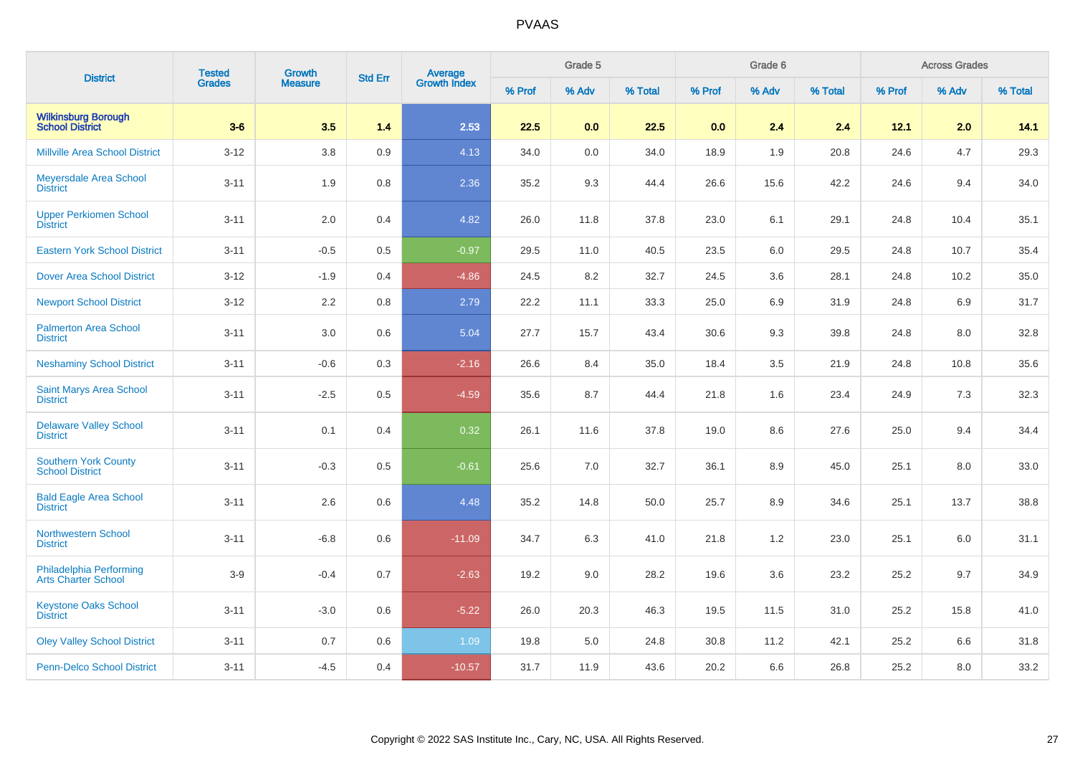| <b>District</b>                                       | <b>Tested</b> | <b>Growth</b>  | <b>Std Err</b> |                                |        | Grade 5 |         |        | Grade 6 |         |        | <b>Across Grades</b> |         |
|-------------------------------------------------------|---------------|----------------|----------------|--------------------------------|--------|---------|---------|--------|---------|---------|--------|----------------------|---------|
|                                                       | <b>Grades</b> | <b>Measure</b> |                | <b>Average</b><br>Growth Index | % Prof | % Adv   | % Total | % Prof | % Adv   | % Total | % Prof | % Adv                | % Total |
| <b>Wilkinsburg Borough</b><br><b>School District</b>  | $3-6$         | 3.5            | 1.4            | 2.53                           | 22.5   | 0.0     | 22.5    | 0.0    | 2.4     | 2.4     | 12.1   | 2.0                  | 14.1    |
| <b>Millville Area School District</b>                 | $3 - 12$      | 3.8            | 0.9            | 4.13                           | 34.0   | 0.0     | 34.0    | 18.9   | 1.9     | 20.8    | 24.6   | 4.7                  | 29.3    |
| Meyersdale Area School<br><b>District</b>             | $3 - 11$      | 1.9            | 0.8            | 2.36                           | 35.2   | 9.3     | 44.4    | 26.6   | 15.6    | 42.2    | 24.6   | 9.4                  | 34.0    |
| <b>Upper Perkiomen School</b><br><b>District</b>      | $3 - 11$      | 2.0            | 0.4            | 4.82                           | 26.0   | 11.8    | 37.8    | 23.0   | 6.1     | 29.1    | 24.8   | 10.4                 | 35.1    |
| <b>Eastern York School District</b>                   | $3 - 11$      | $-0.5$         | 0.5            | $-0.97$                        | 29.5   | 11.0    | 40.5    | 23.5   | 6.0     | 29.5    | 24.8   | 10.7                 | 35.4    |
| <b>Dover Area School District</b>                     | $3 - 12$      | $-1.9$         | 0.4            | $-4.86$                        | 24.5   | 8.2     | 32.7    | 24.5   | 3.6     | 28.1    | 24.8   | 10.2                 | 35.0    |
| <b>Newport School District</b>                        | $3 - 12$      | 2.2            | 0.8            | 2.79                           | 22.2   | 11.1    | 33.3    | 25.0   | 6.9     | 31.9    | 24.8   | 6.9                  | 31.7    |
| <b>Palmerton Area School</b><br><b>District</b>       | $3 - 11$      | 3.0            | 0.6            | 5.04                           | 27.7   | 15.7    | 43.4    | 30.6   | 9.3     | 39.8    | 24.8   | 8.0                  | 32.8    |
| <b>Neshaminy School District</b>                      | $3 - 11$      | $-0.6$         | 0.3            | $-2.16$                        | 26.6   | 8.4     | 35.0    | 18.4   | 3.5     | 21.9    | 24.8   | 10.8                 | 35.6    |
| Saint Marys Area School<br><b>District</b>            | $3 - 11$      | $-2.5$         | 0.5            | $-4.59$                        | 35.6   | 8.7     | 44.4    | 21.8   | 1.6     | 23.4    | 24.9   | 7.3                  | 32.3    |
| <b>Delaware Valley School</b><br><b>District</b>      | $3 - 11$      | 0.1            | 0.4            | 0.32                           | 26.1   | 11.6    | 37.8    | 19.0   | 8.6     | 27.6    | 25.0   | 9.4                  | 34.4    |
| <b>Southern York County</b><br><b>School District</b> | $3 - 11$      | $-0.3$         | 0.5            | $-0.61$                        | 25.6   | 7.0     | 32.7    | 36.1   | 8.9     | 45.0    | 25.1   | 8.0                  | 33.0    |
| <b>Bald Eagle Area School</b><br><b>District</b>      | $3 - 11$      | 2.6            | 0.6            | 4.48                           | 35.2   | 14.8    | 50.0    | 25.7   | 8.9     | 34.6    | 25.1   | 13.7                 | 38.8    |
| <b>Northwestern School</b><br><b>District</b>         | $3 - 11$      | $-6.8$         | 0.6            | $-11.09$                       | 34.7   | 6.3     | 41.0    | 21.8   | 1.2     | 23.0    | 25.1   | 6.0                  | 31.1    |
| Philadelphia Performing<br><b>Arts Charter School</b> | $3-9$         | $-0.4$         | 0.7            | $-2.63$                        | 19.2   | 9.0     | 28.2    | 19.6   | 3.6     | 23.2    | 25.2   | 9.7                  | 34.9    |
| <b>Keystone Oaks School</b><br><b>District</b>        | $3 - 11$      | $-3.0$         | 0.6            | $-5.22$                        | 26.0   | 20.3    | 46.3    | 19.5   | 11.5    | 31.0    | 25.2   | 15.8                 | 41.0    |
| <b>Oley Valley School District</b>                    | $3 - 11$      | 0.7            | 0.6            | 1.09                           | 19.8   | 5.0     | 24.8    | 30.8   | 11.2    | 42.1    | 25.2   | 6.6                  | 31.8    |
| <b>Penn-Delco School District</b>                     | $3 - 11$      | $-4.5$         | 0.4            | $-10.57$                       | 31.7   | 11.9    | 43.6    | 20.2   | 6.6     | 26.8    | 25.2   | 8.0                  | 33.2    |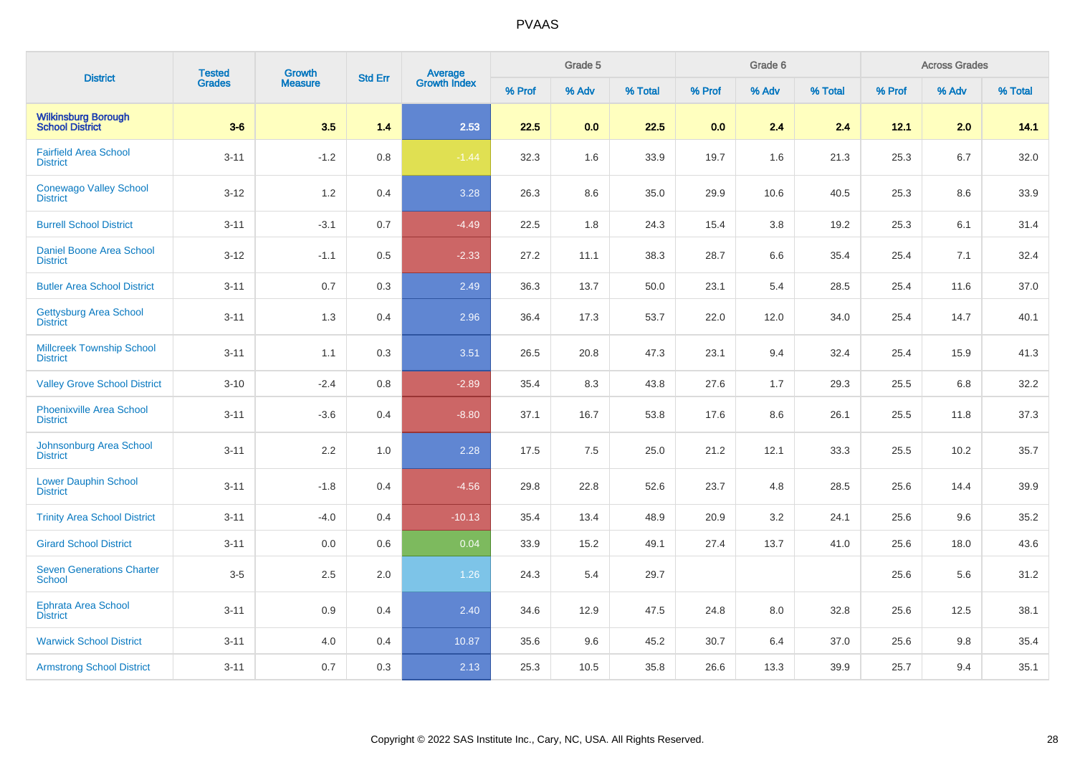| <b>District</b>                                      | <b>Tested</b> | <b>Growth</b>  | <b>Std Err</b> |                                |        | Grade 5 |         |        | Grade 6 |         |        | <b>Across Grades</b> |         |
|------------------------------------------------------|---------------|----------------|----------------|--------------------------------|--------|---------|---------|--------|---------|---------|--------|----------------------|---------|
|                                                      | <b>Grades</b> | <b>Measure</b> |                | <b>Average</b><br>Growth Index | % Prof | % Adv   | % Total | % Prof | % Adv   | % Total | % Prof | % Adv                | % Total |
| <b>Wilkinsburg Borough</b><br><b>School District</b> | $3-6$         | 3.5            | 1.4            | 2.53                           | 22.5   | 0.0     | 22.5    | 0.0    | 2.4     | 2.4     | 12.1   | 2.0                  | 14.1    |
| <b>Fairfield Area School</b><br><b>District</b>      | $3 - 11$      | $-1.2$         | $0.8\,$        | $-1.44$                        | 32.3   | 1.6     | 33.9    | 19.7   | 1.6     | 21.3    | 25.3   | 6.7                  | 32.0    |
| <b>Conewago Valley School</b><br><b>District</b>     | $3-12$        | $1.2$          | 0.4            | 3.28                           | 26.3   | 8.6     | 35.0    | 29.9   | 10.6    | 40.5    | 25.3   | 8.6                  | 33.9    |
| <b>Burrell School District</b>                       | $3 - 11$      | $-3.1$         | 0.7            | $-4.49$                        | 22.5   | 1.8     | 24.3    | 15.4   | 3.8     | 19.2    | 25.3   | 6.1                  | 31.4    |
| Daniel Boone Area School<br><b>District</b>          | $3 - 12$      | $-1.1$         | 0.5            | $-2.33$                        | 27.2   | 11.1    | 38.3    | 28.7   | 6.6     | 35.4    | 25.4   | 7.1                  | 32.4    |
| <b>Butler Area School District</b>                   | $3 - 11$      | 0.7            | 0.3            | 2.49                           | 36.3   | 13.7    | 50.0    | 23.1   | 5.4     | 28.5    | 25.4   | 11.6                 | 37.0    |
| <b>Gettysburg Area School</b><br><b>District</b>     | $3 - 11$      | 1.3            | 0.4            | 2.96                           | 36.4   | 17.3    | 53.7    | 22.0   | 12.0    | 34.0    | 25.4   | 14.7                 | 40.1    |
| <b>Millcreek Township School</b><br><b>District</b>  | $3 - 11$      | 1.1            | 0.3            | 3.51                           | 26.5   | 20.8    | 47.3    | 23.1   | 9.4     | 32.4    | 25.4   | 15.9                 | 41.3    |
| <b>Valley Grove School District</b>                  | $3 - 10$      | $-2.4$         | 0.8            | $-2.89$                        | 35.4   | 8.3     | 43.8    | 27.6   | 1.7     | 29.3    | 25.5   | 6.8                  | 32.2    |
| <b>Phoenixville Area School</b><br><b>District</b>   | $3 - 11$      | $-3.6$         | 0.4            | $-8.80$                        | 37.1   | 16.7    | 53.8    | 17.6   | 8.6     | 26.1    | 25.5   | 11.8                 | 37.3    |
| <b>Johnsonburg Area School</b><br><b>District</b>    | $3 - 11$      | 2.2            | 1.0            | 2.28                           | 17.5   | 7.5     | 25.0    | 21.2   | 12.1    | 33.3    | 25.5   | 10.2                 | 35.7    |
| <b>Lower Dauphin School</b><br><b>District</b>       | $3 - 11$      | $-1.8$         | 0.4            | $-4.56$                        | 29.8   | 22.8    | 52.6    | 23.7   | 4.8     | 28.5    | 25.6   | 14.4                 | 39.9    |
| <b>Trinity Area School District</b>                  | $3 - 11$      | $-4.0$         | 0.4            | $-10.13$                       | 35.4   | 13.4    | 48.9    | 20.9   | 3.2     | 24.1    | 25.6   | 9.6                  | 35.2    |
| <b>Girard School District</b>                        | $3 - 11$      | 0.0            | 0.6            | 0.04                           | 33.9   | 15.2    | 49.1    | 27.4   | 13.7    | 41.0    | 25.6   | 18.0                 | 43.6    |
| <b>Seven Generations Charter</b><br><b>School</b>    | $3-5$         | 2.5            | 2.0            | 1.26                           | 24.3   | 5.4     | 29.7    |        |         |         | 25.6   | 5.6                  | 31.2    |
| Ephrata Area School<br><b>District</b>               | $3 - 11$      | 0.9            | 0.4            | 2.40                           | 34.6   | 12.9    | 47.5    | 24.8   | 8.0     | 32.8    | 25.6   | 12.5                 | 38.1    |
| <b>Warwick School District</b>                       | $3 - 11$      | $4.0\,$        | 0.4            | 10.87                          | 35.6   | 9.6     | 45.2    | 30.7   | 6.4     | 37.0    | 25.6   | 9.8                  | 35.4    |
| <b>Armstrong School District</b>                     | $3 - 11$      | 0.7            | 0.3            | 2.13                           | 25.3   | 10.5    | 35.8    | 26.6   | 13.3    | 39.9    | 25.7   | 9.4                  | 35.1    |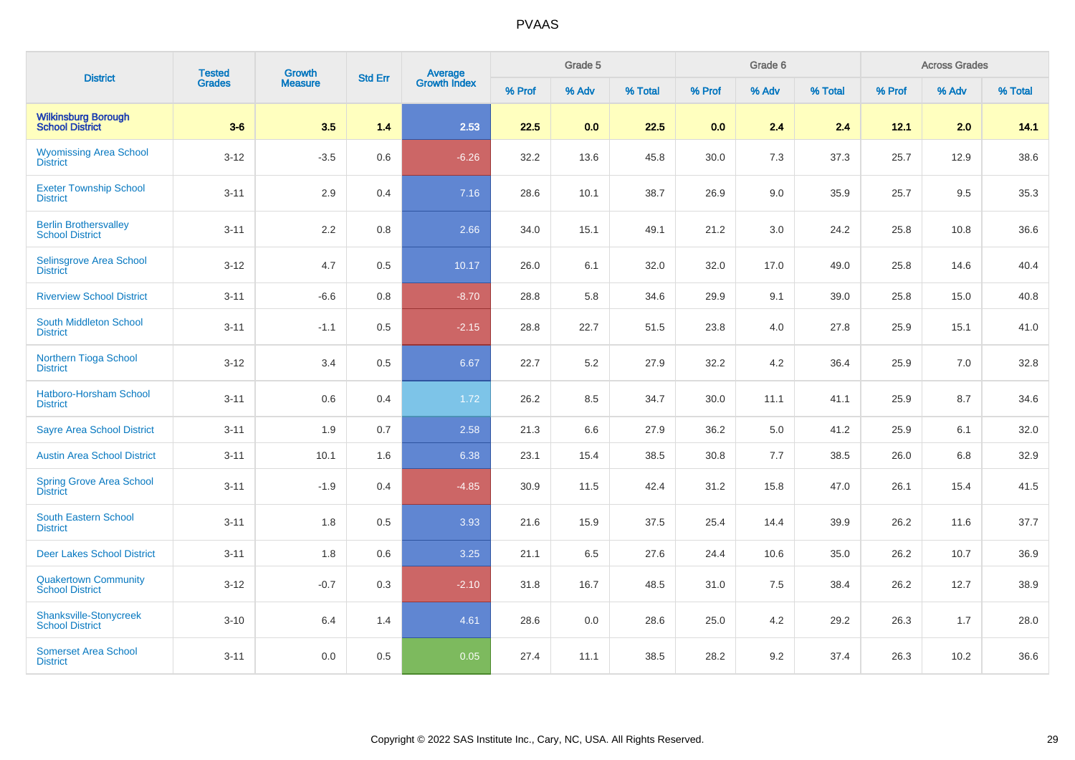| <b>District</b>                                        | <b>Tested</b> | <b>Growth</b>  | <b>Std Err</b> |                                |        | Grade 5 |         |        | Grade 6 |         |        | <b>Across Grades</b> |         |
|--------------------------------------------------------|---------------|----------------|----------------|--------------------------------|--------|---------|---------|--------|---------|---------|--------|----------------------|---------|
|                                                        | <b>Grades</b> | <b>Measure</b> |                | <b>Average</b><br>Growth Index | % Prof | % Adv   | % Total | % Prof | % Adv   | % Total | % Prof | % Adv                | % Total |
| <b>Wilkinsburg Borough</b><br><b>School District</b>   | $3-6$         | 3.5            | 1.4            | 2.53                           | 22.5   | 0.0     | 22.5    | 0.0    | 2.4     | 2.4     | 12.1   | 2.0                  | 14.1    |
| <b>Wyomissing Area School</b><br><b>District</b>       | $3 - 12$      | $-3.5$         | 0.6            | $-6.26$                        | 32.2   | 13.6    | 45.8    | 30.0   | 7.3     | 37.3    | 25.7   | 12.9                 | 38.6    |
| <b>Exeter Township School</b><br><b>District</b>       | $3 - 11$      | 2.9            | 0.4            | 7.16                           | 28.6   | 10.1    | 38.7    | 26.9   | 9.0     | 35.9    | 25.7   | 9.5                  | 35.3    |
| <b>Berlin Brothersvalley</b><br><b>School District</b> | $3 - 11$      | $2.2\,$        | 0.8            | 2.66                           | 34.0   | 15.1    | 49.1    | 21.2   | 3.0     | 24.2    | 25.8   | 10.8                 | 36.6    |
| Selinsgrove Area School<br><b>District</b>             | $3 - 12$      | 4.7            | 0.5            | 10.17                          | 26.0   | 6.1     | 32.0    | 32.0   | 17.0    | 49.0    | 25.8   | 14.6                 | 40.4    |
| <b>Riverview School District</b>                       | $3 - 11$      | $-6.6$         | $0.8\,$        | $-8.70$                        | 28.8   | 5.8     | 34.6    | 29.9   | 9.1     | 39.0    | 25.8   | 15.0                 | 40.8    |
| South Middleton School<br><b>District</b>              | $3 - 11$      | $-1.1$         | 0.5            | $-2.15$                        | 28.8   | 22.7    | 51.5    | 23.8   | 4.0     | 27.8    | 25.9   | 15.1                 | 41.0    |
| Northern Tioga School<br><b>District</b>               | $3 - 12$      | 3.4            | 0.5            | 6.67                           | 22.7   | 5.2     | 27.9    | 32.2   | 4.2     | 36.4    | 25.9   | 7.0                  | 32.8    |
| <b>Hatboro-Horsham School</b><br><b>District</b>       | $3 - 11$      | 0.6            | 0.4            | 1.72                           | 26.2   | 8.5     | 34.7    | 30.0   | 11.1    | 41.1    | 25.9   | 8.7                  | 34.6    |
| <b>Sayre Area School District</b>                      | $3 - 11$      | 1.9            | 0.7            | 2.58                           | 21.3   | 6.6     | 27.9    | 36.2   | 5.0     | 41.2    | 25.9   | 6.1                  | 32.0    |
| <b>Austin Area School District</b>                     | $3 - 11$      | 10.1           | 1.6            | 6.38                           | 23.1   | 15.4    | 38.5    | 30.8   | 7.7     | 38.5    | 26.0   | 6.8                  | 32.9    |
| Spring Grove Area School<br><b>District</b>            | $3 - 11$      | $-1.9$         | 0.4            | $-4.85$                        | 30.9   | 11.5    | 42.4    | 31.2   | 15.8    | 47.0    | 26.1   | 15.4                 | 41.5    |
| <b>South Eastern School</b><br><b>District</b>         | $3 - 11$      | 1.8            | 0.5            | 3.93                           | 21.6   | 15.9    | 37.5    | 25.4   | 14.4    | 39.9    | 26.2   | 11.6                 | 37.7    |
| <b>Deer Lakes School District</b>                      | $3 - 11$      | 1.8            | 0.6            | 3.25                           | 21.1   | 6.5     | 27.6    | 24.4   | 10.6    | 35.0    | 26.2   | 10.7                 | 36.9    |
| <b>Quakertown Community</b><br><b>School District</b>  | $3 - 12$      | $-0.7$         | 0.3            | $-2.10$                        | 31.8   | 16.7    | 48.5    | 31.0   | 7.5     | 38.4    | 26.2   | 12.7                 | 38.9    |
| Shanksville-Stonycreek<br><b>School District</b>       | $3 - 10$      | 6.4            | 1.4            | 4.61                           | 28.6   | 0.0     | 28.6    | 25.0   | 4.2     | 29.2    | 26.3   | 1.7                  | 28.0    |
| <b>Somerset Area School</b><br><b>District</b>         | $3 - 11$      | 0.0            | 0.5            | 0.05                           | 27.4   | 11.1    | 38.5    | 28.2   | 9.2     | 37.4    | 26.3   | 10.2                 | 36.6    |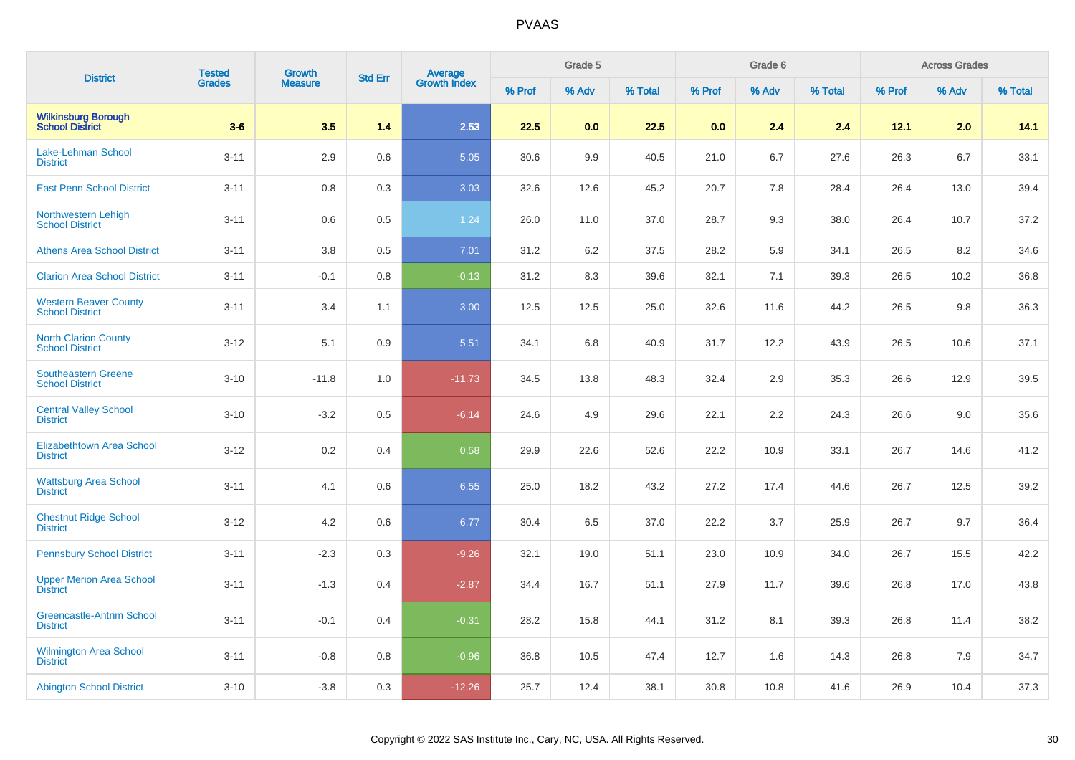|                                                        | <b>Tested</b> | <b>Growth</b>  |                |                         |        | Grade 5 |         |        | Grade 6 |         |        | <b>Across Grades</b> |         |
|--------------------------------------------------------|---------------|----------------|----------------|-------------------------|--------|---------|---------|--------|---------|---------|--------|----------------------|---------|
| <b>District</b>                                        | <b>Grades</b> | <b>Measure</b> | <b>Std Err</b> | Average<br>Growth Index | % Prof | % Adv   | % Total | % Prof | % Adv   | % Total | % Prof | % Adv                | % Total |
| <b>Wilkinsburg Borough</b><br>School District          | $3-6$         | 3.5            | 1.4            | 2.53                    | 22.5   | 0.0     | 22.5    | 0.0    | 2.4     | 2.4     | 12.1   | 2.0                  | 14.1    |
| Lake-Lehman School<br><b>District</b>                  | $3 - 11$      | 2.9            | 0.6            | 5.05                    | 30.6   | 9.9     | 40.5    | 21.0   | 6.7     | 27.6    | 26.3   | 6.7                  | 33.1    |
| <b>East Penn School District</b>                       | $3 - 11$      | 0.8            | 0.3            | 3.03                    | 32.6   | 12.6    | 45.2    | 20.7   | 7.8     | 28.4    | 26.4   | 13.0                 | 39.4    |
| Northwestern Lehigh<br><b>School District</b>          | $3 - 11$      | 0.6            | 0.5            | 1.24                    | 26.0   | 11.0    | 37.0    | 28.7   | 9.3     | 38.0    | 26.4   | 10.7                 | 37.2    |
| <b>Athens Area School District</b>                     | $3 - 11$      | 3.8            | 0.5            | 7.01                    | 31.2   | 6.2     | 37.5    | 28.2   | 5.9     | 34.1    | 26.5   | 8.2                  | 34.6    |
| <b>Clarion Area School District</b>                    | $3 - 11$      | $-0.1$         | 0.8            | $-0.13$                 | 31.2   | 8.3     | 39.6    | 32.1   | 7.1     | 39.3    | 26.5   | 10.2                 | 36.8    |
| <b>Western Beaver County</b><br><b>School District</b> | $3 - 11$      | 3.4            | 1.1            | 3.00                    | 12.5   | 12.5    | 25.0    | 32.6   | 11.6    | 44.2    | 26.5   | 9.8                  | 36.3    |
| <b>North Clarion County</b><br><b>School District</b>  | $3 - 12$      | 5.1            | 0.9            | 5.51                    | 34.1   | 6.8     | 40.9    | 31.7   | 12.2    | 43.9    | 26.5   | 10.6                 | 37.1    |
| <b>Southeastern Greene</b><br><b>School District</b>   | $3 - 10$      | $-11.8$        | 1.0            | $-11.73$                | 34.5   | 13.8    | 48.3    | 32.4   | 2.9     | 35.3    | 26.6   | 12.9                 | 39.5    |
| <b>Central Valley School</b><br><b>District</b>        | $3 - 10$      | $-3.2$         | 0.5            | $-6.14$                 | 24.6   | 4.9     | 29.6    | 22.1   | 2.2     | 24.3    | 26.6   | 9.0                  | 35.6    |
| Elizabethtown Area School<br><b>District</b>           | $3 - 12$      | 0.2            | 0.4            | 0.58                    | 29.9   | 22.6    | 52.6    | 22.2   | 10.9    | 33.1    | 26.7   | 14.6                 | 41.2    |
| <b>Wattsburg Area School</b><br><b>District</b>        | $3 - 11$      | 4.1            | 0.6            | 6.55                    | 25.0   | 18.2    | 43.2    | 27.2   | 17.4    | 44.6    | 26.7   | 12.5                 | 39.2    |
| <b>Chestnut Ridge School</b><br><b>District</b>        | $3 - 12$      | 4.2            | 0.6            | 6.77                    | 30.4   | 6.5     | 37.0    | 22.2   | 3.7     | 25.9    | 26.7   | 9.7                  | 36.4    |
| <b>Pennsbury School District</b>                       | $3 - 11$      | $-2.3$         | 0.3            | $-9.26$                 | 32.1   | 19.0    | 51.1    | 23.0   | 10.9    | 34.0    | 26.7   | 15.5                 | 42.2    |
| <b>Upper Merion Area School</b><br><b>District</b>     | $3 - 11$      | $-1.3$         | 0.4            | $-2.87$                 | 34.4   | 16.7    | 51.1    | 27.9   | 11.7    | 39.6    | 26.8   | 17.0                 | 43.8    |
| <b>Greencastle-Antrim School</b><br><b>District</b>    | $3 - 11$      | $-0.1$         | 0.4            | $-0.31$                 | 28.2   | 15.8    | 44.1    | 31.2   | 8.1     | 39.3    | 26.8   | 11.4                 | 38.2    |
| <b>Wilmington Area School</b><br><b>District</b>       | $3 - 11$      | $-0.8$         | 0.8            | $-0.96$                 | 36.8   | 10.5    | 47.4    | 12.7   | 1.6     | 14.3    | 26.8   | 7.9                  | 34.7    |
| <b>Abington School District</b>                        | $3 - 10$      | $-3.8$         | 0.3            | $-12.26$                | 25.7   | 12.4    | 38.1    | 30.8   | 10.8    | 41.6    | 26.9   | 10.4                 | 37.3    |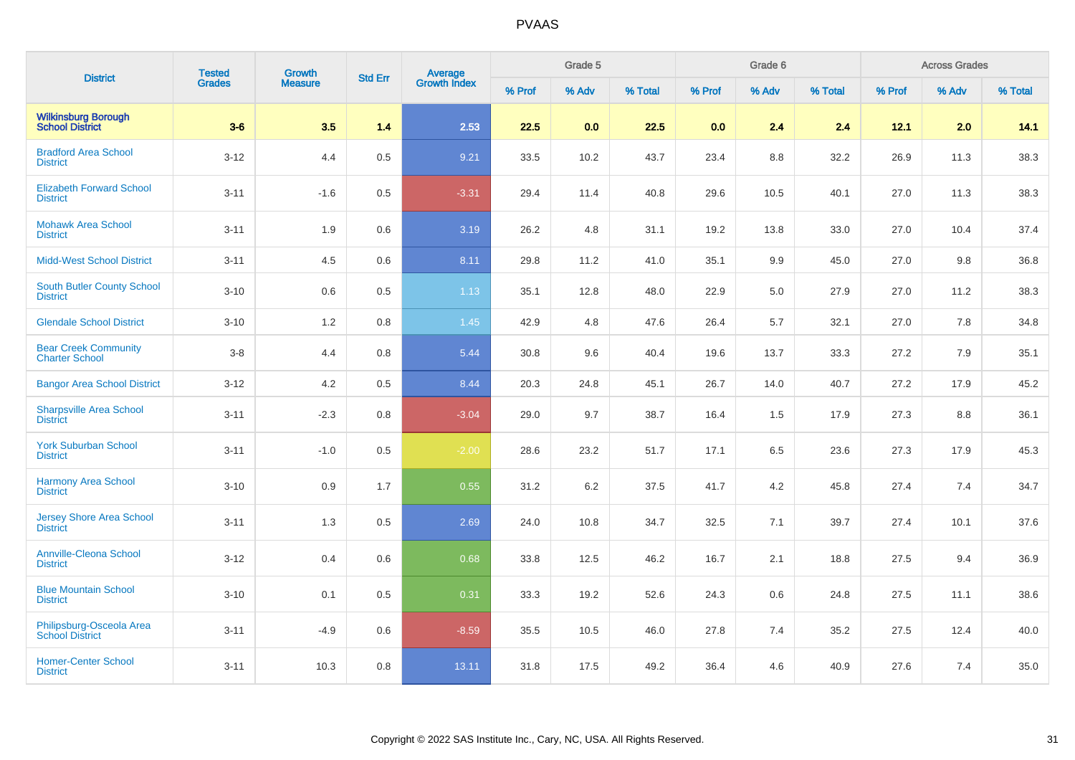| <b>District</b>                                      | <b>Tested</b> | Growth         | <b>Std Err</b> | <b>Average</b><br>Growth Index |        | Grade 5 |         |        | Grade 6 |         |        | <b>Across Grades</b> |         |
|------------------------------------------------------|---------------|----------------|----------------|--------------------------------|--------|---------|---------|--------|---------|---------|--------|----------------------|---------|
|                                                      | Grades        | <b>Measure</b> |                |                                | % Prof | % Adv   | % Total | % Prof | % Adv   | % Total | % Prof | % Adv                | % Total |
| <b>Wilkinsburg Borough</b><br><b>School District</b> | $3-6$         | 3.5            | 1.4            | 2.53                           | 22.5   | 0.0     | 22.5    | 0.0    | 2.4     | 2.4     | 12.1   | 2.0                  | 14.1    |
| <b>Bradford Area School</b><br><b>District</b>       | $3 - 12$      | 4.4            | 0.5            | 9.21                           | 33.5   | 10.2    | 43.7    | 23.4   | 8.8     | 32.2    | 26.9   | 11.3                 | 38.3    |
| <b>Elizabeth Forward School</b><br><b>District</b>   | $3 - 11$      | $-1.6$         | 0.5            | $-3.31$                        | 29.4   | 11.4    | 40.8    | 29.6   | 10.5    | 40.1    | 27.0   | 11.3                 | 38.3    |
| <b>Mohawk Area School</b><br><b>District</b>         | $3 - 11$      | 1.9            | 0.6            | 3.19                           | 26.2   | 4.8     | 31.1    | 19.2   | 13.8    | 33.0    | 27.0   | 10.4                 | 37.4    |
| <b>Midd-West School District</b>                     | $3 - 11$      | 4.5            | 0.6            | 8.11                           | 29.8   | 11.2    | 41.0    | 35.1   | 9.9     | 45.0    | 27.0   | 9.8                  | 36.8    |
| <b>South Butler County School</b><br><b>District</b> | $3 - 10$      | 0.6            | 0.5            | 1.13                           | 35.1   | 12.8    | 48.0    | 22.9   | 5.0     | 27.9    | 27.0   | 11.2                 | 38.3    |
| <b>Glendale School District</b>                      | $3 - 10$      | 1.2            | 0.8            | $1.45$                         | 42.9   | 4.8     | 47.6    | 26.4   | 5.7     | 32.1    | 27.0   | 7.8                  | 34.8    |
| <b>Bear Creek Community</b><br><b>Charter School</b> | $3-8$         | 4.4            | 0.8            | 5.44                           | 30.8   | 9.6     | 40.4    | 19.6   | 13.7    | 33.3    | 27.2   | 7.9                  | 35.1    |
| <b>Bangor Area School District</b>                   | $3 - 12$      | 4.2            | 0.5            | 8.44                           | 20.3   | 24.8    | 45.1    | 26.7   | 14.0    | 40.7    | 27.2   | 17.9                 | 45.2    |
| <b>Sharpsville Area School</b><br><b>District</b>    | $3 - 11$      | $-2.3$         | 0.8            | $-3.04$                        | 29.0   | 9.7     | 38.7    | 16.4   | 1.5     | 17.9    | 27.3   | 8.8                  | 36.1    |
| <b>York Suburban School</b><br><b>District</b>       | $3 - 11$      | $-1.0$         | 0.5            | $-2.00$                        | 28.6   | 23.2    | 51.7    | 17.1   | 6.5     | 23.6    | 27.3   | 17.9                 | 45.3    |
| Harmony Area School<br><b>District</b>               | $3 - 10$      | 0.9            | 1.7            | 0.55                           | 31.2   | 6.2     | 37.5    | 41.7   | 4.2     | 45.8    | 27.4   | 7.4                  | 34.7    |
| <b>Jersey Shore Area School</b><br><b>District</b>   | $3 - 11$      | 1.3            | 0.5            | 2.69                           | 24.0   | 10.8    | 34.7    | 32.5   | 7.1     | 39.7    | 27.4   | 10.1                 | 37.6    |
| <b>Annville-Cleona School</b><br><b>District</b>     | $3-12$        | 0.4            | 0.6            | 0.68                           | 33.8   | 12.5    | 46.2    | 16.7   | 2.1     | 18.8    | 27.5   | 9.4                  | 36.9    |
| <b>Blue Mountain School</b><br><b>District</b>       | $3 - 10$      | 0.1            | 0.5            | 0.31                           | 33.3   | 19.2    | 52.6    | 24.3   | 0.6     | 24.8    | 27.5   | 11.1                 | 38.6    |
| Philipsburg-Osceola Area<br><b>School District</b>   | $3 - 11$      | $-4.9$         | 0.6            | $-8.59$                        | 35.5   | 10.5    | 46.0    | 27.8   | 7.4     | 35.2    | 27.5   | 12.4                 | 40.0    |
| <b>Homer-Center School</b><br><b>District</b>        | $3 - 11$      | 10.3           | 0.8            | 13.11                          | 31.8   | 17.5    | 49.2    | 36.4   | 4.6     | 40.9    | 27.6   | 7.4                  | 35.0    |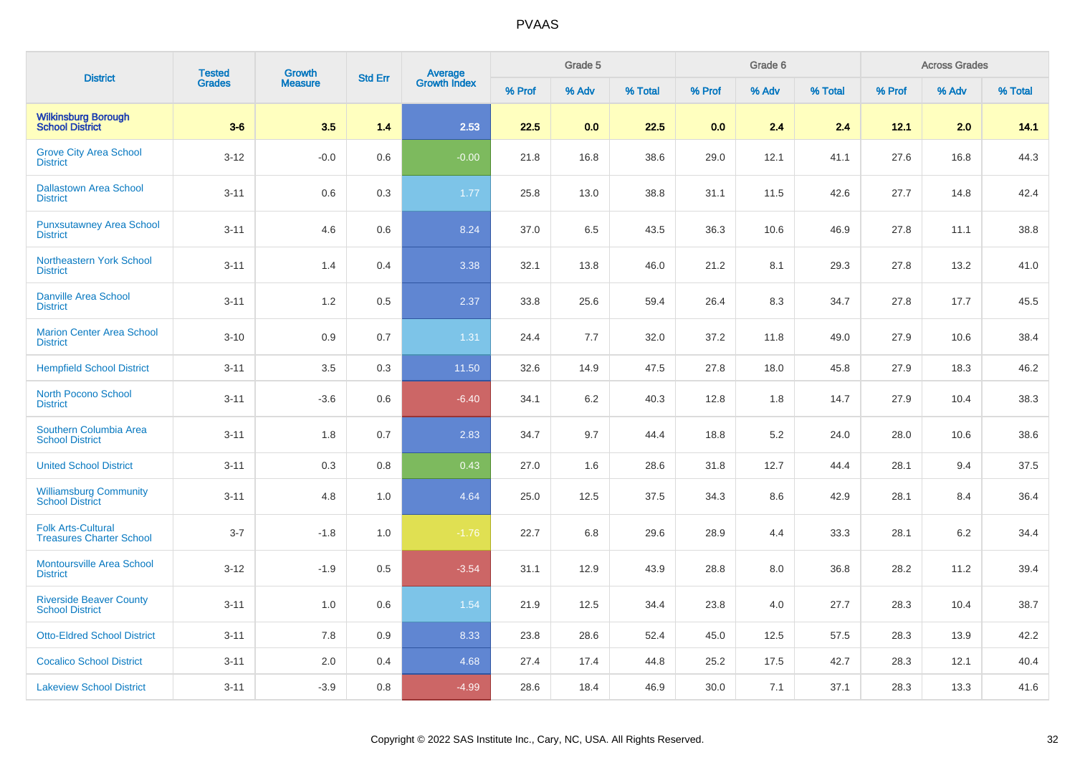| <b>District</b>                                              | <b>Tested</b> | <b>Growth</b>  | <b>Std Err</b> |                                |        | Grade 5 |         |        | Grade 6 |         |        | <b>Across Grades</b> |         |
|--------------------------------------------------------------|---------------|----------------|----------------|--------------------------------|--------|---------|---------|--------|---------|---------|--------|----------------------|---------|
|                                                              | <b>Grades</b> | <b>Measure</b> |                | <b>Average</b><br>Growth Index | % Prof | % Adv   | % Total | % Prof | % Adv   | % Total | % Prof | % Adv                | % Total |
| <b>Wilkinsburg Borough<br/>School District</b>               | $3-6$         | 3.5            | 1.4            | 2.53                           | 22.5   | 0.0     | 22.5    | 0.0    | 2.4     | 2.4     | 12.1   | 2.0                  | 14.1    |
| <b>Grove City Area School</b><br><b>District</b>             | $3 - 12$      | $-0.0$         | 0.6            | $-0.00$                        | 21.8   | 16.8    | 38.6    | 29.0   | 12.1    | 41.1    | 27.6   | 16.8                 | 44.3    |
| <b>Dallastown Area School</b><br><b>District</b>             | $3 - 11$      | 0.6            | 0.3            | 1.77                           | 25.8   | 13.0    | 38.8    | 31.1   | 11.5    | 42.6    | 27.7   | 14.8                 | 42.4    |
| <b>Punxsutawney Area School</b><br><b>District</b>           | $3 - 11$      | 4.6            | 0.6            | 8.24                           | 37.0   | 6.5     | 43.5    | 36.3   | 10.6    | 46.9    | 27.8   | 11.1                 | 38.8    |
| Northeastern York School<br><b>District</b>                  | $3 - 11$      | 1.4            | 0.4            | 3.38                           | 32.1   | 13.8    | 46.0    | 21.2   | 8.1     | 29.3    | 27.8   | 13.2                 | 41.0    |
| <b>Danville Area School</b><br><b>District</b>               | $3 - 11$      | 1.2            | 0.5            | 2.37                           | 33.8   | 25.6    | 59.4    | 26.4   | 8.3     | 34.7    | 27.8   | 17.7                 | 45.5    |
| <b>Marion Center Area School</b><br><b>District</b>          | $3 - 10$      | 0.9            | 0.7            | 1.31                           | 24.4   | 7.7     | 32.0    | 37.2   | 11.8    | 49.0    | 27.9   | 10.6                 | 38.4    |
| <b>Hempfield School District</b>                             | $3 - 11$      | 3.5            | 0.3            | 11.50                          | 32.6   | 14.9    | 47.5    | 27.8   | 18.0    | 45.8    | 27.9   | 18.3                 | 46.2    |
| <b>North Pocono School</b><br><b>District</b>                | $3 - 11$      | $-3.6$         | 0.6            | $-6.40$                        | 34.1   | 6.2     | 40.3    | 12.8   | 1.8     | 14.7    | 27.9   | 10.4                 | 38.3    |
| Southern Columbia Area<br><b>School District</b>             | $3 - 11$      | 1.8            | 0.7            | 2.83                           | 34.7   | 9.7     | 44.4    | 18.8   | 5.2     | 24.0    | 28.0   | 10.6                 | 38.6    |
| <b>United School District</b>                                | $3 - 11$      | 0.3            | 0.8            | 0.43                           | 27.0   | 1.6     | 28.6    | 31.8   | 12.7    | 44.4    | 28.1   | 9.4                  | 37.5    |
| <b>Williamsburg Community</b><br><b>School District</b>      | $3 - 11$      | 4.8            | 1.0            | 4.64                           | 25.0   | 12.5    | 37.5    | 34.3   | 8.6     | 42.9    | 28.1   | 8.4                  | 36.4    |
| <b>Folk Arts-Cultural</b><br><b>Treasures Charter School</b> | $3 - 7$       | $-1.8$         | 1.0            | $-1.76$                        | 22.7   | 6.8     | 29.6    | 28.9   | 4.4     | 33.3    | 28.1   | 6.2                  | 34.4    |
| <b>Montoursville Area School</b><br><b>District</b>          | $3 - 12$      | $-1.9$         | 0.5            | $-3.54$                        | 31.1   | 12.9    | 43.9    | 28.8   | 8.0     | 36.8    | 28.2   | 11.2                 | 39.4    |
| <b>Riverside Beaver County</b><br><b>School District</b>     | $3 - 11$      | 1.0            | 0.6            | 1.54                           | 21.9   | 12.5    | 34.4    | 23.8   | 4.0     | 27.7    | 28.3   | 10.4                 | 38.7    |
| <b>Otto-Eldred School District</b>                           | $3 - 11$      | 7.8            | 0.9            | 8.33                           | 23.8   | 28.6    | 52.4    | 45.0   | 12.5    | 57.5    | 28.3   | 13.9                 | 42.2    |
| <b>Cocalico School District</b>                              | $3 - 11$      | 2.0            | 0.4            | 4.68                           | 27.4   | 17.4    | 44.8    | 25.2   | 17.5    | 42.7    | 28.3   | 12.1                 | 40.4    |
| <b>Lakeview School District</b>                              | $3 - 11$      | $-3.9$         | 0.8            | $-4.99$                        | 28.6   | 18.4    | 46.9    | 30.0   | 7.1     | 37.1    | 28.3   | 13.3                 | 41.6    |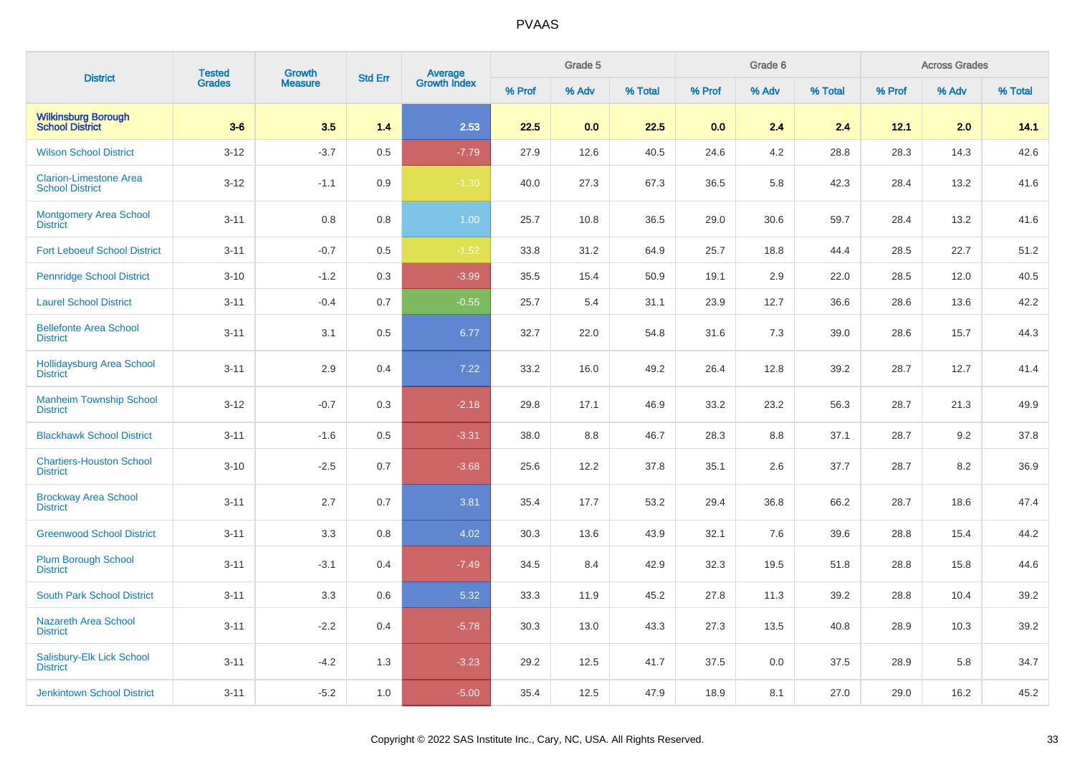| <b>District</b>                                         | <b>Tested</b> | <b>Growth</b>  | <b>Std Err</b> | Average<br>Growth Index |        | Grade 5 |         |        | Grade 6 |         |        | <b>Across Grades</b> |         |
|---------------------------------------------------------|---------------|----------------|----------------|-------------------------|--------|---------|---------|--------|---------|---------|--------|----------------------|---------|
|                                                         | <b>Grades</b> | <b>Measure</b> |                |                         | % Prof | % Adv   | % Total | % Prof | % Adv   | % Total | % Prof | % Adv                | % Total |
| <b>Wilkinsburg Borough</b><br><b>School District</b>    | $3-6$         | 3.5            | 1.4            | 2.53                    | 22.5   | 0.0     | 22.5    | 0.0    | 2.4     | 2.4     | 12.1   | 2.0                  | 14.1    |
| <b>Wilson School District</b>                           | $3 - 12$      | $-3.7$         | 0.5            | $-7.79$                 | 27.9   | 12.6    | 40.5    | 24.6   | 4.2     | 28.8    | 28.3   | 14.3                 | 42.6    |
| <b>Clarion-Limestone Area</b><br><b>School District</b> | $3 - 12$      | $-1.1$         | 0.9            | $-1.30$                 | 40.0   | 27.3    | 67.3    | 36.5   | 5.8     | 42.3    | 28.4   | 13.2                 | 41.6    |
| <b>Montgomery Area School</b><br><b>District</b>        | $3 - 11$      | 0.8            | 0.8            | 1.00                    | 25.7   | 10.8    | 36.5    | 29.0   | 30.6    | 59.7    | 28.4   | 13.2                 | 41.6    |
| <b>Fort Leboeuf School District</b>                     | $3 - 11$      | $-0.7$         | 0.5            | $-1.52$                 | 33.8   | 31.2    | 64.9    | 25.7   | 18.8    | 44.4    | 28.5   | 22.7                 | 51.2    |
| <b>Pennridge School District</b>                        | $3 - 10$      | $-1.2$         | 0.3            | $-3.99$                 | 35.5   | 15.4    | 50.9    | 19.1   | 2.9     | 22.0    | 28.5   | 12.0                 | 40.5    |
| <b>Laurel School District</b>                           | $3 - 11$      | $-0.4$         | 0.7            | $-0.55$                 | 25.7   | 5.4     | 31.1    | 23.9   | 12.7    | 36.6    | 28.6   | 13.6                 | 42.2    |
| <b>Bellefonte Area School</b><br><b>District</b>        | $3 - 11$      | 3.1            | 0.5            | 6.77                    | 32.7   | 22.0    | 54.8    | 31.6   | 7.3     | 39.0    | 28.6   | 15.7                 | 44.3    |
| Hollidaysburg Area School<br><b>District</b>            | $3 - 11$      | 2.9            | 0.4            | 7.22                    | 33.2   | 16.0    | 49.2    | 26.4   | 12.8    | 39.2    | 28.7   | 12.7                 | 41.4    |
| <b>Manheim Township School</b><br><b>District</b>       | $3 - 12$      | $-0.7$         | 0.3            | $-2.18$                 | 29.8   | 17.1    | 46.9    | 33.2   | 23.2    | 56.3    | 28.7   | 21.3                 | 49.9    |
| <b>Blackhawk School District</b>                        | $3 - 11$      | $-1.6$         | 0.5            | $-3.31$                 | 38.0   | 8.8     | 46.7    | 28.3   | 8.8     | 37.1    | 28.7   | 9.2                  | 37.8    |
| <b>Chartiers-Houston School</b><br><b>District</b>      | $3 - 10$      | $-2.5$         | 0.7            | $-3.68$                 | 25.6   | 12.2    | 37.8    | 35.1   | 2.6     | 37.7    | 28.7   | 8.2                  | 36.9    |
| <b>Brockway Area School</b><br><b>District</b>          | $3 - 11$      | 2.7            | 0.7            | 3.81                    | 35.4   | 17.7    | 53.2    | 29.4   | 36.8    | 66.2    | 28.7   | 18.6                 | 47.4    |
| <b>Greenwood School District</b>                        | $3 - 11$      | 3.3            | 0.8            | 4.02                    | 30.3   | 13.6    | 43.9    | 32.1   | 7.6     | 39.6    | 28.8   | 15.4                 | 44.2    |
| <b>Plum Borough School</b><br><b>District</b>           | $3 - 11$      | $-3.1$         | 0.4            | $-7.49$                 | 34.5   | 8.4     | 42.9    | 32.3   | 19.5    | 51.8    | 28.8   | 15.8                 | 44.6    |
| <b>South Park School District</b>                       | $3 - 11$      | 3.3            | 0.6            | 5.32                    | 33.3   | 11.9    | 45.2    | 27.8   | 11.3    | 39.2    | 28.8   | 10.4                 | 39.2    |
| Nazareth Area School<br><b>District</b>                 | $3 - 11$      | $-2.2$         | 0.4            | $-5.78$                 | 30.3   | 13.0    | 43.3    | 27.3   | 13.5    | 40.8    | 28.9   | 10.3                 | 39.2    |
| Salisbury-Elk Lick School<br><b>District</b>            | $3 - 11$      | $-4.2$         | 1.3            | $-3.23$                 | 29.2   | 12.5    | 41.7    | 37.5   | 0.0     | 37.5    | 28.9   | 5.8                  | 34.7    |
| <b>Jenkintown School District</b>                       | $3 - 11$      | $-5.2$         | 1.0            | $-5.00$                 | 35.4   | 12.5    | 47.9    | 18.9   | 8.1     | 27.0    | 29.0   | 16.2                 | 45.2    |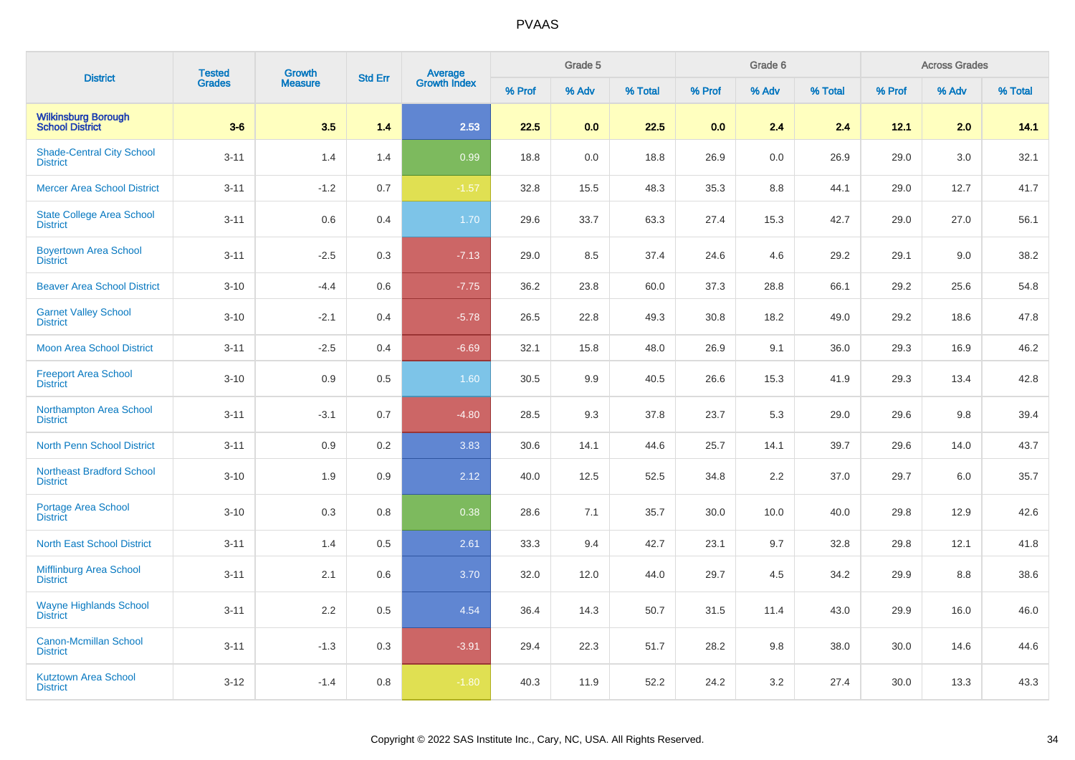| <b>District</b>                                     | <b>Tested</b> | <b>Growth</b>  | <b>Std Err</b> | Average<br>Growth Index |        | Grade 5 |         |        | Grade 6 |         |        | <b>Across Grades</b> |         |
|-----------------------------------------------------|---------------|----------------|----------------|-------------------------|--------|---------|---------|--------|---------|---------|--------|----------------------|---------|
|                                                     | <b>Grades</b> | <b>Measure</b> |                |                         | % Prof | % Adv   | % Total | % Prof | % Adv   | % Total | % Prof | % Adv                | % Total |
| <b>Wilkinsburg Borough<br/>School District</b>      | $3-6$         | 3.5            | 1.4            | 2.53                    | 22.5   | 0.0     | 22.5    | 0.0    | 2.4     | 2.4     | 12.1   | 2.0                  | 14.1    |
| <b>Shade-Central City School</b><br><b>District</b> | $3 - 11$      | 1.4            | 1.4            | 0.99                    | 18.8   | 0.0     | 18.8    | 26.9   | 0.0     | 26.9    | 29.0   | 3.0                  | 32.1    |
| <b>Mercer Area School District</b>                  | $3 - 11$      | $-1.2$         | 0.7            | $-1.57$                 | 32.8   | 15.5    | 48.3    | 35.3   | 8.8     | 44.1    | 29.0   | 12.7                 | 41.7    |
| <b>State College Area School</b><br><b>District</b> | $3 - 11$      | 0.6            | 0.4            | 1.70                    | 29.6   | 33.7    | 63.3    | 27.4   | 15.3    | 42.7    | 29.0   | 27.0                 | 56.1    |
| <b>Boyertown Area School</b><br><b>District</b>     | $3 - 11$      | $-2.5$         | 0.3            | $-7.13$                 | 29.0   | 8.5     | 37.4    | 24.6   | 4.6     | 29.2    | 29.1   | 9.0                  | 38.2    |
| <b>Beaver Area School District</b>                  | $3 - 10$      | $-4.4$         | 0.6            | $-7.75$                 | 36.2   | 23.8    | 60.0    | 37.3   | 28.8    | 66.1    | 29.2   | 25.6                 | 54.8    |
| <b>Garnet Valley School</b><br><b>District</b>      | $3 - 10$      | $-2.1$         | 0.4            | $-5.78$                 | 26.5   | 22.8    | 49.3    | 30.8   | 18.2    | 49.0    | 29.2   | 18.6                 | 47.8    |
| <b>Moon Area School District</b>                    | $3 - 11$      | $-2.5$         | 0.4            | $-6.69$                 | 32.1   | 15.8    | 48.0    | 26.9   | 9.1     | 36.0    | 29.3   | 16.9                 | 46.2    |
| <b>Freeport Area School</b><br><b>District</b>      | $3 - 10$      | 0.9            | 0.5            | 1.60                    | 30.5   | 9.9     | 40.5    | 26.6   | 15.3    | 41.9    | 29.3   | 13.4                 | 42.8    |
| Northampton Area School<br><b>District</b>          | $3 - 11$      | $-3.1$         | 0.7            | $-4.80$                 | 28.5   | 9.3     | 37.8    | 23.7   | 5.3     | 29.0    | 29.6   | 9.8                  | 39.4    |
| <b>North Penn School District</b>                   | $3 - 11$      | 0.9            | 0.2            | 3.83                    | 30.6   | 14.1    | 44.6    | 25.7   | 14.1    | 39.7    | 29.6   | 14.0                 | 43.7    |
| <b>Northeast Bradford School</b><br><b>District</b> | $3 - 10$      | 1.9            | 0.9            | 2.12                    | 40.0   | 12.5    | 52.5    | 34.8   | 2.2     | 37.0    | 29.7   | 6.0                  | 35.7    |
| Portage Area School<br><b>District</b>              | $3 - 10$      | 0.3            | 0.8            | 0.38                    | 28.6   | 7.1     | 35.7    | 30.0   | 10.0    | 40.0    | 29.8   | 12.9                 | 42.6    |
| <b>North East School District</b>                   | $3 - 11$      | 1.4            | 0.5            | 2.61                    | 33.3   | 9.4     | 42.7    | 23.1   | 9.7     | 32.8    | 29.8   | 12.1                 | 41.8    |
| <b>Mifflinburg Area School</b><br><b>District</b>   | $3 - 11$      | 2.1            | 0.6            | 3.70                    | 32.0   | 12.0    | 44.0    | 29.7   | 4.5     | 34.2    | 29.9   | 8.8                  | 38.6    |
| <b>Wayne Highlands School</b><br><b>District</b>    | $3 - 11$      | 2.2            | 0.5            | 4.54                    | 36.4   | 14.3    | 50.7    | 31.5   | 11.4    | 43.0    | 29.9   | 16.0                 | 46.0    |
| <b>Canon-Mcmillan School</b><br><b>District</b>     | $3 - 11$      | $-1.3$         | 0.3            | $-3.91$                 | 29.4   | 22.3    | 51.7    | 28.2   | 9.8     | 38.0    | 30.0   | 14.6                 | 44.6    |
| <b>Kutztown Area School</b><br><b>District</b>      | $3 - 12$      | $-1.4$         | 0.8            | $-1.80$                 | 40.3   | 11.9    | 52.2    | 24.2   | 3.2     | 27.4    | 30.0   | 13.3                 | 43.3    |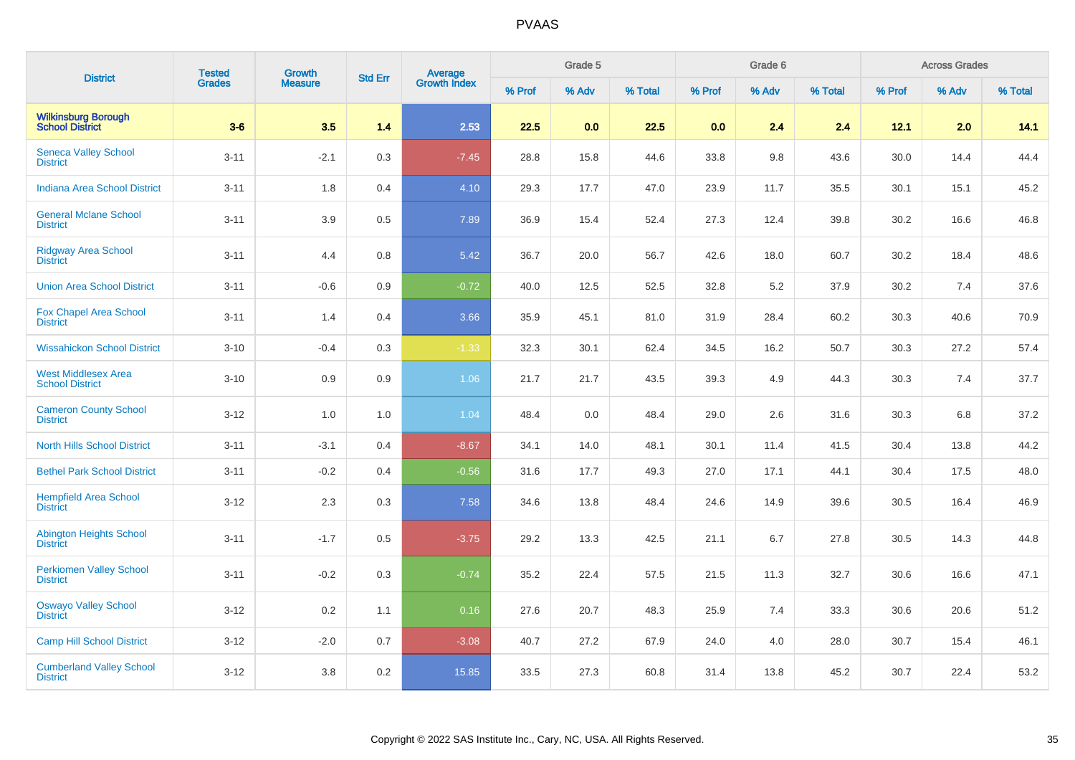| <b>District</b>                                      | <b>Tested</b> | Growth         | <b>Std Err</b> | <b>Average</b><br>Growth Index |        | Grade 5 |         |        | Grade 6 |         |        | <b>Across Grades</b> |         |
|------------------------------------------------------|---------------|----------------|----------------|--------------------------------|--------|---------|---------|--------|---------|---------|--------|----------------------|---------|
|                                                      | <b>Grades</b> | <b>Measure</b> |                |                                | % Prof | % Adv   | % Total | % Prof | % Adv   | % Total | % Prof | % Adv                | % Total |
| <b>Wilkinsburg Borough</b><br><b>School District</b> | $3-6$         | 3.5            | 1.4            | 2.53                           | 22.5   | 0.0     | 22.5    | 0.0    | 2.4     | 2.4     | 12.1   | 2.0                  | 14.1    |
| <b>Seneca Valley School</b><br><b>District</b>       | $3 - 11$      | $-2.1$         | 0.3            | $-7.45$                        | 28.8   | 15.8    | 44.6    | 33.8   | 9.8     | 43.6    | 30.0   | 14.4                 | 44.4    |
| <b>Indiana Area School District</b>                  | $3 - 11$      | 1.8            | 0.4            | 4.10                           | 29.3   | 17.7    | 47.0    | 23.9   | 11.7    | 35.5    | 30.1   | 15.1                 | 45.2    |
| <b>General Mclane School</b><br><b>District</b>      | $3 - 11$      | 3.9            | 0.5            | 7.89                           | 36.9   | 15.4    | 52.4    | 27.3   | 12.4    | 39.8    | 30.2   | 16.6                 | 46.8    |
| <b>Ridgway Area School</b><br><b>District</b>        | $3 - 11$      | 4.4            | 0.8            | 5.42                           | 36.7   | 20.0    | 56.7    | 42.6   | 18.0    | 60.7    | 30.2   | 18.4                 | 48.6    |
| <b>Union Area School District</b>                    | $3 - 11$      | $-0.6$         | 0.9            | $-0.72$                        | 40.0   | 12.5    | 52.5    | 32.8   | 5.2     | 37.9    | 30.2   | 7.4                  | 37.6    |
| <b>Fox Chapel Area School</b><br><b>District</b>     | $3 - 11$      | 1.4            | 0.4            | 3.66                           | 35.9   | 45.1    | 81.0    | 31.9   | 28.4    | 60.2    | 30.3   | 40.6                 | 70.9    |
| <b>Wissahickon School District</b>                   | $3 - 10$      | $-0.4$         | 0.3            | $-1.33$                        | 32.3   | 30.1    | 62.4    | 34.5   | 16.2    | 50.7    | 30.3   | 27.2                 | 57.4    |
| <b>West Middlesex Area</b><br><b>School District</b> | $3 - 10$      | 0.9            | 0.9            | 1.06                           | 21.7   | 21.7    | 43.5    | 39.3   | 4.9     | 44.3    | 30.3   | 7.4                  | 37.7    |
| <b>Cameron County School</b><br><b>District</b>      | $3-12$        | 1.0            | 1.0            | 1.04                           | 48.4   | 0.0     | 48.4    | 29.0   | 2.6     | 31.6    | 30.3   | 6.8                  | 37.2    |
| <b>North Hills School District</b>                   | $3 - 11$      | $-3.1$         | 0.4            | $-8.67$                        | 34.1   | 14.0    | 48.1    | 30.1   | 11.4    | 41.5    | 30.4   | 13.8                 | 44.2    |
| <b>Bethel Park School District</b>                   | $3 - 11$      | $-0.2$         | 0.4            | $-0.56$                        | 31.6   | 17.7    | 49.3    | 27.0   | 17.1    | 44.1    | 30.4   | 17.5                 | 48.0    |
| <b>Hempfield Area School</b><br><b>District</b>      | $3 - 12$      | 2.3            | 0.3            | 7.58                           | 34.6   | 13.8    | 48.4    | 24.6   | 14.9    | 39.6    | 30.5   | 16.4                 | 46.9    |
| <b>Abington Heights School</b><br><b>District</b>    | $3 - 11$      | $-1.7$         | 0.5            | $-3.75$                        | 29.2   | 13.3    | 42.5    | 21.1   | 6.7     | 27.8    | 30.5   | 14.3                 | 44.8    |
| <b>Perkiomen Valley School</b><br><b>District</b>    | $3 - 11$      | $-0.2$         | 0.3            | $-0.74$                        | 35.2   | 22.4    | 57.5    | 21.5   | 11.3    | 32.7    | 30.6   | 16.6                 | 47.1    |
| <b>Oswayo Valley School</b><br><b>District</b>       | $3 - 12$      | 0.2            | 1.1            | 0.16                           | 27.6   | 20.7    | 48.3    | 25.9   | 7.4     | 33.3    | 30.6   | 20.6                 | 51.2    |
| <b>Camp Hill School District</b>                     | $3 - 12$      | $-2.0$         | 0.7            | $-3.08$                        | 40.7   | 27.2    | 67.9    | 24.0   | 4.0     | 28.0    | 30.7   | 15.4                 | 46.1    |
| <b>Cumberland Valley School</b><br><b>District</b>   | $3 - 12$      | 3.8            | 0.2            | 15.85                          | 33.5   | 27.3    | 60.8    | 31.4   | 13.8    | 45.2    | 30.7   | 22.4                 | 53.2    |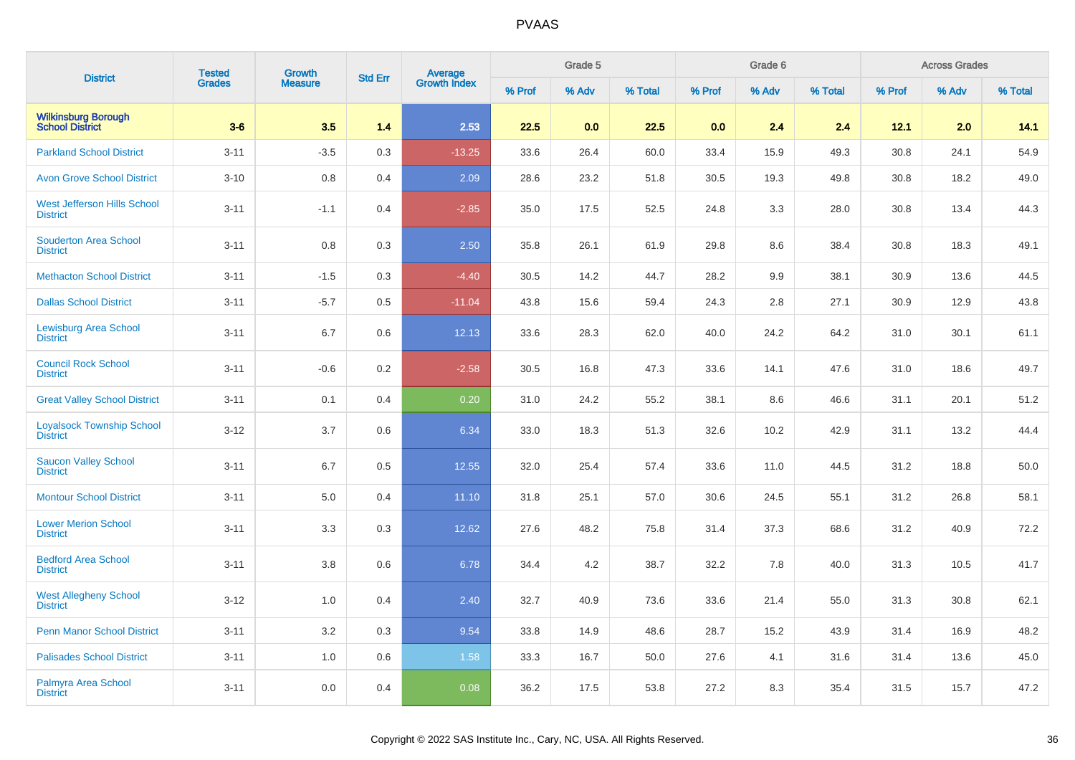| <b>District</b>                                       | <b>Tested</b> | Growth<br><b>Measure</b> | <b>Std Err</b> | <b>Average</b><br>Growth Index |        | Grade 5 |         |        | Grade 6 |         | <b>Across Grades</b> |       |         |
|-------------------------------------------------------|---------------|--------------------------|----------------|--------------------------------|--------|---------|---------|--------|---------|---------|----------------------|-------|---------|
|                                                       | <b>Grades</b> |                          |                |                                | % Prof | % Adv   | % Total | % Prof | % Adv   | % Total | % Prof               | % Adv | % Total |
| <b>Wilkinsburg Borough<br/>School District</b>        | $3-6$         | 3.5                      | 1.4            | 2.53                           | 22.5   | 0.0     | 22.5    | 0.0    | 2.4     | 2.4     | 12.1                 | 2.0   | 14.1    |
| <b>Parkland School District</b>                       | $3 - 11$      | $-3.5$                   | 0.3            | $-13.25$                       | 33.6   | 26.4    | 60.0    | 33.4   | 15.9    | 49.3    | 30.8                 | 24.1  | 54.9    |
| <b>Avon Grove School District</b>                     | $3 - 10$      | 0.8                      | 0.4            | 2.09                           | 28.6   | 23.2    | 51.8    | 30.5   | 19.3    | 49.8    | 30.8                 | 18.2  | 49.0    |
| <b>West Jefferson Hills School</b><br><b>District</b> | $3 - 11$      | $-1.1$                   | 0.4            | $-2.85$                        | 35.0   | 17.5    | 52.5    | 24.8   | 3.3     | 28.0    | 30.8                 | 13.4  | 44.3    |
| <b>Souderton Area School</b><br><b>District</b>       | $3 - 11$      | 0.8                      | 0.3            | 2.50                           | 35.8   | 26.1    | 61.9    | 29.8   | 8.6     | 38.4    | 30.8                 | 18.3  | 49.1    |
| <b>Methacton School District</b>                      | $3 - 11$      | $-1.5$                   | 0.3            | $-4.40$                        | 30.5   | 14.2    | 44.7    | 28.2   | 9.9     | 38.1    | 30.9                 | 13.6  | 44.5    |
| <b>Dallas School District</b>                         | $3 - 11$      | $-5.7$                   | 0.5            | $-11.04$                       | 43.8   | 15.6    | 59.4    | 24.3   | 2.8     | 27.1    | 30.9                 | 12.9  | 43.8    |
| <b>Lewisburg Area School</b><br><b>District</b>       | $3 - 11$      | 6.7                      | 0.6            | 12.13                          | 33.6   | 28.3    | 62.0    | 40.0   | 24.2    | 64.2    | 31.0                 | 30.1  | 61.1    |
| <b>Council Rock School</b><br><b>District</b>         | $3 - 11$      | $-0.6$                   | 0.2            | $-2.58$                        | 30.5   | 16.8    | 47.3    | 33.6   | 14.1    | 47.6    | 31.0                 | 18.6  | 49.7    |
| <b>Great Valley School District</b>                   | $3 - 11$      | 0.1                      | 0.4            | 0.20                           | 31.0   | 24.2    | 55.2    | 38.1   | 8.6     | 46.6    | 31.1                 | 20.1  | 51.2    |
| <b>Loyalsock Township School</b><br><b>District</b>   | $3 - 12$      | 3.7                      | 0.6            | 6.34                           | 33.0   | 18.3    | 51.3    | 32.6   | 10.2    | 42.9    | 31.1                 | 13.2  | 44.4    |
| <b>Saucon Valley School</b><br><b>District</b>        | $3 - 11$      | 6.7                      | 0.5            | 12.55                          | 32.0   | 25.4    | 57.4    | 33.6   | 11.0    | 44.5    | 31.2                 | 18.8  | 50.0    |
| <b>Montour School District</b>                        | $3 - 11$      | 5.0                      | 0.4            | 11.10                          | 31.8   | 25.1    | 57.0    | 30.6   | 24.5    | 55.1    | 31.2                 | 26.8  | 58.1    |
| <b>Lower Merion School</b><br><b>District</b>         | $3 - 11$      | 3.3                      | 0.3            | 12.62                          | 27.6   | 48.2    | 75.8    | 31.4   | 37.3    | 68.6    | 31.2                 | 40.9  | 72.2    |
| <b>Bedford Area School</b><br><b>District</b>         | $3 - 11$      | 3.8                      | 0.6            | 6.78                           | 34.4   | 4.2     | 38.7    | 32.2   | 7.8     | 40.0    | 31.3                 | 10.5  | 41.7    |
| <b>West Allegheny School</b><br><b>District</b>       | $3 - 12$      | 1.0                      | 0.4            | 2.40                           | 32.7   | 40.9    | 73.6    | 33.6   | 21.4    | 55.0    | 31.3                 | 30.8  | 62.1    |
| <b>Penn Manor School District</b>                     | $3 - 11$      | 3.2                      | 0.3            | 9.54                           | 33.8   | 14.9    | 48.6    | 28.7   | 15.2    | 43.9    | 31.4                 | 16.9  | 48.2    |
| <b>Palisades School District</b>                      | $3 - 11$      | 1.0                      | 0.6            | 1.58                           | 33.3   | 16.7    | 50.0    | 27.6   | 4.1     | 31.6    | 31.4                 | 13.6  | 45.0    |
| Palmyra Area School<br><b>District</b>                | $3 - 11$      | 0.0                      | 0.4            | 0.08                           | 36.2   | 17.5    | 53.8    | 27.2   | 8.3     | 35.4    | 31.5                 | 15.7  | 47.2    |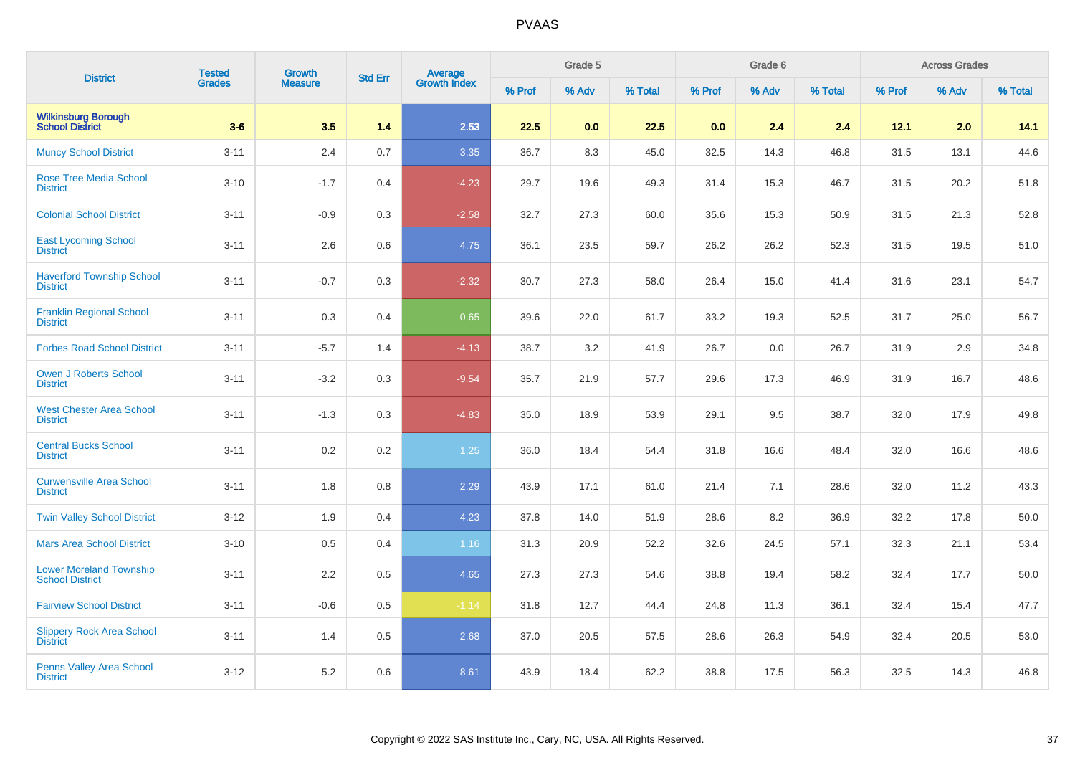| <b>District</b>                                          | <b>Tested</b> | Growth<br><b>Measure</b> | <b>Std Err</b> | <b>Average</b><br>Growth Index |        | Grade 5 |         |        | Grade 6 |         | <b>Across Grades</b> |       |         |
|----------------------------------------------------------|---------------|--------------------------|----------------|--------------------------------|--------|---------|---------|--------|---------|---------|----------------------|-------|---------|
|                                                          | Grades        |                          |                |                                | % Prof | % Adv   | % Total | % Prof | % Adv   | % Total | % Prof               | % Adv | % Total |
| <b>Wilkinsburg Borough</b><br><b>School District</b>     | $3-6$         | 3.5                      | 1.4            | 2.53                           | 22.5   | 0.0     | 22.5    | 0.0    | 2.4     | 2.4     | 12.1                 | 2.0   | 14.1    |
| <b>Muncy School District</b>                             | $3 - 11$      | 2.4                      | 0.7            | 3.35                           | 36.7   | 8.3     | 45.0    | 32.5   | 14.3    | 46.8    | 31.5                 | 13.1  | 44.6    |
| <b>Rose Tree Media School</b><br><b>District</b>         | $3 - 10$      | $-1.7$                   | 0.4            | $-4.23$                        | 29.7   | 19.6    | 49.3    | 31.4   | 15.3    | 46.7    | 31.5                 | 20.2  | 51.8    |
| <b>Colonial School District</b>                          | $3 - 11$      | $-0.9$                   | 0.3            | $-2.58$                        | 32.7   | 27.3    | 60.0    | 35.6   | 15.3    | 50.9    | 31.5                 | 21.3  | 52.8    |
| <b>East Lycoming School</b><br><b>District</b>           | $3 - 11$      | 2.6                      | 0.6            | 4.75                           | 36.1   | 23.5    | 59.7    | 26.2   | 26.2    | 52.3    | 31.5                 | 19.5  | 51.0    |
| <b>Haverford Township School</b><br><b>District</b>      | $3 - 11$      | $-0.7$                   | 0.3            | $-2.32$                        | 30.7   | 27.3    | 58.0    | 26.4   | 15.0    | 41.4    | 31.6                 | 23.1  | 54.7    |
| <b>Franklin Regional School</b><br><b>District</b>       | $3 - 11$      | 0.3                      | 0.4            | 0.65                           | 39.6   | 22.0    | 61.7    | 33.2   | 19.3    | 52.5    | 31.7                 | 25.0  | 56.7    |
| <b>Forbes Road School District</b>                       | $3 - 11$      | $-5.7$                   | 1.4            | $-4.13$                        | 38.7   | 3.2     | 41.9    | 26.7   | 0.0     | 26.7    | 31.9                 | 2.9   | 34.8    |
| <b>Owen J Roberts School</b><br><b>District</b>          | $3 - 11$      | $-3.2$                   | 0.3            | $-9.54$                        | 35.7   | 21.9    | 57.7    | 29.6   | 17.3    | 46.9    | 31.9                 | 16.7  | 48.6    |
| <b>West Chester Area School</b><br><b>District</b>       | $3 - 11$      | $-1.3$                   | 0.3            | $-4.83$                        | 35.0   | 18.9    | 53.9    | 29.1   | 9.5     | 38.7    | 32.0                 | 17.9  | 49.8    |
| <b>Central Bucks School</b><br><b>District</b>           | $3 - 11$      | $0.2\,$                  | 0.2            | 1.25                           | 36.0   | 18.4    | 54.4    | 31.8   | 16.6    | 48.4    | 32.0                 | 16.6  | 48.6    |
| <b>Curwensville Area School</b><br><b>District</b>       | $3 - 11$      | 1.8                      | 0.8            | 2.29                           | 43.9   | 17.1    | 61.0    | 21.4   | 7.1     | 28.6    | 32.0                 | 11.2  | 43.3    |
| <b>Twin Valley School District</b>                       | $3 - 12$      | 1.9                      | 0.4            | 4.23                           | 37.8   | 14.0    | 51.9    | 28.6   | 8.2     | 36.9    | 32.2                 | 17.8  | 50.0    |
| <b>Mars Area School District</b>                         | $3 - 10$      | 0.5                      | 0.4            | 1.16                           | 31.3   | 20.9    | 52.2    | 32.6   | 24.5    | 57.1    | 32.3                 | 21.1  | 53.4    |
| <b>Lower Moreland Township</b><br><b>School District</b> | $3 - 11$      | 2.2                      | 0.5            | 4.65                           | 27.3   | 27.3    | 54.6    | 38.8   | 19.4    | 58.2    | 32.4                 | 17.7  | 50.0    |
| <b>Fairview School District</b>                          | $3 - 11$      | $-0.6$                   | 0.5            | $-1.14$                        | 31.8   | 12.7    | 44.4    | 24.8   | 11.3    | 36.1    | 32.4                 | 15.4  | 47.7    |
| <b>Slippery Rock Area School</b><br><b>District</b>      | $3 - 11$      | 1.4                      | 0.5            | 2.68                           | 37.0   | 20.5    | 57.5    | 28.6   | 26.3    | 54.9    | 32.4                 | 20.5  | 53.0    |
| <b>Penns Valley Area School</b><br><b>District</b>       | $3 - 12$      | $5.2\,$                  | 0.6            | 8.61                           | 43.9   | 18.4    | 62.2    | 38.8   | 17.5    | 56.3    | 32.5                 | 14.3  | 46.8    |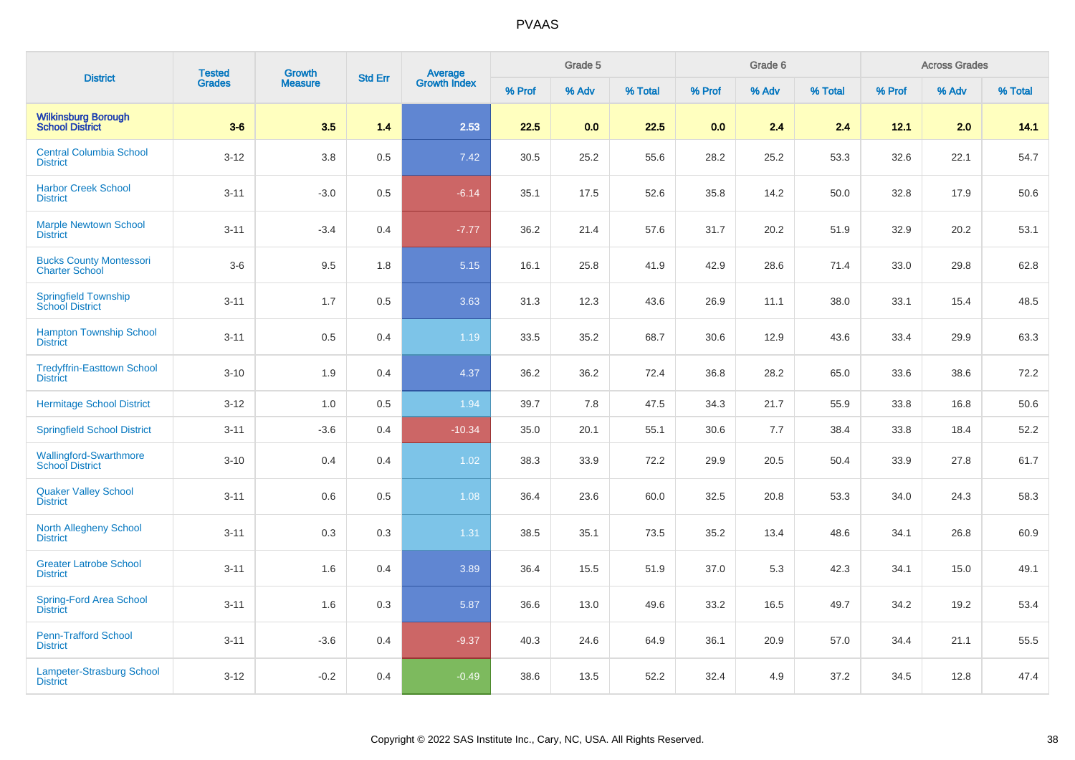| <b>District</b>                                         | <b>Tested</b> | <b>Growth</b>  | <b>Std Err</b> | <b>Average</b><br>Growth Index |        | Grade 5 |         |        | Grade 6 |         | <b>Across Grades</b> |       |         |
|---------------------------------------------------------|---------------|----------------|----------------|--------------------------------|--------|---------|---------|--------|---------|---------|----------------------|-------|---------|
|                                                         | <b>Grades</b> | <b>Measure</b> |                |                                | % Prof | % Adv   | % Total | % Prof | % Adv   | % Total | % Prof               | % Adv | % Total |
| <b>Wilkinsburg Borough<br/>School District</b>          | $3-6$         | 3.5            | 1.4            | 2.53                           | 22.5   | 0.0     | 22.5    | 0.0    | 2.4     | 2.4     | 12.1                 | 2.0   | 14.1    |
| <b>Central Columbia School</b><br><b>District</b>       | $3 - 12$      | $3.8\,$        | 0.5            | 7.42                           | 30.5   | 25.2    | 55.6    | 28.2   | 25.2    | 53.3    | 32.6                 | 22.1  | 54.7    |
| <b>Harbor Creek School</b><br><b>District</b>           | $3 - 11$      | $-3.0$         | 0.5            | $-6.14$                        | 35.1   | 17.5    | 52.6    | 35.8   | 14.2    | 50.0    | 32.8                 | 17.9  | 50.6    |
| <b>Marple Newtown School</b><br><b>District</b>         | $3 - 11$      | $-3.4$         | 0.4            | $-7.77$                        | 36.2   | 21.4    | 57.6    | 31.7   | 20.2    | 51.9    | 32.9                 | 20.2  | 53.1    |
| <b>Bucks County Montessori</b><br><b>Charter School</b> | $3-6$         | 9.5            | 1.8            | 5.15                           | 16.1   | 25.8    | 41.9    | 42.9   | 28.6    | 71.4    | 33.0                 | 29.8  | 62.8    |
| <b>Springfield Township</b><br><b>School District</b>   | $3 - 11$      | 1.7            | 0.5            | 3.63                           | 31.3   | 12.3    | 43.6    | 26.9   | 11.1    | 38.0    | 33.1                 | 15.4  | 48.5    |
| <b>Hampton Township School</b><br><b>District</b>       | $3 - 11$      | $0.5\,$        | 0.4            | 1.19                           | 33.5   | 35.2    | 68.7    | 30.6   | 12.9    | 43.6    | 33.4                 | 29.9  | 63.3    |
| <b>Tredyffrin-Easttown School</b><br><b>District</b>    | $3 - 10$      | 1.9            | 0.4            | 4.37                           | 36.2   | 36.2    | 72.4    | 36.8   | 28.2    | 65.0    | 33.6                 | 38.6  | 72.2    |
| <b>Hermitage School District</b>                        | $3 - 12$      | 1.0            | 0.5            | 1.94                           | 39.7   | 7.8     | 47.5    | 34.3   | 21.7    | 55.9    | 33.8                 | 16.8  | 50.6    |
| <b>Springfield School District</b>                      | $3 - 11$      | $-3.6$         | 0.4            | $-10.34$                       | 35.0   | 20.1    | 55.1    | 30.6   | 7.7     | 38.4    | 33.8                 | 18.4  | 52.2    |
| Wallingford-Swarthmore<br>School District               | $3 - 10$      | 0.4            | 0.4            | 1.02                           | 38.3   | 33.9    | 72.2    | 29.9   | 20.5    | 50.4    | 33.9                 | 27.8  | 61.7    |
| <b>Quaker Valley School</b><br><b>District</b>          | $3 - 11$      | 0.6            | 0.5            | 1.08                           | 36.4   | 23.6    | 60.0    | 32.5   | 20.8    | 53.3    | 34.0                 | 24.3  | 58.3    |
| <b>North Allegheny School</b><br><b>District</b>        | $3 - 11$      | 0.3            | 0.3            | 1.31                           | 38.5   | 35.1    | 73.5    | 35.2   | 13.4    | 48.6    | 34.1                 | 26.8  | 60.9    |
| <b>Greater Latrobe School</b><br><b>District</b>        | $3 - 11$      | 1.6            | 0.4            | 3.89                           | 36.4   | 15.5    | 51.9    | 37.0   | 5.3     | 42.3    | 34.1                 | 15.0  | 49.1    |
| Spring-Ford Area School<br><b>District</b>              | $3 - 11$      | 1.6            | 0.3            | 5.87                           | 36.6   | 13.0    | 49.6    | 33.2   | 16.5    | 49.7    | 34.2                 | 19.2  | 53.4    |
| <b>Penn-Trafford School</b><br><b>District</b>          | $3 - 11$      | $-3.6$         | 0.4            | $-9.37$                        | 40.3   | 24.6    | 64.9    | 36.1   | 20.9    | 57.0    | 34.4                 | 21.1  | 55.5    |
| Lampeter-Strasburg School<br><b>District</b>            | $3 - 12$      | $-0.2$         | 0.4            | $-0.49$                        | 38.6   | 13.5    | 52.2    | 32.4   | 4.9     | 37.2    | 34.5                 | 12.8  | 47.4    |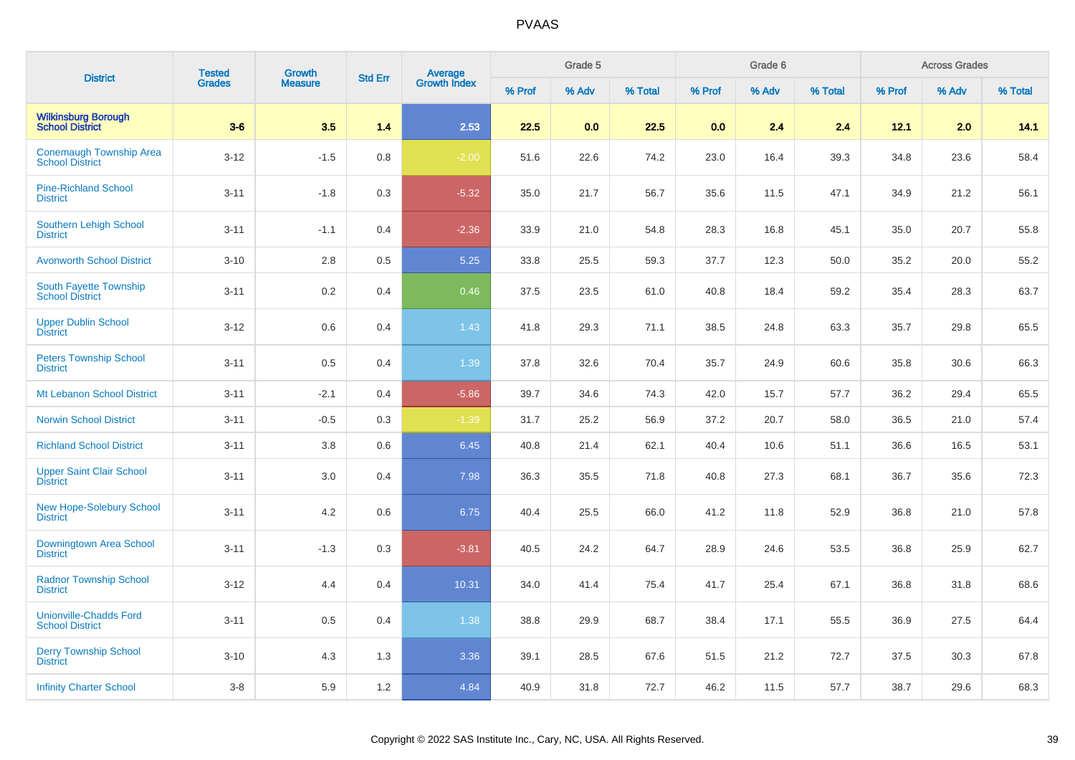| <b>District</b>                                          | <b>Tested</b> | <b>Growth</b>  |                |                                |        | Grade 5 |         |        | Grade 6 |         | <b>Across Grades</b> |       |         |
|----------------------------------------------------------|---------------|----------------|----------------|--------------------------------|--------|---------|---------|--------|---------|---------|----------------------|-------|---------|
|                                                          | <b>Grades</b> | <b>Measure</b> | <b>Std Err</b> | <b>Average</b><br>Growth Index | % Prof | % Adv   | % Total | % Prof | % Adv   | % Total | % Prof               | % Adv | % Total |
| <b>Wilkinsburg Borough<br/>School District</b>           | $3-6$         | 3.5            | 1.4            | 2.53                           | 22.5   | 0.0     | 22.5    | 0.0    | 2.4     | 2.4     | 12.1                 | 2.0   | 14.1    |
| <b>Conemaugh Township Area</b><br><b>School District</b> | $3 - 12$      | $-1.5$         | 0.8            | $-2.00$                        | 51.6   | 22.6    | 74.2    | 23.0   | 16.4    | 39.3    | 34.8                 | 23.6  | 58.4    |
| <b>Pine-Richland School</b><br><b>District</b>           | $3 - 11$      | $-1.8$         | 0.3            | $-5.32$                        | 35.0   | 21.7    | 56.7    | 35.6   | 11.5    | 47.1    | 34.9                 | 21.2  | 56.1    |
| <b>Southern Lehigh School</b><br><b>District</b>         | $3 - 11$      | $-1.1$         | 0.4            | $-2.36$                        | 33.9   | 21.0    | 54.8    | 28.3   | 16.8    | 45.1    | 35.0                 | 20.7  | 55.8    |
| <b>Avonworth School District</b>                         | $3 - 10$      | $2.8$          | 0.5            | 5.25                           | 33.8   | 25.5    | 59.3    | 37.7   | 12.3    | 50.0    | 35.2                 | 20.0  | 55.2    |
| South Fayette Township<br><b>School District</b>         | $3 - 11$      | 0.2            | 0.4            | 0.46                           | 37.5   | 23.5    | 61.0    | 40.8   | 18.4    | 59.2    | 35.4                 | 28.3  | 63.7    |
| <b>Upper Dublin School</b><br><b>District</b>            | $3 - 12$      | 0.6            | 0.4            | 1.43                           | 41.8   | 29.3    | 71.1    | 38.5   | 24.8    | 63.3    | 35.7                 | 29.8  | 65.5    |
| <b>Peters Township School</b><br><b>District</b>         | $3 - 11$      | 0.5            | 0.4            | 1.39                           | 37.8   | 32.6    | 70.4    | 35.7   | 24.9    | 60.6    | 35.8                 | 30.6  | 66.3    |
| Mt Lebanon School District                               | $3 - 11$      | $-2.1$         | 0.4            | $-5.86$                        | 39.7   | 34.6    | 74.3    | 42.0   | 15.7    | 57.7    | 36.2                 | 29.4  | 65.5    |
| <b>Norwin School District</b>                            | $3 - 11$      | $-0.5$         | 0.3            | $-1.39$                        | 31.7   | 25.2    | 56.9    | 37.2   | 20.7    | 58.0    | 36.5                 | 21.0  | 57.4    |
| <b>Richland School District</b>                          | $3 - 11$      | 3.8            | 0.6            | 6.45                           | 40.8   | 21.4    | 62.1    | 40.4   | 10.6    | 51.1    | 36.6                 | 16.5  | 53.1    |
| <b>Upper Saint Clair School</b><br><b>District</b>       | $3 - 11$      | 3.0            | 0.4            | 7.98                           | 36.3   | 35.5    | 71.8    | 40.8   | 27.3    | 68.1    | 36.7                 | 35.6  | 72.3    |
| <b>New Hope-Solebury School</b><br><b>District</b>       | $3 - 11$      | 4.2            | 0.6            | 6.75                           | 40.4   | 25.5    | 66.0    | 41.2   | 11.8    | 52.9    | 36.8                 | 21.0  | 57.8    |
| <b>Downingtown Area School</b><br><b>District</b>        | $3 - 11$      | $-1.3$         | 0.3            | $-3.81$                        | 40.5   | 24.2    | 64.7    | 28.9   | 24.6    | 53.5    | 36.8                 | 25.9  | 62.7    |
| <b>Radnor Township School</b><br><b>District</b>         | $3 - 12$      | 4.4            | 0.4            | 10.31                          | 34.0   | 41.4    | 75.4    | 41.7   | 25.4    | 67.1    | 36.8                 | 31.8  | 68.6    |
| <b>Unionville-Chadds Ford</b><br><b>School District</b>  | $3 - 11$      | 0.5            | 0.4            | 1.38                           | 38.8   | 29.9    | 68.7    | 38.4   | 17.1    | 55.5    | 36.9                 | 27.5  | 64.4    |
| <b>Derry Township School</b><br><b>District</b>          | $3 - 10$      | 4.3            | 1.3            | 3.36                           | 39.1   | 28.5    | 67.6    | 51.5   | 21.2    | 72.7    | 37.5                 | 30.3  | 67.8    |
| <b>Infinity Charter School</b>                           | $3 - 8$       | 5.9            | 1.2            | 4.84                           | 40.9   | 31.8    | 72.7    | 46.2   | 11.5    | 57.7    | 38.7                 | 29.6  | 68.3    |